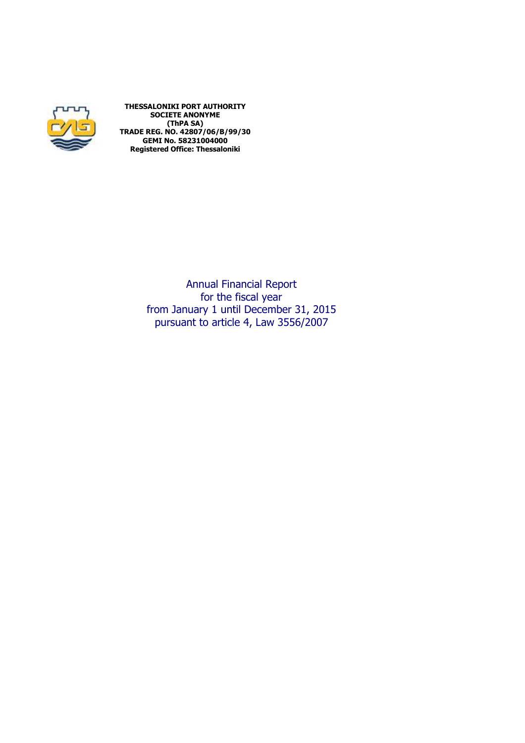

**THESSALONIKI PORT AUTHORITY SOCIETE ANONYME (ThPA SA) TRADE REG. NO. 42807/06/Β/99/30 GEMI No. 58231004000 Registered Office: Thessaloniki** 

> Annual Financial Report for the fiscal year from January 1 until December 31, 2015 pursuant to article 4, Law 3556/2007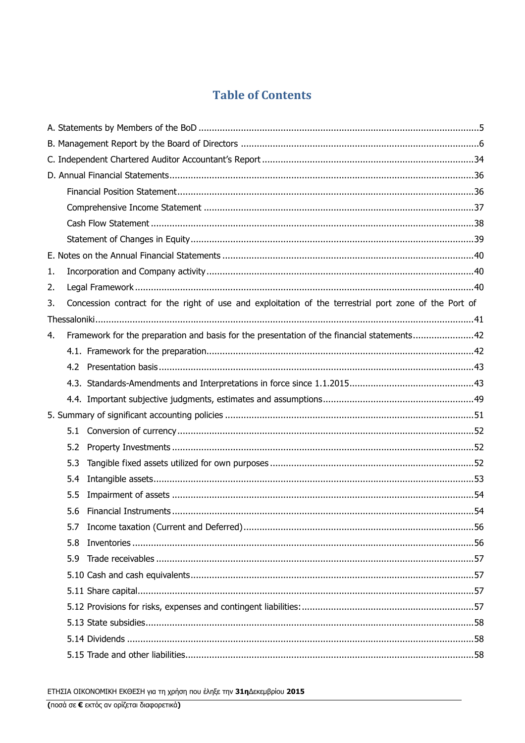# **Table of Contents**

| 1.                                                                                                          |  |
|-------------------------------------------------------------------------------------------------------------|--|
| 2.                                                                                                          |  |
| Concession contract for the right of use and exploitation of the terrestrial port zone of the Port of<br>3. |  |
|                                                                                                             |  |
| Framework for the preparation and basis for the presentation of the financial statements42<br>4.            |  |
|                                                                                                             |  |
|                                                                                                             |  |
|                                                                                                             |  |
|                                                                                                             |  |
|                                                                                                             |  |
| 5.1                                                                                                         |  |
| 5.2                                                                                                         |  |
| 5.3                                                                                                         |  |
| 5.4                                                                                                         |  |
| 5.5                                                                                                         |  |
|                                                                                                             |  |
| 5.7                                                                                                         |  |
| 5.8                                                                                                         |  |
| 5.9                                                                                                         |  |
|                                                                                                             |  |
|                                                                                                             |  |
|                                                                                                             |  |
|                                                                                                             |  |
|                                                                                                             |  |
|                                                                                                             |  |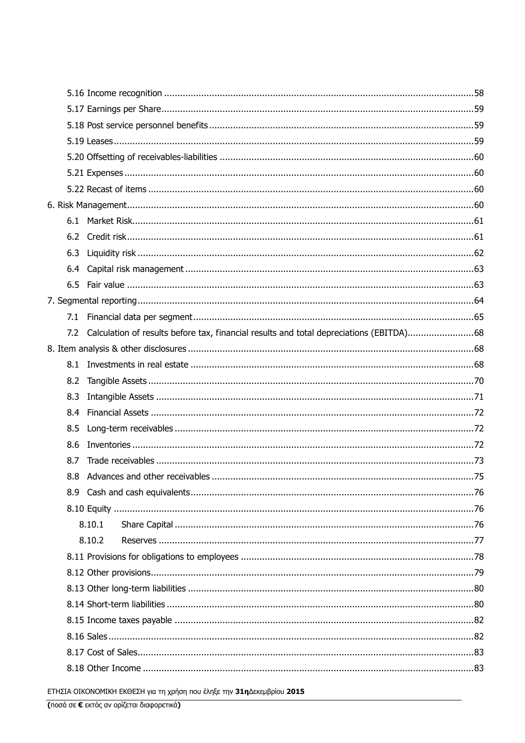| 6.3 |                                                                                             |  |
|-----|---------------------------------------------------------------------------------------------|--|
| 6.4 |                                                                                             |  |
|     |                                                                                             |  |
|     |                                                                                             |  |
|     |                                                                                             |  |
|     | 7.2 Calculation of results before tax, financial results and total depreciations (EBITDA)68 |  |
|     |                                                                                             |  |
|     |                                                                                             |  |
| 8.2 |                                                                                             |  |
| 8.3 |                                                                                             |  |
| 8.4 |                                                                                             |  |
| 8.5 |                                                                                             |  |
| 8.6 |                                                                                             |  |
| 8.7 |                                                                                             |  |
|     |                                                                                             |  |
|     |                                                                                             |  |
|     |                                                                                             |  |
|     | 8.10.1                                                                                      |  |
|     | 8.10.2                                                                                      |  |
|     |                                                                                             |  |
|     |                                                                                             |  |
|     |                                                                                             |  |
|     |                                                                                             |  |
|     |                                                                                             |  |
|     |                                                                                             |  |
|     |                                                                                             |  |
|     |                                                                                             |  |
|     |                                                                                             |  |

ΕΤΗΣΙΑ ΟΙΚΟΝΟΜΙΚΗ ΕΚΘΕΣΗ για τη χρήση που έληξε την 31ηΔεκεμβρίου 2015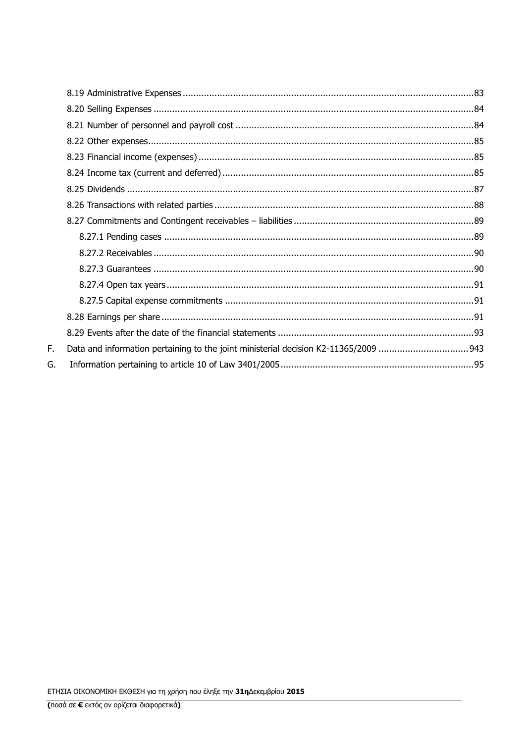F. G.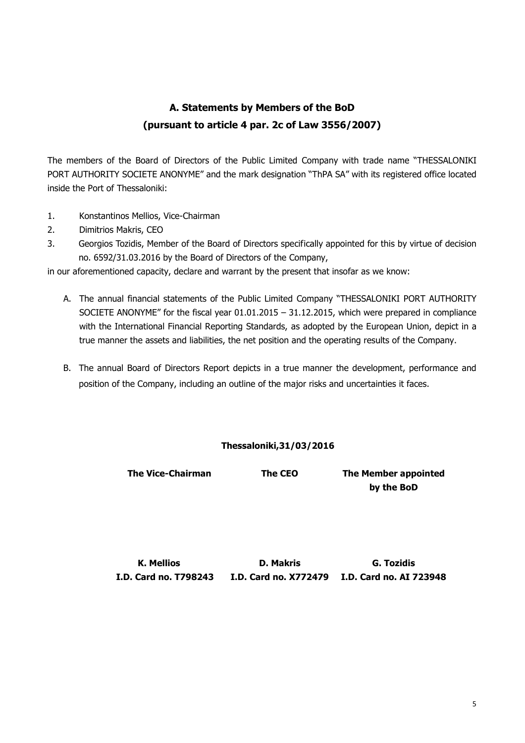# **A. Statements by Members of the BoD (pursuant to article 4 par. 2c of Law 3556/2007)**

The members of the Board of Directors of the Public Limited Company with trade name "THESSALONIKI PORT AUTHORITY SOCIETE ANONYME" and the mark designation "ThPA SA" with its registered office located inside the Port of Thessaloniki:

- 1. Konstantinos Mellios, Vice-Chairman
- 2. Dimitrios Makris, CEO
- 3. Georgios Tozidis, Member of the Board of Directors specifically appointed for this by virtue of decision no. 6592/31.03.2016 by the Board of Directors of the Company,

in our aforementioned capacity, declare and warrant by the present that insofar as we know:

- A. The annual financial statements of the Public Limited Company "THESSALONIKI PORT AUTHORITY SOCIETE ANONYME" for the fiscal year 01.01.2015 – 31.12.2015, which were prepared in compliance with the International Financial Reporting Standards, as adopted by the European Union, depict in a true manner the assets and liabilities, the net position and the operating results of the Company.
- B. The annual Board of Directors Report depicts in a true manner the development, performance and position of the Company, including an outline of the major risks and uncertainties it faces.

### **Thessaloniki,31/03/2016**

**The Vice-Chairman The CEO The Member appointed by the BoD** 

**K. Mellios D. Makris G. Tozidis I.D. Card no. Τ798243 I.D. Card no. Χ772479 I.D. Card no. ΑΙ 723948**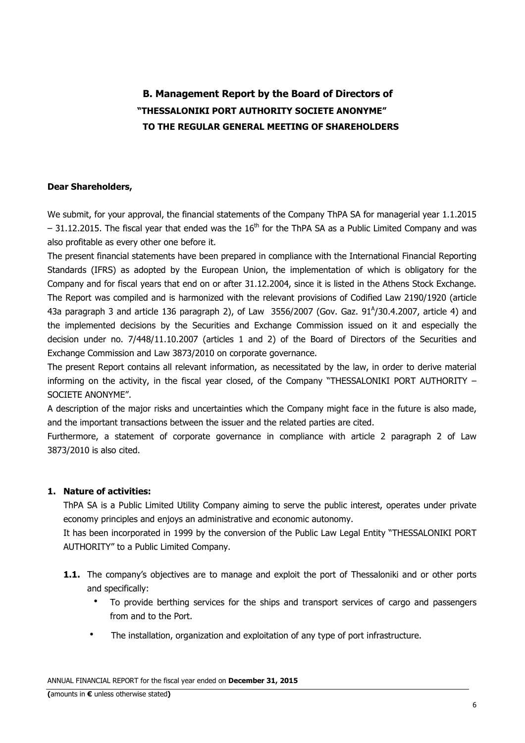# **B. Management Report by the Board of Directors of "THESSALONIKI PORT AUTHORITY SOCIETE ANONYME" TO THE REGULAR GENERAL MEETING OF SHAREHOLDERS**

#### **Dear Shareholders,**

We submit, for your approval, the financial statements of the Company ThPA SA for managerial year 1.1.2015  $-$  31.12.2015. The fiscal year that ended was the 16<sup>th</sup> for the ThPA SA as a Public Limited Company and was also profitable as every other one before it.

The present financial statements have been prepared in compliance with the International Financial Reporting Standards (IFRS) as adopted by the European Union, the implementation of which is obligatory for the Company and for fiscal years that end on or after 31.12.2004, since it is listed in the Athens Stock Exchange. The Report was compiled and is harmonized with the relevant provisions of Codified Law 2190/1920 (article 43a paragraph 3 and article 136 paragraph 2), of Law 3556/2007 (Gov. Gaz. 91 $^{A}/$ 30.4.2007, article 4) and the implemented decisions by the Securities and Exchange Commission issued on it and especially the decision under no. 7/448/11.10.2007 (articles 1 and 2) of the Board of Directors of the Securities and Exchange Commission and Law 3873/2010 on corporate governance.

The present Report contains all relevant information, as necessitated by the law, in order to derive material informing on the activity, in the fiscal year closed, of the Company "THESSALONIKI PORT AUTHORITY – SOCIETE ANONYME"

A description of the major risks and uncertainties which the Company might face in the future is also made, and the important transactions between the issuer and the related parties are cited.

Furthermore, a statement of corporate governance in compliance with article 2 paragraph 2 of Law 3873/2010 is also cited.

### **1. Nature of activities:**

ThPA SA is a Public Limited Utility Company aiming to serve the public interest, operates under private economy principles and enjoys an administrative and economic autonomy.

It has been incorporated in 1999 by the conversion of the Public Law Legal Entity "THESSALONIKI PORT AUTHORITY" to a Public Limited Company.

- **1.1.** The company's objectives are to manage and exploit the port of Thessaloniki and or other ports and specifically:
	- To provide berthing services for the ships and transport services of cargo and passengers from and to the Port.
	- The installation, organization and exploitation of any type of port infrastructure.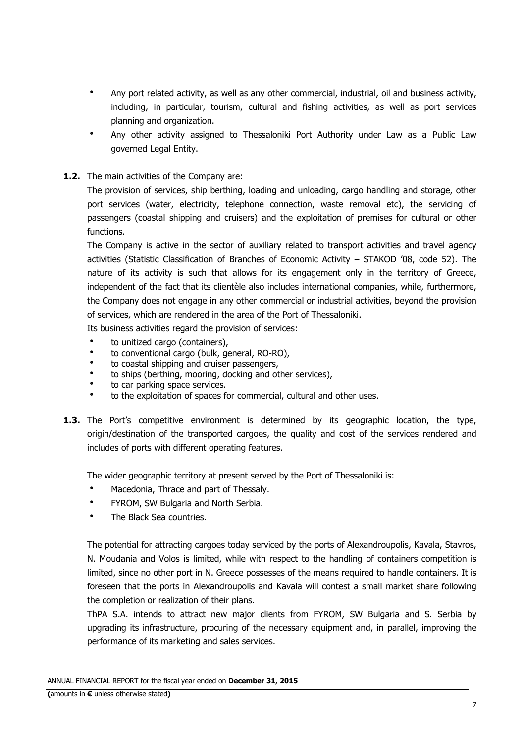- Any port related activity, as well as any other commercial, industrial, oil and business activity, including, in particular, tourism, cultural and fishing activities, as well as port services planning and organization.
- Any other activity assigned to Thessaloniki Port Authority under Law as a Public Law governed Legal Entity.
- **1.2.** The main activities of the Company are:

The provision of services, ship berthing, loading and unloading, cargo handling and storage, other port services (water, electricity, telephone connection, waste removal etc), the servicing of passengers (coastal shipping and cruisers) and the exploitation of premises for cultural or other functions.

The Company is active in the sector of auxiliary related to transport activities and travel agency activities (Statistic Classification of Branches of Economic Activity – STAKOD '08, code 52). The nature of its activity is such that allows for its engagement only in the territory of Greece, independent of the fact that its clientèle also includes international companies, while, furthermore, the Company does not engage in any other commercial or industrial activities, beyond the provision of services, which are rendered in the area of the Port of Thessaloniki.

Its business activities regard the provision of services:

- to unitized cargo (containers),
- to conventional cargo (bulk, general, RO-RO),
- to coastal shipping and cruiser passengers,
- to ships (berthing, mooring, docking and other services),
- to car parking space services.
- to the exploitation of spaces for commercial, cultural and other uses.
- **1.3.** The Port's competitive environment is determined by its geographic location, the type, origin/destination of the transported cargoes, the quality and cost of the services rendered and includes of ports with different operating features.

The wider geographic territory at present served by the Port of Thessaloniki is:

- Macedonia, Thrace and part of Thessaly.
- FYROM, SW Bulgaria and North Serbia.
- The Black Sea countries.

The potential for attracting cargoes today serviced by the ports of Alexandroupolis, Kavala, Stavros, N. Moudania and Volos is limited, while with respect to the handling of containers competition is limited, since no other port in N. Greece possesses of the means required to handle containers. It is foreseen that the ports in Alexandroupolis and Kavala will contest a small market share following the completion or realization of their plans.

ThPA S.A. intends to attract new major clients from FYROM, SW Bulgaria and S. Serbia by upgrading its infrastructure, procuring of the necessary equipment and, in parallel, improving the performance of its marketing and sales services.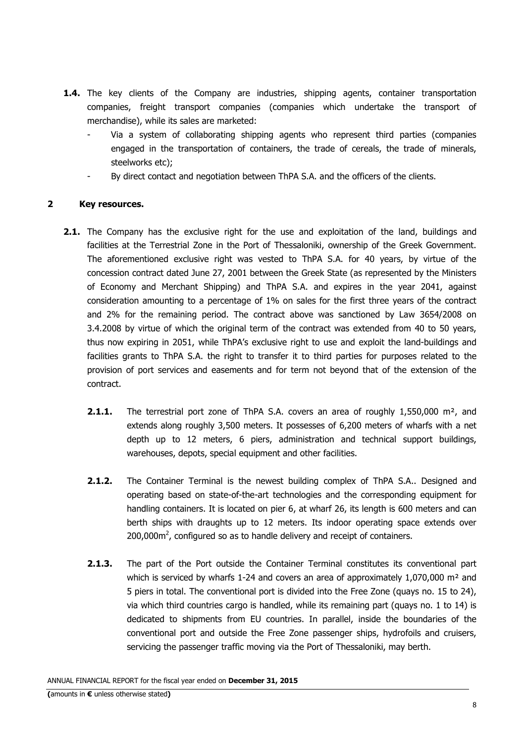- **1.4.** The key clients of the Company are industries, shipping agents, container transportation companies, freight transport companies (companies which undertake the transport of merchandise), while its sales are marketed:
	- Via a system of collaborating shipping agents who represent third parties (companies engaged in the transportation of containers, the trade of cereals, the trade of minerals, steelworks etc);
	- By direct contact and negotiation between ThPA S.A. and the officers of the clients.

### **2 Key resources.**

- **2.1.** The Company has the exclusive right for the use and exploitation of the land, buildings and facilities at the Terrestrial Zone in the Port of Thessaloniki, ownership of the Greek Government. The aforementioned exclusive right was vested to ThPA S.A. for 40 years, by virtue of the concession contract dated June 27, 2001 between the Greek State (as represented by the Ministers of Economy and Merchant Shipping) and ThPA S.A. and expires in the year 2041, against consideration amounting to a percentage of 1% on sales for the first three years of the contract and 2% for the remaining period. The contract above was sanctioned by Law 3654/2008 on 3.4.2008 by virtue of which the original term of the contract was extended from 40 to 50 years, thus now expiring in 2051, while ThPA's exclusive right to use and exploit the land-buildings and facilities grants to ThPA S.A. the right to transfer it to third parties for purposes related to the provision of port services and easements and for term not beyond that of the extension of the contract.
	- **2.1.1.** The terrestrial port zone of ThPA S.A. covers an area of roughly 1,550,000 m<sup>2</sup>, and extends along roughly 3,500 meters. It possesses of 6,200 meters of wharfs with a net depth up to 12 meters, 6 piers, administration and technical support buildings, warehouses, depots, special equipment and other facilities.
	- **2.1.2.** The Container Terminal is the newest building complex of ThPA S.A.. Designed and operating based on state-of-the-art technologies and the corresponding equipment for handling containers. It is located on pier 6, at wharf 26, its length is 600 meters and can berth ships with draughts up to 12 meters. Its indoor operating space extends over 200,000 $\text{m}^2$ , configured so as to handle delivery and receipt of containers.
	- 2.1.3. The part of the Port outside the Container Terminal constitutes its conventional part which is serviced by wharfs 1-24 and covers an area of approximately 1,070,000  $m<sup>2</sup>$  and 5 piers in total. The conventional port is divided into the Free Zone (quays no. 15 to 24), via which third countries cargo is handled, while its remaining part (quays no. 1 to 14) is dedicated to shipments from EU countries. In parallel, inside the boundaries of the conventional port and outside the Free Zone passenger ships, hydrofoils and cruisers, servicing the passenger traffic moving via the Port of Thessaloniki, may berth.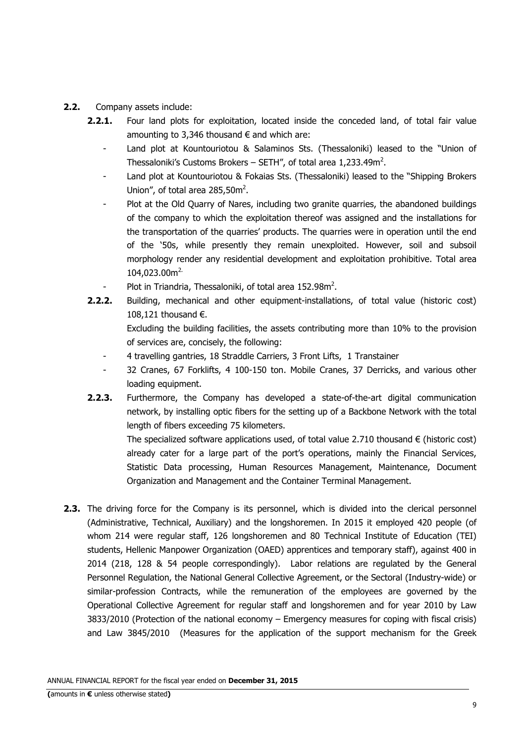- **2.2.** Company assets include:
	- **2.2.1.** Four land plots for exploitation, located inside the conceded land, of total fair value amounting to 3,346 thousand  $\epsilon$  and which are:
		- Land plot at Kountouriotou & Salaminos Sts. (Thessaloniki) leased to the "Union of Thessaloniki's Customs Brokers – SETH", of total area 1,233.49m<sup>2</sup>.
		- Land plot at Kountouriotou & Fokaias Sts. (Thessaloniki) leased to the "Shipping Brokers Union", of total area  $285,50m^2$ .
		- Plot at the Old Quarry of Nares, including two granite quarries, the abandoned buildings of the company to which the exploitation thereof was assigned and the installations for the transportation of the quarries' products. The quarries were in operation until the end of the '50s, while presently they remain unexploited. However, soil and subsoil morphology render any residential development and exploitation prohibitive. Total area 104,023.00m<sup>2.</sup>
		- Plot in Triandria, Thessaloniki, of total area 152.98m<sup>2</sup>.
	- **2.2.2.** Building, mechanical and other equipment-installations, of total value (historic cost) 108,121 thousand €. Excluding the building facilities, the assets contributing more than 10% to the provision of services are, concisely, the following:
		- 4 travelling gantries, 18 Straddle Carriers, 3 Front Lifts, 1 Transtainer
		- 32 Cranes, 67 Forklifts, 4 100-150 ton. Mobile Cranes, 37 Derricks, and various other loading equipment.
	- **2.2.3.** Furthermore, the Company has developed a state-of-the-art digital communication network, by installing optic fibers for the setting up of a Backbone Network with the total length of fibers exceeding 75 kilometers.

The specialized software applications used, of total value 2.710 thousand  $\epsilon$  (historic cost) already cater for a large part of the port's operations, mainly the Financial Services, Statistic Data processing, Human Resources Management, Maintenance, Document Organization and Management and the Container Terminal Management.

**2.3.** The driving force for the Company is its personnel, which is divided into the clerical personnel (Administrative, Technical, Auxiliary) and the longshoremen. In 2015 it employed 420 people (of whom 214 were regular staff, 126 longshoremen and 80 Technical Institute of Education (TEI) students, Hellenic Manpower Organization (OAED) apprentices and temporary staff), against 400 in 2014 (218, 128 & 54 people correspondingly). Labor relations are regulated by the General Personnel Regulation, the National General Collective Agreement, or the Sectoral (Industry-wide) or similar-profession Contracts, while the remuneration of the employees are governed by the Operational Collective Agreement for regular staff and longshoremen and for year 2010 by Law 3833/2010 (Protection of the national economy – Emergency measures for coping with fiscal crisis) and Law 3845/2010 (Measures for the application of the support mechanism for the Greek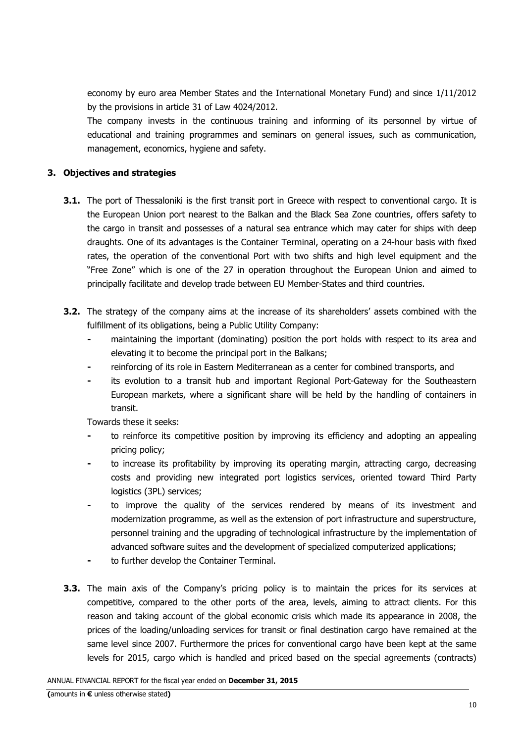economy by euro area Member States and the International Monetary Fund) and since 1/11/2012 by the provisions in article 31 of Law 4024/2012.

The company invests in the continuous training and informing of its personnel by virtue of educational and training programmes and seminars on general issues, such as communication, management, economics, hygiene and safety.

### **3. Objectives and strategies**

- **3.1.** The port of Thessaloniki is the first transit port in Greece with respect to conventional cargo. It is the European Union port nearest to the Balkan and the Black Sea Zone countries, offers safety to the cargo in transit and possesses of a natural sea entrance which may cater for ships with deep draughts. One of its advantages is the Container Terminal, operating on a 24-hour basis with fixed rates, the operation of the conventional Port with two shifts and high level equipment and the "Free Zone" which is one of the 27 in operation throughout the European Union and aimed to principally facilitate and develop trade between EU Member-States and third countries.
- **3.2.** The strategy of the company aims at the increase of its shareholders' assets combined with the fulfillment of its obligations, being a Public Utility Company:
	- **-** maintaining the important (dominating) position the port holds with respect to its area and elevating it to become the principal port in the Balkans;
	- **-** reinforcing of its role in Eastern Mediterranean as a center for combined transports, and
	- **-** its evolution to a transit hub and important Regional Port-Gateway for the Southeastern European markets, where a significant share will be held by the handling of containers in transit.

Towards these it seeks:

- **-** to reinforce its competitive position by improving its efficiency and adopting an appealing pricing policy;
- **-** to increase its profitability by improving its operating margin, attracting cargo, decreasing costs and providing new integrated port logistics services, oriented toward Third Party logistics (3PL) services;
- to improve the quality of the services rendered by means of its investment and modernization programme, as well as the extension of port infrastructure and superstructure, personnel training and the upgrading of technological infrastructure by the implementation of advanced software suites and the development of specialized computerized applications;
- to further develop the Container Terminal.
- **3.3.** The main axis of the Company's pricing policy is to maintain the prices for its services at competitive, compared to the other ports of the area, levels, aiming to attract clients. For this reason and taking account of the global economic crisis which made its appearance in 2008, the prices of the loading/unloading services for transit or final destination cargo have remained at the same level since 2007. Furthermore the prices for conventional cargo have been kept at the same levels for 2015, cargo which is handled and priced based on the special agreements (contracts)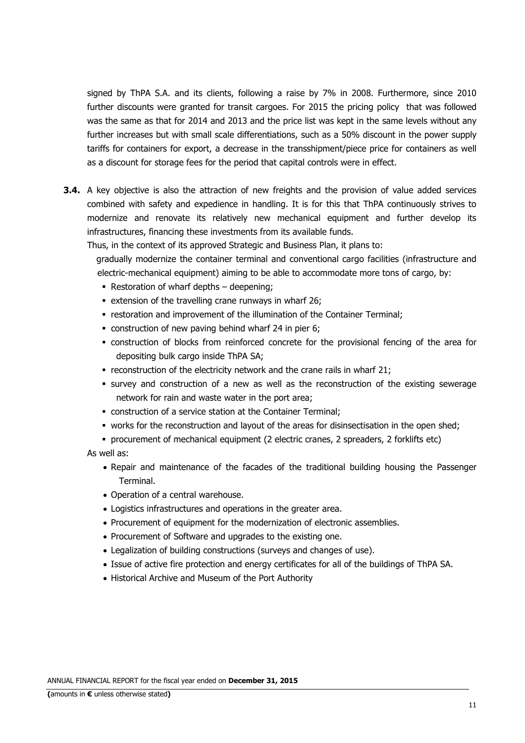signed by ThPA S.A. and its clients, following a raise by 7% in 2008. Furthermore, since 2010 further discounts were granted for transit cargoes. For 2015 the pricing policy that was followed was the same as that for 2014 and 2013 and the price list was kept in the same levels without any further increases but with small scale differentiations, such as a 50% discount in the power supply tariffs for containers for export, a decrease in the transshipment/piece price for containers as well as a discount for storage fees for the period that capital controls were in effect.

**3.4.** A key objective is also the attraction of new freights and the provision of value added services combined with safety and expedience in handling. It is for this that ThPA continuously strives to modernize and renovate its relatively new mechanical equipment and further develop its infrastructures, financing these investments from its available funds.

Thus, in the context of its approved Strategic and Business Plan, it plans to:

gradually modernize the container terminal and conventional cargo facilities (infrastructure and electric-mechanical equipment) aiming to be able to accommodate more tons of cargo, by:

- Restoration of wharf depths deepening;
- **EXTER 10 FM 26.** Extension of the travelling crane runways in wharf 26;
- restoration and improvement of the illumination of the Container Terminal;
- construction of new paving behind wharf 24 in pier 6;
- construction of blocks from reinforced concrete for the provisional fencing of the area for depositing bulk cargo inside ThPA SA;
- $\blacksquare$  reconstruction of the electricity network and the crane rails in wharf 21;
- survey and construction of a new as well as the reconstruction of the existing sewerage network for rain and waste water in the port area;
- construction of a service station at the Container Terminal;
- works for the reconstruction and layout of the areas for disinsectisation in the open shed;
- procurement of mechanical equipment (2 electric cranes, 2 spreaders, 2 forklifts etc)

As well as:

- Repair and maintenance of the facades of the traditional building housing the Passenger Terminal.
- Operation of a central warehouse.
- Logistics infrastructures and operations in the greater area.
- Procurement of equipment for the modernization of electronic assemblies.
- Procurement of Software and upgrades to the existing one.
- Legalization of building constructions (surveys and changes of use).
- Issue of active fire protection and energy certificates for all of the buildings of ThPA SA.
- Historical Archive and Museum of the Port Authority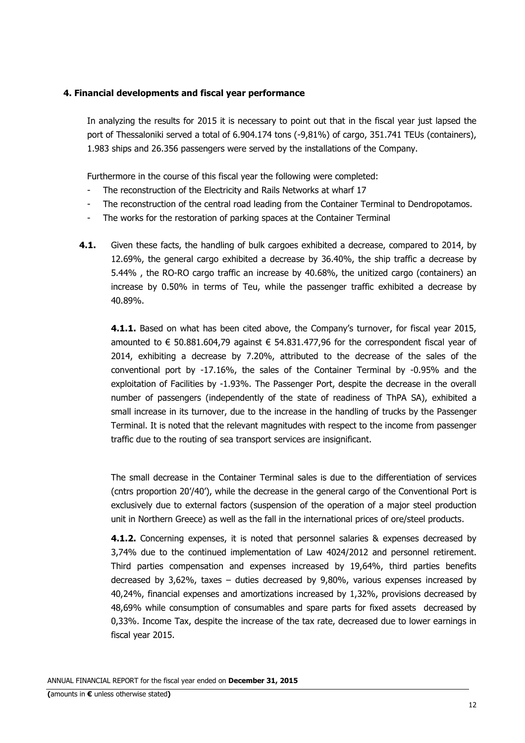#### **4. Financial developments and fiscal year performance**

In analyzing the results for 2015 it is necessary to point out that in the fiscal year just lapsed the port of Thessaloniki served a total of 6.904.174 tons (-9,81%) of cargo, 351.741 TEUs (containers), 1.983 ships and 26.356 passengers were served by the installations of the Company.

Furthermore in the course of this fiscal year the following were completed:

- The reconstruction of the Electricity and Rails Networks at wharf 17
- The reconstruction of the central road leading from the Container Terminal to Dendropotamos.
- The works for the restoration of parking spaces at the Container Terminal
- **4.1.** Given these facts, the handling of bulk cargoes exhibited a decrease, compared to 2014, by 12.69%, the general cargo exhibited a decrease by 36.40%, the ship traffic a decrease by 5.44% , the RO-RO cargo traffic an increase by 40.68%, the unitized cargo (containers) an increase by 0.50% in terms of Teu, while the passenger traffic exhibited a decrease by 40.89%.

**4.1.1.** Based on what has been cited above, the Company's turnover, for fiscal year 2015, amounted to € 50.881.604,79 against € 54.831.477,96 for the correspondent fiscal year of 2014, exhibiting a decrease by 7.20%, attributed to the decrease of the sales of the conventional port by -17.16%, the sales of the Container Terminal by -0.95% and the exploitation of Facilities by -1.93%. The Passenger Port, despite the decrease in the overall number of passengers (independently of the state of readiness of ThPA SA), exhibited a small increase in its turnover, due to the increase in the handling of trucks by the Passenger Terminal. It is noted that the relevant magnitudes with respect to the income from passenger traffic due to the routing of sea transport services are insignificant.

The small decrease in the Container Terminal sales is due to the differentiation of services (cntrs proportion 20'/40'), while the decrease in the general cargo of the Conventional Port is exclusively due to external factors (suspension of the operation of a major steel production unit in Northern Greece) as well as the fall in the international prices of ore/steel products.

 **4.1.2.** Concerning expenses, it is noted that personnel salaries & expenses decreased by 3,74% due to the continued implementation of Law 4024/2012 and personnel retirement. Third parties compensation and expenses increased by 19,64%, third parties benefits decreased by 3,62%, taxes – duties decreased by 9,80%, various expenses increased by 40,24%, financial expenses and amortizations increased by 1,32%, provisions decreased by 48,69% while consumption of consumables and spare parts for fixed assets decreased by 0,33%. Income Tax, despite the increase of the tax rate, decreased due to lower earnings in fiscal year 2015.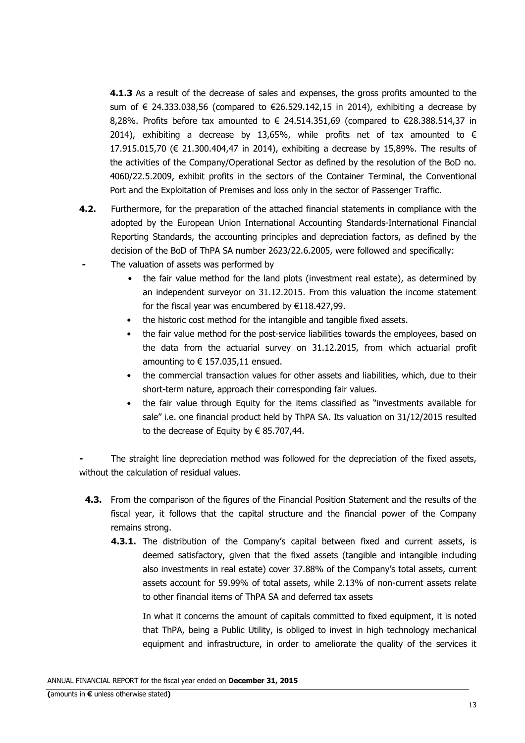**4.1.3** As a result of the decrease of sales and expenses, the gross profits amounted to the sum of € 24.333.038,56 (compared to €26.529.142,15 in 2014), exhibiting a decrease by 8,28%. Profits before tax amounted to  $\in$  24.514.351,69 (compared to  $\in$ 28.388.514,37 in 2014), exhibiting a decrease by 13,65%, while profits net of tax amounted to  $\epsilon$ 17.915.015,70 (€ 21.300.404,47 in 2014), exhibiting a decrease by 15,89%. The results of the activities of the Company/Operational Sector as defined by the resolution of the BoD no. 4060/22.5.2009, exhibit profits in the sectors of the Container Terminal, the Conventional Port and the Exploitation of Premises and loss only in the sector of Passenger Traffic.

- **4.2.** Furthermore, for the preparation of the attached financial statements in compliance with the adopted by the European Union International Accounting Standards-International Financial Reporting Standards, the accounting principles and depreciation factors, as defined by the decision of the BoD of ThPA SA number 2623/22.6.2005, were followed and specifically:
- **-** The valuation of assets was performed by
	- the fair value method for the land plots (investment real estate), as determined by an independent surveyor on 31.12.2015. From this valuation the income statement for the fiscal year was encumbered by €118.427,99.
	- the historic cost method for the intangible and tangible fixed assets.
	- the fair value method for the post-service liabilities towards the employees, based on the data from the actuarial survey on 31.12.2015, from which actuarial profit amounting to  $\epsilon$  157,035,11 ensued.
	- the commercial transaction values for other assets and liabilities, which, due to their short-term nature, approach their corresponding fair values.
	- the fair value through Equity for the items classified as "investments available for sale" i.e. one financial product held by ThPA SA. Its valuation on 31/12/2015 resulted to the decrease of Equity by  $\epsilon$  85.707,44.

The straight line depreciation method was followed for the depreciation of the fixed assets, without the calculation of residual values.

- **4.3.** From the comparison of the figures of the Financial Position Statement and the results of the fiscal year, it follows that the capital structure and the financial power of the Company remains strong.
	- **4.3.1.** The distribution of the Company's capital between fixed and current assets, is deemed satisfactory, given that the fixed assets (tangible and intangible including also investments in real estate) cover 37.88% of the Company's total assets, current assets account for 59.99% of total assets, while 2.13% of non-current assets relate to other financial items of ThPA SA and deferred tax assets

In what it concerns the amount of capitals committed to fixed equipment, it is noted that ThPA, being a Public Utility, is obliged to invest in high technology mechanical equipment and infrastructure, in order to ameliorate the quality of the services it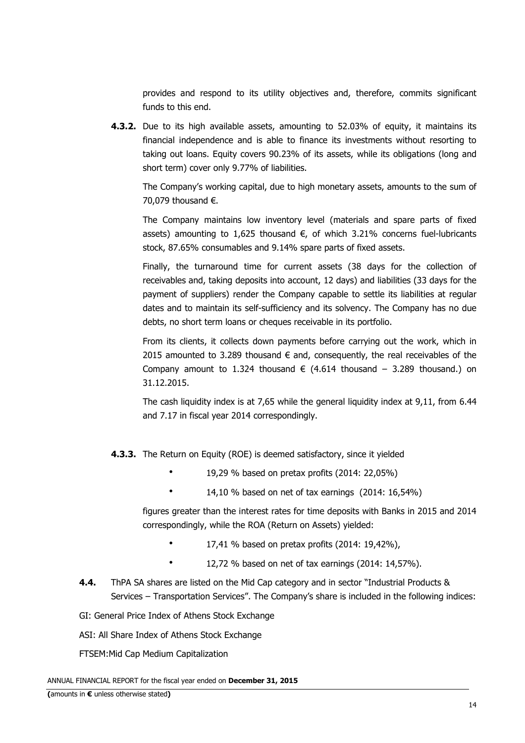provides and respond to its utility objectives and, therefore, commits significant funds to this end.

**4.3.2.** Due to its high available assets, amounting to 52.03% of equity, it maintains its financial independence and is able to finance its investments without resorting to taking out loans. Equity covers 90.23% of its assets, while its obligations (long and short term) cover only 9.77% of liabilities.

The Company's working capital, due to high monetary assets, amounts to the sum of 70,079 thousand €.

The Company maintains low inventory level (materials and spare parts of fixed assets) amounting to 1,625 thousand  $€$ , of which 3.21% concerns fuel-lubricants stock, 87.65% consumables and 9.14% spare parts of fixed assets.

Finally, the turnaround time for current assets (38 days for the collection of receivables and, taking deposits into account, 12 days) and liabilities (33 days for the payment of suppliers) render the Company capable to settle its liabilities at regular dates and to maintain its self-sufficiency and its solvency. The Company has no due debts, no short term loans or cheques receivable in its portfolio.

From its clients, it collects down payments before carrying out the work, which in 2015 amounted to 3.289 thousand  $\epsilon$  and, consequently, the real receivables of the Company amount to 1.324 thousand  $\epsilon$  (4.614 thousand – 3.289 thousand.) on 31.12.2015.

The cash liquidity index is at 7,65 while the general liquidity index at 9,11, from 6.44 and 7.17 in fiscal year 2014 correspondingly.

**4.3.3.** The Return on Equity (ROE) is deemed satisfactory, since it yielded

- 19,29 % based on pretax profits (2014: 22,05%)
- 14,10 % based on net of tax earnings (2014: 16,54%)

figures greater than the interest rates for time deposits with Banks in 2015 and 2014 correspondingly, while the ROA (Return on Assets) yielded:

- $17,41$  % based on pretax profits (2014: 19,42%),
- \* 12,72 % based on net of tax earnings (2014: 14,57%).
- **4.4.** ThPA SA shares are listed on the Mid Cap category and in sector "Industrial Products & Services – Transportation Services". The Company's share is included in the following indices:
- GI: General Price Index of Athens Stock Exchange

ASI: All Share Index of Athens Stock Exchange

FTSEM:Mid Cap Medium Capitalization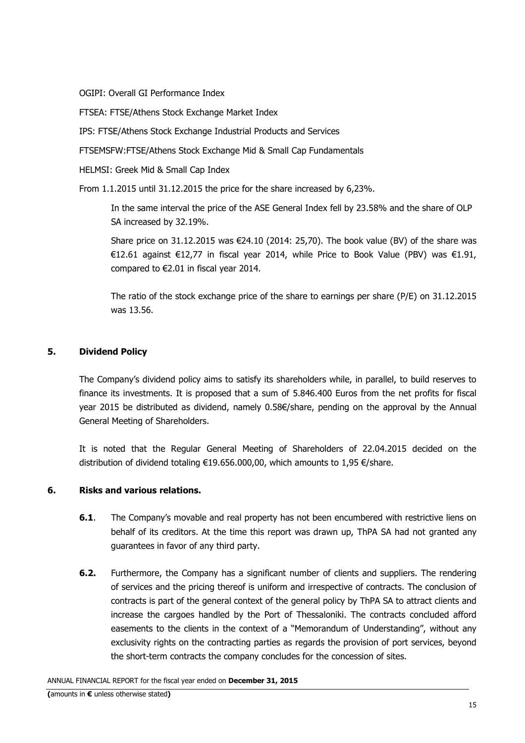OGIPI: Overall GI Performance Index

FTSEA: FTSE/Athens Stock Exchange Market Index

IPS: FTSE/Athens Stock Exchange Industrial Products and Services

FTSEMSFW:FTSE/Athens Stock Exchange Μid & Small Cap Fundamentals

HELMSI: Greek Μid & Small Cap Index

From 1.1.2015 until 31.12.2015 the price for the share increased by 6,23%.

In the same interval the price of the ASE General Index fell by 23.58% and the share of OLP SA increased by 32.19%.

Share price on 31.12.2015 was  $\epsilon$ 24.10 (2014: 25,70). The book value (BV) of the share was €12.61 against €12,77 in fiscal year 2014, while Price to Book Value (PBV) was €1.91, compared to €2.01 in fiscal year 2014.

The ratio of the stock exchange price of the share to earnings per share (P/E) on 31.12.2015 was 13.56.

### **5. Dividend Policy**

The Company's dividend policy aims to satisfy its shareholders while, in parallel, to build reserves to finance its investments. It is proposed that a sum of 5.846.400 Euros from the net profits for fiscal year 2015 be distributed as dividend, namely 0.58€/share, pending on the approval by the Annual General Meeting of Shareholders.

It is noted that the Regular General Meeting of Shareholders of 22.04.2015 decided on the distribution of dividend totaling €19.656.000,00, which amounts to 1,95 €/share.

### **6. Risks and various relations.**

- **6.1.** The Company's movable and real property has not been encumbered with restrictive liens on behalf of its creditors. At the time this report was drawn up, ThPA SA had not granted any guarantees in favor of any third party.
- **6.2.** Furthermore, the Company has a significant number of clients and suppliers. The rendering of services and the pricing thereof is uniform and irrespective of contracts. The conclusion of contracts is part of the general context of the general policy by ThPA SA to attract clients and increase the cargoes handled by the Port of Thessaloniki. The contracts concluded afford easements to the clients in the context of a "Memorandum of Understanding", without any exclusivity rights on the contracting parties as regards the provision of port services, beyond the short-term contracts the company concludes for the concession of sites.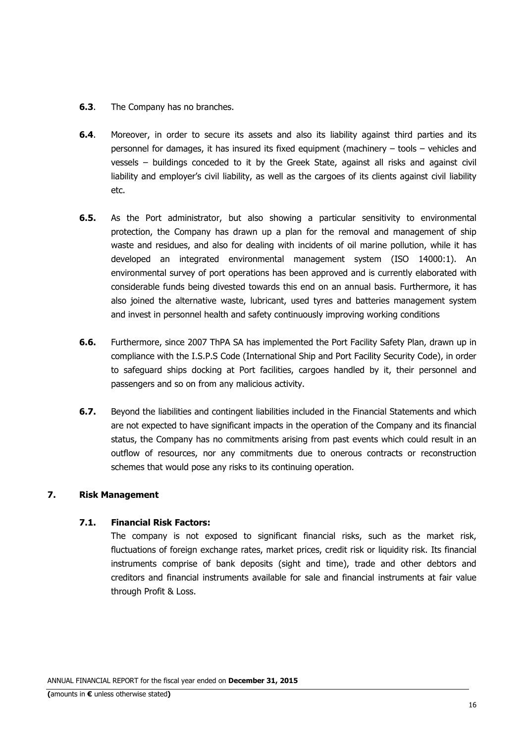- **6.3.** The Company has no branches.
- **6.4**. Moreover, in order to secure its assets and also its liability against third parties and its personnel for damages, it has insured its fixed equipment (machinery – tools – vehicles and vessels – buildings conceded to it by the Greek State, against all risks and against civil liability and employer's civil liability, as well as the cargoes of its clients against civil liability etc.
- **6.5.** As the Port administrator, but also showing a particular sensitivity to environmental protection, the Company has drawn up a plan for the removal and management of ship waste and residues, and also for dealing with incidents of oil marine pollution, while it has developed an integrated environmental management system (ISO 14000:1). An environmental survey of port operations has been approved and is currently elaborated with considerable funds being divested towards this end on an annual basis. Furthermore, it has also joined the alternative waste, lubricant, used tyres and batteries management system and invest in personnel health and safety continuously improving working conditions
- **6.6.** Furthermore, since 2007 ThPA SA has implemented the Port Facility Safety Plan, drawn up in compliance with the I.S.P.S Code (International Ship and Port Facility Security Code), in order to safeguard ships docking at Port facilities, cargoes handled by it, their personnel and passengers and so on from any malicious activity.
- **6.7.** Beyond the liabilities and contingent liabilities included in the Financial Statements and which are not expected to have significant impacts in the operation of the Company and its financial status, the Company has no commitments arising from past events which could result in an outflow of resources, nor any commitments due to onerous contracts or reconstruction schemes that would pose any risks to its continuing operation.

### **7. Risk Management**

### **7.1. Financial Risk Factors:**

The company is not exposed to significant financial risks, such as the market risk, fluctuations of foreign exchange rates, market prices, credit risk or liquidity risk. Its financial instruments comprise of bank deposits (sight and time), trade and other debtors and creditors and financial instruments available for sale and financial instruments at fair value through Profit & Loss.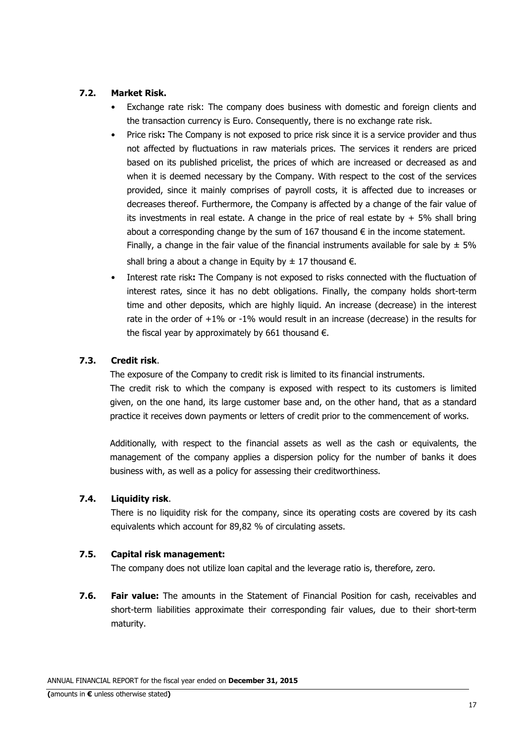### **7.2. Market Risk.**

- Exchange rate risk: The company does business with domestic and foreign clients and the transaction currency is Euro. Consequently, there is no exchange rate risk.
- Price risk**:** The Company is not exposed to price risk since it is a service provider and thus not affected by fluctuations in raw materials prices. The services it renders are priced based on its published pricelist, the prices of which are increased or decreased as and when it is deemed necessary by the Company. With respect to the cost of the services provided, since it mainly comprises of payroll costs, it is affected due to increases or decreases thereof. Furthermore, the Company is affected by a change of the fair value of its investments in real estate. A change in the price of real estate by  $+5\%$  shall bring about a corresponding change by the sum of  $167$  thousand  $\epsilon$  in the income statement. Finally, a change in the fair value of the financial instruments available for sale by  $\pm$  5% shall bring a about a change in Equity by  $\pm$  17 thousand  $\epsilon$ .
- Interest rate risk**:** The Company is not exposed to risks connected with the fluctuation of interest rates, since it has no debt obligations. Finally, the company holds short-term time and other deposits, which are highly liquid. An increase (decrease) in the interest rate in the order of  $+1\%$  or  $-1\%$  would result in an increase (decrease) in the results for the fiscal year by approximately by 661 thousand  $\epsilon$ .

### **7.3. Credit risk**.

The exposure of the Company to credit risk is limited to its financial instruments.

The credit risk to which the company is exposed with respect to its customers is limited given, on the one hand, its large customer base and, on the other hand, that as a standard practice it receives down payments or letters of credit prior to the commencement of works.

Additionally, with respect to the financial assets as well as the cash or equivalents, the management of the company applies a dispersion policy for the number of banks it does business with, as well as a policy for assessing their creditworthiness.

### **7.4. Liquidity risk**.

There is no liquidity risk for the company, since its operating costs are covered by its cash equivalents which account for 89,82 % of circulating assets.

### **7.5. Capital risk management:**

The company does not utilize loan capital and the leverage ratio is, therefore, zero.

**7.6. Fair value:** The amounts in the Statement of Financial Position for cash, receivables and short-term liabilities approximate their corresponding fair values, due to their short-term maturity.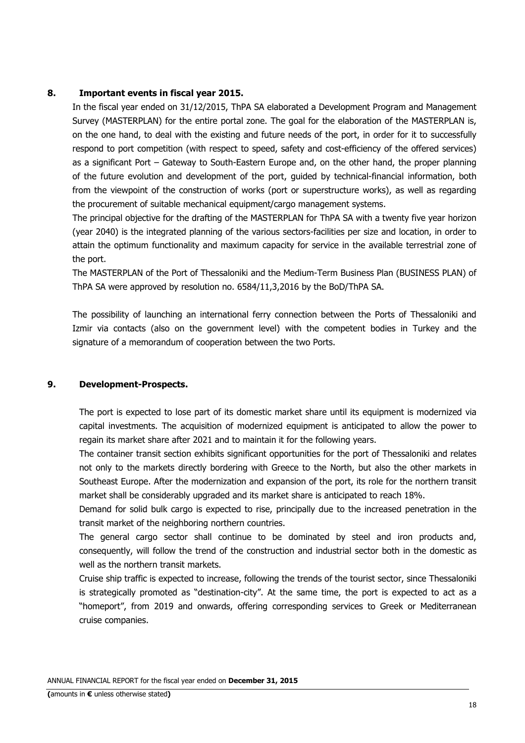#### **8. Important events in fiscal year 2015.**

In the fiscal year ended on 31/12/2015, ThPA SA elaborated a Development Program and Management Survey (MASTERPLAN) for the entire portal zone. The goal for the elaboration of the MASTERPLAN is, on the one hand, to deal with the existing and future needs of the port, in order for it to successfully respond to port competition (with respect to speed, safety and cost-efficiency of the offered services) as a significant Port – Gateway to South-Eastern Europe and, on the other hand, the proper planning of the future evolution and development of the port, guided by technical-financial information, both from the viewpoint of the construction of works (port or superstructure works), as well as regarding the procurement of suitable mechanical equipment/cargo management systems.

The principal objective for the drafting of the MASTERPLAN for ThPA SA with a twenty five year horizon (year 2040) is the integrated planning of the various sectors-facilities per size and location, in order to attain the optimum functionality and maximum capacity for service in the available terrestrial zone of the port.

The MASTERPLAN of the Port of Thessaloniki and the Medium-Term Business Plan (BUSINESS PLAN) of ThPA SA were approved by resolution no. 6584/11,3,2016 by the BoD/ThPA SA.

The possibility of launching an international ferry connection between the Ports of Thessaloniki and Izmir via contacts (also on the government level) with the competent bodies in Turkey and the signature of a memorandum of cooperation between the two Ports.

#### **9. Development-Prospects.**

The port is expected to lose part of its domestic market share until its equipment is modernized via capital investments. The acquisition of modernized equipment is anticipated to allow the power to regain its market share after 2021 and to maintain it for the following years.

The container transit section exhibits significant opportunities for the port of Thessaloniki and relates not only to the markets directly bordering with Greece to the North, but also the other markets in Southeast Europe. After the modernization and expansion of the port, its role for the northern transit market shall be considerably upgraded and its market share is anticipated to reach 18%.

Demand for solid bulk cargo is expected to rise, principally due to the increased penetration in the transit market of the neighboring northern countries.

The general cargo sector shall continue to be dominated by steel and iron products and, consequently, will follow the trend of the construction and industrial sector both in the domestic as well as the northern transit markets.

Cruise ship traffic is expected to increase, following the trends of the tourist sector, since Thessaloniki is strategically promoted as "destination-city". At the same time, the port is expected to act as a "homeport", from 2019 and onwards, offering corresponding services to Greek or Mediterranean cruise companies.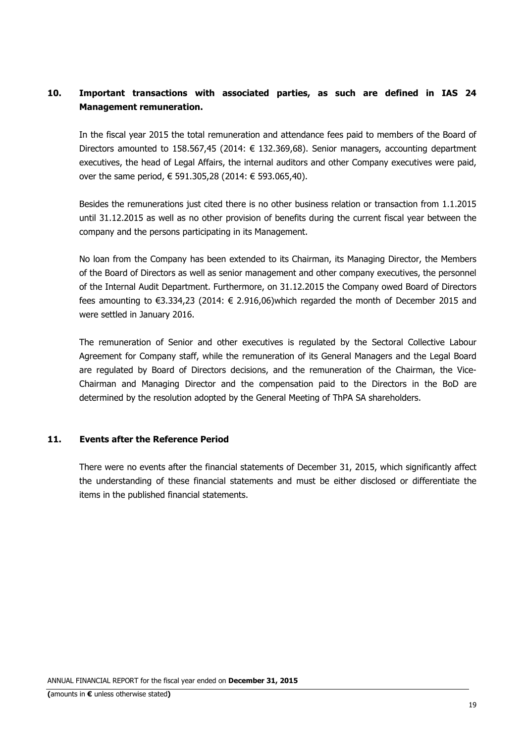### **10. Important transactions with associated parties, as such are defined in IAS 24 Management remuneration.**

In the fiscal year 2015 the total remuneration and attendance fees paid to members of the Board of Directors amounted to 158,567,45 (2014:  $\epsilon$  132,369,68). Senior managers, accounting department executives, the head of Legal Affairs, the internal auditors and other Company executives were paid, over the same period, € 591.305,28 (2014: € 593.065,40).

Besides the remunerations just cited there is no other business relation or transaction from 1.1.2015 until 31.12.2015 as well as no other provision of benefits during the current fiscal year between the company and the persons participating in its Management.

No loan from the Company has been extended to its Chairman, its Managing Director, the Members of the Board of Directors as well as senior management and other company executives, the personnel of the Internal Audit Department. Furthermore, on 31.12.2015 the Company owed Board of Directors fees amounting to €3.334,23 (2014: € 2.916,06)which regarded the month of December 2015 and were settled in January 2016.

The remuneration of Senior and other executives is regulated by the Sectoral Collective Labour Agreement for Company staff, while the remuneration of its General Managers and the Legal Board are regulated by Board of Directors decisions, and the remuneration of the Chairman, the Vice-Chairman and Managing Director and the compensation paid to the Directors in the BoD are determined by the resolution adopted by the General Meeting of ThPA SA shareholders.

### **11. Events after the Reference Period**

There were no events after the financial statements of December 31, 2015, which significantly affect the understanding of these financial statements and must be either disclosed or differentiate the items in the published financial statements.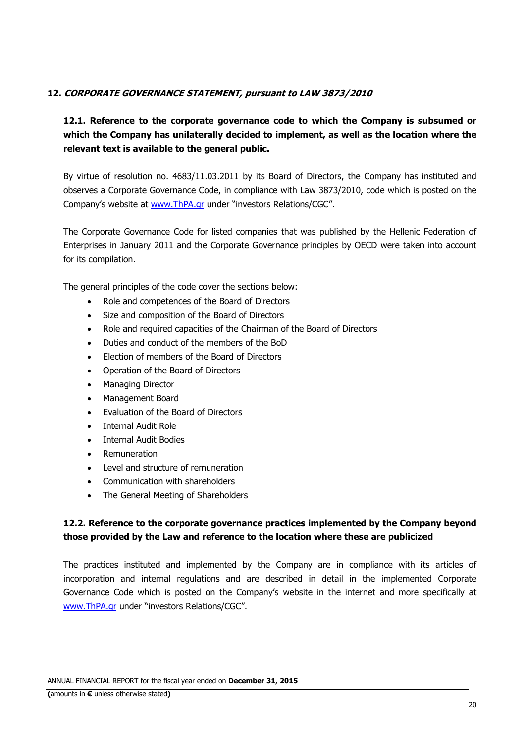### **12. CORPORATE GOVERNANCE STATEMENT, pursuant to LAW 3873/2010**

### **12.1. Reference to the corporate governance code to which the Company is subsumed or which the Company has unilaterally decided to implement, as well as the location where the relevant text is available to the general public.**

By virtue of resolution no. 4683/11.03.2011 by its Board of Directors, the Company has instituted and observes a Corporate Governance Code, in compliance with Law 3873/2010, code which is posted on the Company's website at www.ThPA.gr under "investors Relations/CGC".

The Corporate Governance Code for listed companies that was published by the Hellenic Federation of Enterprises in January 2011 and the Corporate Governance principles by OECD were taken into account for its compilation.

The general principles of the code cover the sections below:

- Role and competences of the Board of Directors
- Size and composition of the Board of Directors
- Role and required capacities of the Chairman of the Board of Directors
- Duties and conduct of the members of the BoD
- Election of members of the Board of Directors
- Operation of the Board of Directors
- Managing Director
- Management Board
- Evaluation of the Board of Directors
- Internal Audit Role
- Internal Audit Bodies
- Remuneration
- Level and structure of remuneration
- Communication with shareholders
- The General Meeting of Shareholders

### **12.2. Reference to the corporate governance practices implemented by the Company beyond those provided by the Law and reference to the location where these are publicized**

The practices instituted and implemented by the Company are in compliance with its articles of incorporation and internal regulations and are described in detail in the implemented Corporate Governance Code which is posted on the Company's website in the internet and more specifically at www.ThPA.gr under "investors Relations/CGC".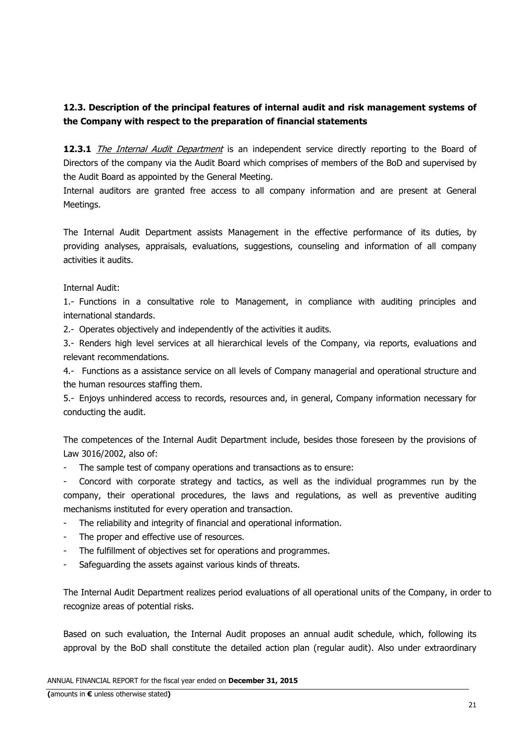### **12.3. Description of the principal features of internal audit and risk management systems of the Company with respect to the preparation of financial statements**

12.3.1 The Internal Audit Department is an independent service directly reporting to the Board of Directors of the company via the Audit Board which comprises of members of the BoD and supervised by the Audit Board as appointed by the General Meeting.

Internal auditors are granted free access to all company information and are present at General Meetings.

The Internal Audit Department assists Management in the effective performance of its duties, by providing analyses, appraisals, evaluations, suggestions, counseling and information of all company activities it audits.

### Internal Audit:

1.- Functions in a consultative role to Management, in compliance with auditing principles and international standards.

2.- Operates objectively and independently of the activities it audits.

3.- Renders high level services at all hierarchical levels of the Company, via reports, evaluations and relevant recommendations.

4.- Functions as a assistance service on all levels of Company managerial and operational structure and the human resources staffing them.

5.- Enjoys unhindered access to records, resources and, in general, Company information necessary for conducting the audit.

The competences of the Internal Audit Department include, besides those foreseen by the provisions of Law 3016/2002, also of:

- The sample test of company operations and transactions as to ensure:

- Concord with corporate strategy and tactics, as well as the individual programmes run by the company, their operational procedures, the laws and regulations, as well as preventive auditing mechanisms instituted for every operation and transaction.

- The reliability and integrity of financial and operational information.
- The proper and effective use of resources.
- The fulfillment of objectives set for operations and programmes.
- Safeguarding the assets against various kinds of threats.

The Internal Audit Department realizes period evaluations of all operational units of the Company, in order to recognize areas of potential risks.

Based on such evaluation, the Internal Audit proposes an annual audit schedule, which, following its approval by the BoD shall constitute the detailed action plan (regular audit). Also under extraordinary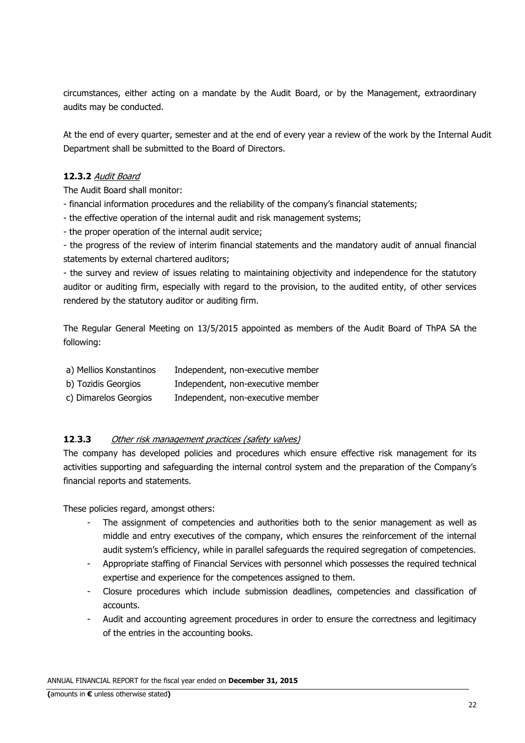circumstances, either acting on a mandate by the Audit Board, or by the Management, extraordinary audits may be conducted.

At the end of every quarter, semester and at the end of every year a review of the work by the Internal Audit Department shall be submitted to the Board of Directors.

### **12.3.2** Audit Board

The Audit Board shall monitor:

- financial information procedures and the reliability of the company's financial statements;
- the effective operation of the internal audit and risk management systems;
- the proper operation of the internal audit service;

- the progress of the review of interim financial statements and the mandatory audit of annual financial statements by external chartered auditors;

- the survey and review of issues relating to maintaining objectivity and independence for the statutory auditor or auditing firm, especially with regard to the provision, to the audited entity, of other services rendered by the statutory auditor or auditing firm.

The Regular General Meeting on 13/5/2015 appointed as members of the Audit Board of ThPA SA the following:

| a) Mellios Konstantinos | Independent, non-executive member |
|-------------------------|-----------------------------------|
|                         |                                   |

- b) Tozidis Georgios Independent, non-executive member
- c) Dimarelos Georgios Independent, non-executive member

### **12**.**3.3** Other risk management practices (safety valves)

The company has developed policies and procedures which ensure effective risk management for its activities supporting and safeguarding the internal control system and the preparation of the Company's financial reports and statements.

These policies regard, amongst others:

- The assignment of competencies and authorities both to the senior management as well as middle and entry executives of the company, which ensures the reinforcement of the internal audit system's efficiency, while in parallel safeguards the required segregation of competencies.
- Appropriate staffing of Financial Services with personnel which possesses the required technical expertise and experience for the competences assigned to them.
- Closure procedures which include submission deadlines, competencies and classification of accounts.
- Audit and accounting agreement procedures in order to ensure the correctness and legitimacy of the entries in the accounting books.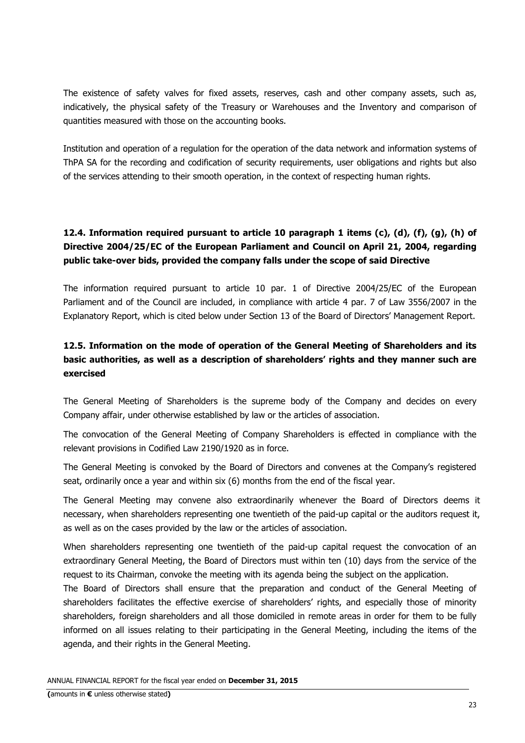The existence of safety valves for fixed assets, reserves, cash and other company assets, such as, indicatively, the physical safety of the Treasury or Warehouses and the Inventory and comparison of quantities measured with those on the accounting books.

Institution and operation of a regulation for the operation of the data network and information systems of ThPA SA for the recording and codification of security requirements, user obligations and rights but also of the services attending to their smooth operation, in the context of respecting human rights.

# **12.4. Information required pursuant to article 10 paragraph 1 items (c), (d), (f), (g), (h) of Directive 2004/25/EC of the European Parliament and Council on April 21, 2004, regarding public take-over bids, provided the company falls under the scope of said Directive**

The information required pursuant to article 10 par. 1 of Directive 2004/25/EC of the European Parliament and of the Council are included, in compliance with article 4 par. 7 of Law 3556/2007 in the Explanatory Report, which is cited below under Section 13 of the Board of Directors' Management Report.

## **12.5. Information on the mode of operation of the General Meeting of Shareholders and its basic authorities, as well as a description of shareholders' rights and they manner such are exercised**

The General Meeting of Shareholders is the supreme body of the Company and decides on every Company affair, under otherwise established by law or the articles of association.

The convocation of the General Meeting of Company Shareholders is effected in compliance with the relevant provisions in Codified Law 2190/1920 as in force.

The General Meeting is convoked by the Board of Directors and convenes at the Company's registered seat, ordinarily once a year and within six (6) months from the end of the fiscal year.

The General Meeting may convene also extraordinarily whenever the Board of Directors deems it necessary, when shareholders representing one twentieth of the paid-up capital or the auditors request it, as well as on the cases provided by the law or the articles of association.

When shareholders representing one twentieth of the paid-up capital request the convocation of an extraordinary General Meeting, the Board of Directors must within ten (10) days from the service of the request to its Chairman, convoke the meeting with its agenda being the subject on the application.

The Board of Directors shall ensure that the preparation and conduct of the General Meeting of shareholders facilitates the effective exercise of shareholders' rights, and especially those of minority shareholders, foreign shareholders and all those domiciled in remote areas in order for them to be fully informed on all issues relating to their participating in the General Meeting, including the items of the agenda, and their rights in the General Meeting.

ANNUAL FINANCIAL REPORT for the fiscal year ended on **December 31, 2015**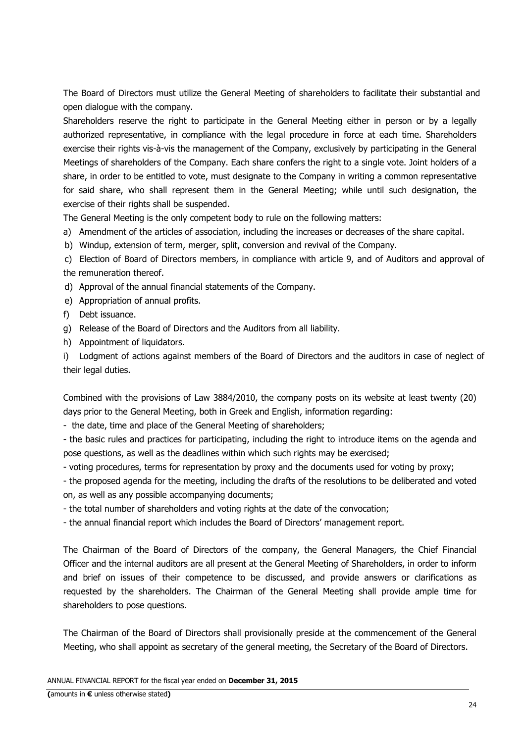The Board of Directors must utilize the General Meeting of shareholders to facilitate their substantial and open dialogue with the company.

Shareholders reserve the right to participate in the General Meeting either in person or by a legally authorized representative, in compliance with the legal procedure in force at each time. Shareholders exercise their rights vis-à-vis the management of the Company, exclusively by participating in the General Meetings of shareholders of the Company. Each share confers the right to a single vote. Joint holders of a share, in order to be entitled to vote, must designate to the Company in writing a common representative for said share, who shall represent them in the General Meeting; while until such designation, the exercise of their rights shall be suspended.

The General Meeting is the only competent body to rule on the following matters:

a) Amendment of the articles of association, including the increases or decreases of the share capital.

b) Windup, extension of term, merger, split, conversion and revival of the Company.

 c) Election of Board of Directors members, in compliance with article 9, and of Auditors and approval of the remuneration thereof.

d) Approval of the annual financial statements of the Company.

e) Appropriation of annual profits.

f) Debt issuance.

g) Release of the Board of Directors and the Auditors from all liability.

h) Appointment of liquidators.

i) Lodgment of actions against members of the Board of Directors and the auditors in case of neglect of their legal duties.

Combined with the provisions of Law 3884/2010, the company posts on its website at least twenty (20) days prior to the General Meeting, both in Greek and English, information regarding:

- the date, time and place of the General Meeting of shareholders;

- the basic rules and practices for participating, including the right to introduce items on the agenda and pose questions, as well as the deadlines within which such rights may be exercised;

- voting procedures, terms for representation by proxy and the documents used for voting by proxy;

- the proposed agenda for the meeting, including the drafts of the resolutions to be deliberated and voted on, as well as any possible accompanying documents;

- the total number of shareholders and voting rights at the date of the convocation;

- the annual financial report which includes the Board of Directors' management report.

The Chairman of the Board of Directors of the company, the General Managers, the Chief Financial Officer and the internal auditors are all present at the General Meeting of Shareholders, in order to inform and brief on issues of their competence to be discussed, and provide answers or clarifications as requested by the shareholders. The Chairman of the General Meeting shall provide ample time for shareholders to pose questions.

The Chairman of the Board of Directors shall provisionally preside at the commencement of the General Meeting, who shall appoint as secretary of the general meeting, the Secretary of the Board of Directors.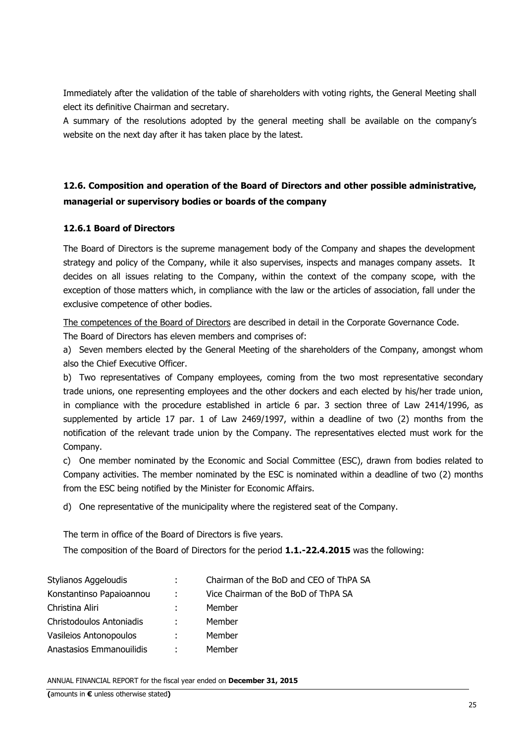Immediately after the validation of the table of shareholders with voting rights, the General Meeting shall elect its definitive Chairman and secretary.

A summary of the resolutions adopted by the general meeting shall be available on the company's website on the next day after it has taken place by the latest.

# **12.6. Composition and operation of the Board of Directors and other possible administrative, managerial or supervisory bodies or boards of the company**

### **12.6.1 Board of Directors**

The Board of Directors is the supreme management body of the Company and shapes the development strategy and policy of the Company, while it also supervises, inspects and manages company assets. It decides on all issues relating to the Company, within the context of the company scope, with the exception of those matters which, in compliance with the law or the articles of association, fall under the exclusive competence of other bodies.

The competences of the Board of Directors are described in detail in the Corporate Governance Code.

The Board of Directors has eleven members and comprises of:

a) Seven members elected by the General Meeting of the shareholders of the Company, amongst whom also the Chief Executive Officer.

b) Two representatives of Company employees, coming from the two most representative secondary trade unions, one representing employees and the other dockers and each elected by his/her trade union, in compliance with the procedure established in article 6 par. 3 section three of Law 2414/1996, as supplemented by article 17 par. 1 of Law 2469/1997, within a deadline of two (2) months from the notification of the relevant trade union by the Company. The representatives elected must work for the Company.

c) One member nominated by the Economic and Social Committee (ESC), drawn from bodies related to Company activities. The member nominated by the ESC is nominated within a deadline of two (2) months from the ESC being notified by the Minister for Economic Affairs.

d) One representative of the municipality where the registered seat of the Company.

The term in office of the Board of Directors is five years.

The composition of the Board of Directors for the period **1.1.-22.4.2015** was the following:

| Stylianos Aggeloudis     |                 | Chairman of the BoD and CEO of ThPA SA |
|--------------------------|-----------------|----------------------------------------|
| Konstantinso Papaioannou | <b>Contract</b> | Vice Chairman of the BoD of ThPA SA    |
| Christina Aliri          |                 | Member                                 |
| Christodoulos Antoniadis |                 | Member                                 |
| Vasileios Antonopoulos   | ÷.              | Member                                 |
| Anastasios Emmanouilidis |                 | Member                                 |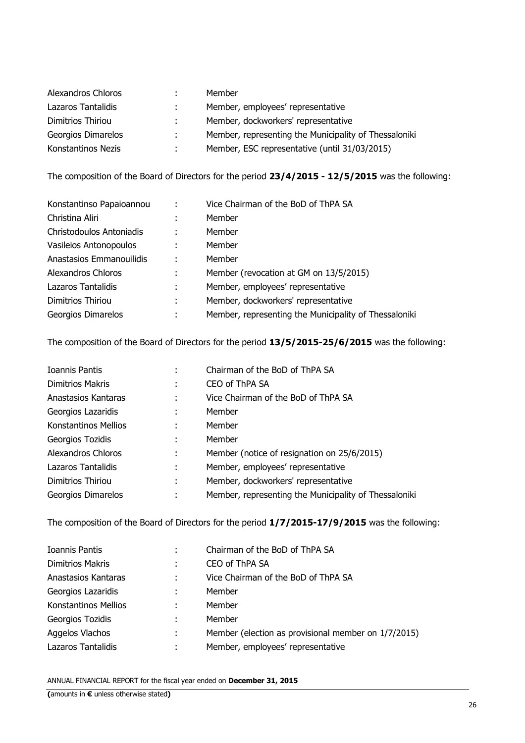| Alexandros Chloros | Member                                                |
|--------------------|-------------------------------------------------------|
| Lazaros Tantalidis | Member, employees' representative                     |
| Dimitrios Thiriou  | Member, dockworkers' representative                   |
| Georgios Dimarelos | Member, representing the Municipality of Thessaloniki |
| Konstantinos Nezis | Member, ESC representative (until 31/03/2015)         |

The composition of the Board of Directors for the period **23/4/2015 - 12/5/2015** was the following:

| Konstantinso Papaioannou | ÷ | Vice Chairman of the BoD of ThPA SA                   |
|--------------------------|---|-------------------------------------------------------|
| Christina Aliri          |   | Member                                                |
| Christodoulos Antoniadis | ÷ | Member                                                |
| Vasileios Antonopoulos   | ÷ | Member                                                |
| Anastasios Emmanouilidis | ÷ | Member                                                |
| Alexandros Chloros       | ÷ | Member (revocation at GM on 13/5/2015)                |
| Lazaros Tantalidis       | ÷ | Member, employees' representative                     |
| Dimitrios Thiriou        | ÷ | Member, dockworkers' representative                   |
| Georgios Dimarelos       | ٠ | Member, representing the Municipality of Thessaloniki |

The composition of the Board of Directors for the period **13/5/2015-25/6/2015** was the following:

| Ioannis Pantis       |   | Chairman of the BoD of ThPA SA                        |
|----------------------|---|-------------------------------------------------------|
| Dimitrios Makris     | ÷ | CEO of ThPA SA                                        |
| Anastasios Kantaras  | ÷ | Vice Chairman of the BoD of ThPA SA                   |
| Georgios Lazaridis   | ÷ | Member                                                |
| Konstantinos Mellios |   | Member                                                |
| Georgios Tozidis     | ٠ | Member                                                |
| Alexandros Chloros   |   | Member (notice of resignation on 25/6/2015)           |
| Lazaros Tantalidis   | ٠ | Member, employees' representative                     |
| Dimitrios Thiriou    | ÷ | Member, dockworkers' representative                   |
| Georgios Dimarelos   | ÷ | Member, representing the Municipality of Thessaloniki |
|                      |   |                                                       |

The composition of the Board of Directors for the period **1/7/2015-17/9/2015** was the following:

| Ioannis Pantis              |   | Chairman of the BoD of ThPA SA                      |
|-----------------------------|---|-----------------------------------------------------|
| <b>Dimitrios Makris</b>     |   | CEO of ThPA SA                                      |
| Anastasios Kantaras         | ÷ | Vice Chairman of the BoD of ThPA SA                 |
| Georgios Lazaridis          | ÷ | Member                                              |
| <b>Konstantinos Mellios</b> | ÷ | Member                                              |
| Georgios Tozidis            | ÷ | Member                                              |
| Aggelos Vlachos             | ÷ | Member (election as provisional member on 1/7/2015) |
| Lazaros Tantalidis          | ٠ | Member, employees' representative                   |
|                             |   |                                                     |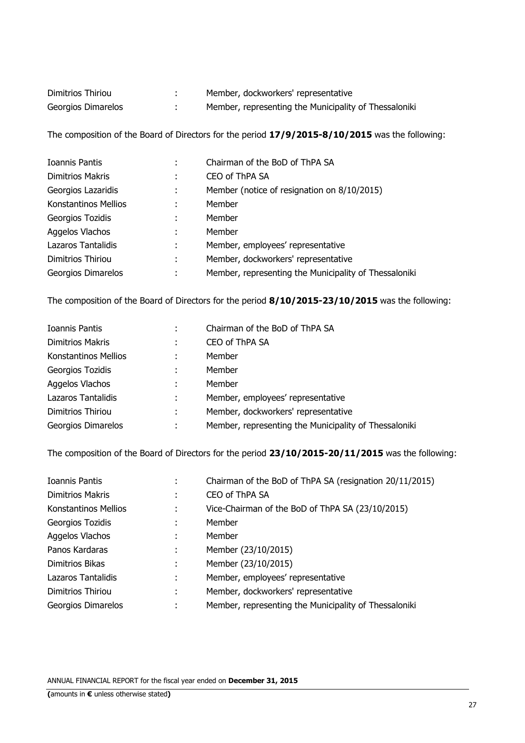| Dimitrios Thiriou  | Member, dockworkers' representative                   |
|--------------------|-------------------------------------------------------|
| Georgios Dimarelos | Member, representing the Municipality of Thessaloniki |

The composition of the Board of Directors for the period **17/9/2015-8/10/2015** was the following:

| Ioannis Pantis          |   | Chairman of the BoD of ThPA SA                        |
|-------------------------|---|-------------------------------------------------------|
| <b>Dimitrios Makris</b> | ÷ | CEO of ThPA SA                                        |
| Georgios Lazaridis      | ÷ | Member (notice of resignation on 8/10/2015)           |
| Konstantinos Mellios    | ٠ | Member                                                |
| Georgios Tozidis        | ÷ | Member                                                |
| Aggelos Vlachos         | ÷ | Member                                                |
| Lazaros Tantalidis      | ÷ | Member, employees' representative                     |
| Dimitrios Thiriou       | ÷ | Member, dockworkers' representative                   |
| Georgios Dimarelos      | ٠ | Member, representing the Municipality of Thessaloniki |

The composition of the Board of Directors for the period **8/10/2015-23/10/2015** was the following:

| <b>Ioannis Pantis</b>   |   | Chairman of the BoD of ThPA SA                        |
|-------------------------|---|-------------------------------------------------------|
| <b>Dimitrios Makris</b> | ÷ | CEO of ThPA SA                                        |
| Konstantinos Mellios    |   | Member                                                |
| Georgios Tozidis        | ÷ | Member                                                |
| Aggelos Vlachos         | ٠ | Member                                                |
| Lazaros Tantalidis      | ÷ | Member, employees' representative                     |
| Dimitrios Thiriou       | ÷ | Member, dockworkers' representative                   |
| Georgios Dimarelos      | ٠ | Member, representing the Municipality of Thessaloniki |

The composition of the Board of Directors for the period **23/10/2015-20/11/2015** was the following:

| Ioannis Pantis          | ٠ | Chairman of the BoD of ThPA SA (resignation 20/11/2015) |
|-------------------------|---|---------------------------------------------------------|
| <b>Dimitrios Makris</b> | ÷ | CEO of ThPA SA                                          |
| Konstantinos Mellios    | ÷ | Vice-Chairman of the BoD of ThPA SA (23/10/2015)        |
| Georgios Tozidis        | ÷ | Member                                                  |
| Aggelos Vlachos         | ٠ | Member                                                  |
| Panos Kardaras          | ÷ | Member (23/10/2015)                                     |
| Dimitrios Bikas         | ÷ | Member (23/10/2015)                                     |
| Lazaros Tantalidis      | ٠ | Member, employees' representative                       |
| Dimitrios Thiriou       | ٠ | Member, dockworkers' representative                     |
| Georgios Dimarelos      | ٠ | Member, representing the Municipality of Thessaloniki   |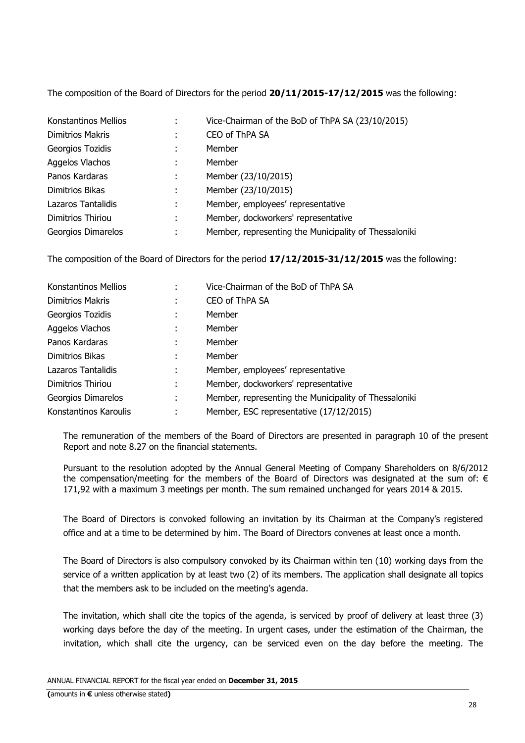The composition of the Board of Directors for the period **20/11/2015-17/12/2015** was the following:

| Konstantinos Mellios    | ÷ | Vice-Chairman of the BoD of ThPA SA (23/10/2015)      |
|-------------------------|---|-------------------------------------------------------|
| <b>Dimitrios Makris</b> | ÷ | CEO of ThPA SA                                        |
| Georgios Tozidis        |   | Member                                                |
| Aggelos Vlachos         | ÷ | Member                                                |
| Panos Kardaras          | ÷ | Member (23/10/2015)                                   |
| Dimitrios Bikas         | t | Member (23/10/2015)                                   |
| Lazaros Tantalidis      | ÷ | Member, employees' representative                     |
| Dimitrios Thiriou       | ÷ | Member, dockworkers' representative                   |
| Georgios Dimarelos      | ٠ | Member, representing the Municipality of Thessaloniki |

The composition of the Board of Directors for the period **17/12/2015-31/12/2015** was the following:

| Konstantinos Mellios  |   | Vice-Chairman of the BoD of ThPA SA                   |
|-----------------------|---|-------------------------------------------------------|
| Dimitrios Makris      | ٠ | CEO of ThPA SA                                        |
| Georgios Tozidis      |   | Member                                                |
| Aggelos Vlachos       |   | Member                                                |
| Panos Kardaras        | ٠ | Member                                                |
| Dimitrios Bikas       | ÷ | Member                                                |
| Lazaros Tantalidis    | ÷ | Member, employees' representative                     |
| Dimitrios Thiriou     | ÷ | Member, dockworkers' representative                   |
| Georgios Dimarelos    | ٠ | Member, representing the Municipality of Thessaloniki |
| Konstantinos Karoulis |   | Member, ESC representative (17/12/2015)               |

The remuneration of the members of the Board of Directors are presented in paragraph 10 of the present Report and note 8.27 on the financial statements.

Pursuant to the resolution adopted by the Annual General Meeting of Company Shareholders on 8/6/2012 the compensation/meeting for the members of the Board of Directors was designated at the sum of:  $\epsilon$ 171,92 with a maximum 3 meetings per month. The sum remained unchanged for years 2014 & 2015.

The Board of Directors is convoked following an invitation by its Chairman at the Company's registered office and at a time to be determined by him. The Board of Directors convenes at least once a month.

The Board of Directors is also compulsory convoked by its Chairman within ten (10) working days from the service of a written application by at least two (2) of its members. The application shall designate all topics that the members ask to be included on the meeting's agenda.

The invitation, which shall cite the topics of the agenda, is serviced by proof of delivery at least three (3) working days before the day of the meeting. In urgent cases, under the estimation of the Chairman, the invitation, which shall cite the urgency, can be serviced even on the day before the meeting. The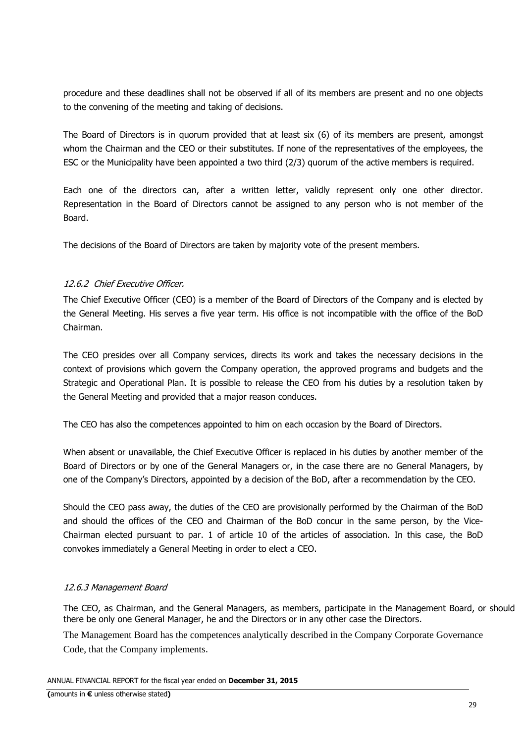procedure and these deadlines shall not be observed if all of its members are present and no one objects to the convening of the meeting and taking of decisions.

The Board of Directors is in quorum provided that at least six (6) of its members are present, amongst whom the Chairman and the CEO or their substitutes. If none of the representatives of the employees, the ESC or the Municipality have been appointed a two third (2/3) quorum of the active members is required.

Each one of the directors can, after a written letter, validly represent only one other director. Representation in the Board of Directors cannot be assigned to any person who is not member of the Board.

The decisions of the Board of Directors are taken by majority vote of the present members.

### 12.6.2 Chief Executive Officer.

The Chief Executive Officer (CEO) is a member of the Board of Directors of the Company and is elected by the General Meeting. His serves a five year term. His office is not incompatible with the office of the BoD Chairman.

The CEO presides over all Company services, directs its work and takes the necessary decisions in the context of provisions which govern the Company operation, the approved programs and budgets and the Strategic and Operational Plan. It is possible to release the CEO from his duties by a resolution taken by the General Meeting and provided that a major reason conduces.

The CEO has also the competences appointed to him on each occasion by the Board of Directors.

When absent or unavailable, the Chief Executive Officer is replaced in his duties by another member of the Board of Directors or by one of the General Managers or, in the case there are no General Managers, by one of the Company's Directors, appointed by a decision of the BoD, after a recommendation by the CEO.

Should the CEO pass away, the duties of the CEO are provisionally performed by the Chairman of the BoD and should the offices of the CEO and Chairman of the BoD concur in the same person, by the Vice-Chairman elected pursuant to par. 1 of article 10 of the articles of association. In this case, the BoD convokes immediately a General Meeting in order to elect a CEO.

### 12.6.3 Management Board

The CEO, as Chairman, and the General Managers, as members, participate in the Management Board, or should there be only one General Manager, he and the Directors or in any other case the Directors.

The Management Board has the competences analytically described in the Company Corporate Governance Code, that the Company implements.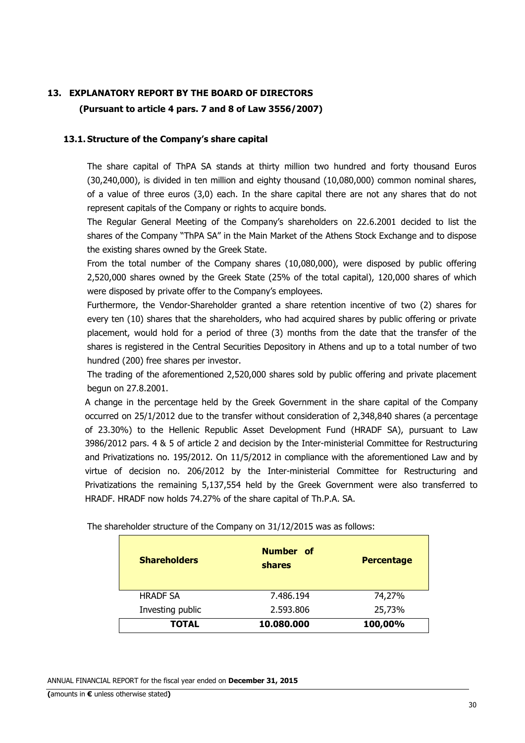### **13. EXPLANATORY REPORT BY THE BOARD OF DIRECTORS**

**(Pursuant to article 4 pars. 7 and 8 of Law 3556/2007)**

#### **13.1. Structure of the Company's share capital**

The share capital of ThPA SA stands at thirty million two hundred and forty thousand Euros (30,240,000), is divided in ten million and eighty thousand (10,080,000) common nominal shares, of a value of three euros (3,0) each. In the share capital there are not any shares that do not represent capitals of the Company or rights to acquire bonds.

The Regular General Meeting of the Company's shareholders on 22.6.2001 decided to list the shares of the Company "ThPA SA" in the Main Market of the Athens Stock Exchange and to dispose the existing shares owned by the Greek State.

From the total number of the Company shares (10,080,000), were disposed by public offering 2,520,000 shares owned by the Greek State (25% of the total capital), 120,000 shares of which were disposed by private offer to the Company's employees.

Furthermore, the Vendor-Shareholder granted a share retention incentive of two (2) shares for every ten (10) shares that the shareholders, who had acquired shares by public offering or private placement, would hold for a period of three (3) months from the date that the transfer of the shares is registered in the Central Securities Depository in Athens and up to a total number of two hundred (200) free shares per investor.

The trading of the aforementioned 2,520,000 shares sold by public offering and private placement begun on 27.8.2001.

A change in the percentage held by the Greek Government in the share capital of the Company occurred on 25/1/2012 due to the transfer without consideration of 2,348,840 shares (a percentage of 23.30%) to the Hellenic Republic Asset Development Fund (HRADF SA), pursuant to Law 3986/2012 pars. 4 & 5 of article 2 and decision by the Inter-ministerial Committee for Restructuring and Privatizations no. 195/2012. On 11/5/2012 in compliance with the aforementioned Law and by virtue of decision no. 206/2012 by the Inter-ministerial Committee for Restructuring and Privatizations the remaining 5,137,554 held by the Greek Government were also transferred to HRADF. HRADF now holds 74.27% of the share capital of Th.P.A. SA.

| <b>Shareholders</b> | Number of<br>shares | <b>Percentage</b> |
|---------------------|---------------------|-------------------|
| <b>HRADF SA</b>     | 7.486.194           | 74,27%            |
| Investing public    | 2.593.806           | 25,73%            |
| TOTAL               | 10.080.000          | 100,00%           |

The shareholder structure of the Company on 31/12/2015 was as follows: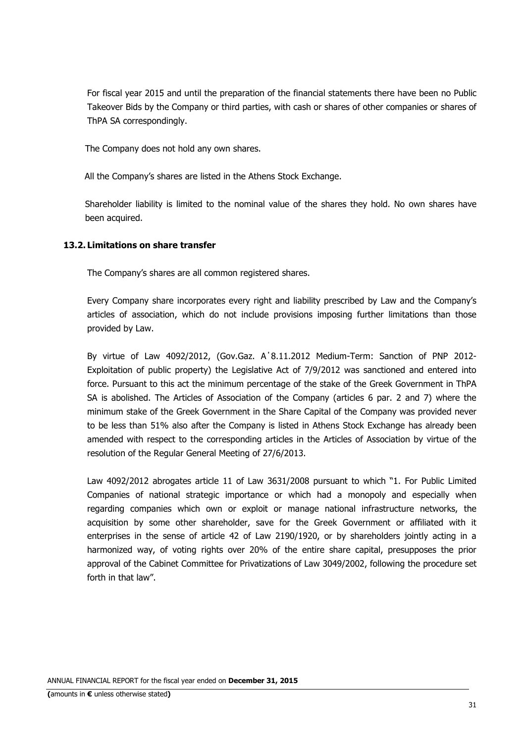For fiscal year 2015 and until the preparation of the financial statements there have been no Public Takeover Bids by the Company or third parties, with cash or shares of other companies or shares of ThPA SA correspondingly.

The Company does not hold any own shares.

All the Company's shares are listed in the Athens Stock Exchange.

Shareholder liability is limited to the nominal value of the shares they hold. No own shares have been acquired.

#### **13.2. Limitations on share transfer**

The Company's shares are all common registered shares.

Every Company share incorporates every right and liability prescribed by Law and the Company's articles of association, which do not include provisions imposing further limitations than those provided by Law.

By virtue of Law 4092/2012, (Gov.Gaz. Α΄8.11.2012 Medium-Term: Sanction of PNP 2012- Exploitation of public property) the Legislative Act of 7/9/2012 was sanctioned and entered into force. Pursuant to this act the minimum percentage of the stake of the Greek Government in ThPA SA is abolished. The Articles of Association of the Company (articles 6 par. 2 and 7) where the minimum stake of the Greek Government in the Share Capital of the Company was provided never to be less than 51% also after the Company is listed in Athens Stock Exchange has already been amended with respect to the corresponding articles in the Articles of Association by virtue of the resolution of the Regular General Meeting of 27/6/2013.

Law 4092/2012 abrogates article 11 of Law 3631/2008 pursuant to which "1. For Public Limited Companies of national strategic importance or which had a monopoly and especially when regarding companies which own or exploit or manage national infrastructure networks, the acquisition by some other shareholder, save for the Greek Government or affiliated with it enterprises in the sense of article 42 of Law 2190/1920, or by shareholders jointly acting in a harmonized way, of voting rights over 20% of the entire share capital, presupposes the prior approval of the Cabinet Committee for Privatizations of Law 3049/2002, following the procedure set forth in that law".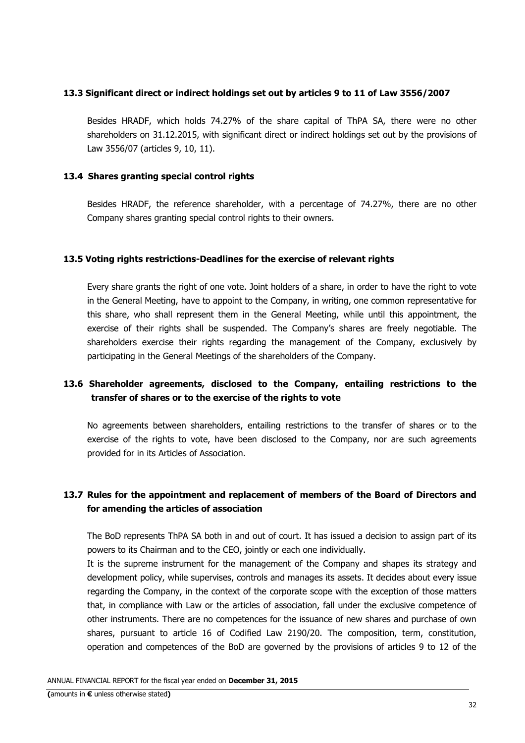#### **13.3 Significant direct or indirect holdings set out by articles 9 to 11 of Law 3556/2007**

Besides HRADF, which holds 74.27% of the share capital of ThPA SA, there were no other shareholders on 31.12.2015, with significant direct or indirect holdings set out by the provisions of Law 3556/07 (articles 9, 10, 11).

#### **13.4 Shares granting special control rights**

Besides HRADF, the reference shareholder, with a percentage of 74.27%, there are no other Company shares granting special control rights to their owners.

#### **13.5 Voting rights restrictions-Deadlines for the exercise of relevant rights**

Every share grants the right of one vote. Joint holders of a share, in order to have the right to vote in the General Meeting, have to appoint to the Company, in writing, one common representative for this share, who shall represent them in the General Meeting, while until this appointment, the exercise of their rights shall be suspended. The Company's shares are freely negotiable. The shareholders exercise their rights regarding the management of the Company, exclusively by participating in the General Meetings of the shareholders of the Company.

### **13.6 Shareholder agreements, disclosed to the Company, entailing restrictions to the transfer of shares or to the exercise of the rights to vote**

No agreements between shareholders, entailing restrictions to the transfer of shares or to the exercise of the rights to vote, have been disclosed to the Company, nor are such agreements provided for in its Articles of Association.

### **13.7 Rules for the appointment and replacement of members of the Board of Directors and for amending the articles of association**

The BoD represents ThPA SA both in and out of court. It has issued a decision to assign part of its powers to its Chairman and to the CEO, jointly or each one individually.

It is the supreme instrument for the management of the Company and shapes its strategy and development policy, while supervises, controls and manages its assets. It decides about every issue regarding the Company, in the context of the corporate scope with the exception of those matters that, in compliance with Law or the articles of association, fall under the exclusive competence of other instruments. There are no competences for the issuance of new shares and purchase of own shares, pursuant to article 16 of Codified Law 2190/20. The composition, term, constitution, operation and competences of the BoD are governed by the provisions of articles 9 to 12 of the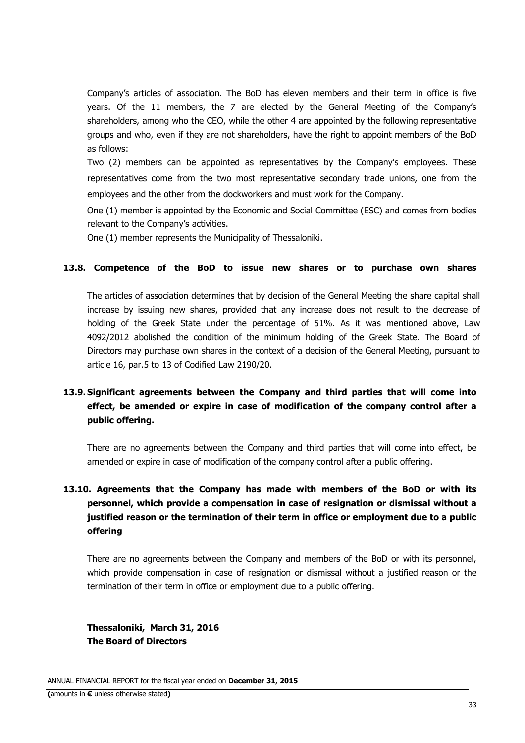Company's articles of association. The BoD has eleven members and their term in office is five years. Of the 11 members, the 7 are elected by the General Meeting of the Company's shareholders, among who the CEO, while the other 4 are appointed by the following representative groups and who, even if they are not shareholders, have the right to appoint members of the BoD as follows:

Two (2) members can be appointed as representatives by the Company's employees. These representatives come from the two most representative secondary trade unions, one from the employees and the other from the dockworkers and must work for the Company.

One (1) member is appointed by the Economic and Social Committee (ESC) and comes from bodies relevant to the Company's activities.

One (1) member represents the Municipality of Thessaloniki.

### **13.8. Competence of the BoD to issue new shares or to purchase own shares**

The articles of association determines that by decision of the General Meeting the share capital shall increase by issuing new shares, provided that any increase does not result to the decrease of holding of the Greek State under the percentage of 51%. As it was mentioned above, Law 4092/2012 abolished the condition of the minimum holding of the Greek State. The Board of Directors may purchase own shares in the context of a decision of the General Meeting, pursuant to article 16, par.5 to 13 of Codified Law 2190/20.

## **13.9. Significant agreements between the Company and third parties that will come into effect, be amended or expire in case of modification of the company control after a public offering.**

There are no agreements between the Company and third parties that will come into effect, be amended or expire in case of modification of the company control after a public offering.

# **13.10. Agreements that the Company has made with members of the BoD or with its personnel, which provide a compensation in case of resignation or dismissal without a justified reason or the termination of their term in office or employment due to a public offering**

There are no agreements between the Company and members of the BoD or with its personnel, which provide compensation in case of resignation or dismissal without a justified reason or the termination of their term in office or employment due to a public offering.

**Thessaloniki, March 31, 2016 The Board of Directors**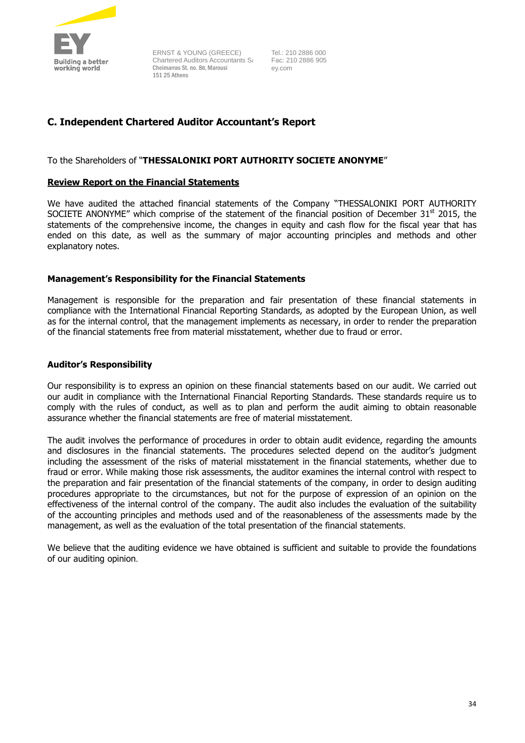

ERNST & YOUNG (GREECE) Chartered Auditors Accountants S Cheimarras St. no. 8Β, Marousi 151 25 Athens

Tel.: 210 2886 000 Fac: 210 2886 905 ey.com

### **C. Independent Chartered Auditor Accountant's Report**

#### To the Shareholders of "**THESSALONIKI PORT AUTHORITY SOCIETE ANONYME**"

#### **Review Report on the Financial Statements**

We have audited the attached financial statements of the Company "THESSALONIKI PORT AUTHORITY SOCIETE ANONYME" which comprise of the statement of the financial position of December  $31<sup>st</sup>$  2015, the statements of the comprehensive income, the changes in equity and cash flow for the fiscal year that has ended on this date, as well as the summary of major accounting principles and methods and other explanatory notes.

#### **Management's Responsibility for the Financial Statements**

Management is responsible for the preparation and fair presentation of these financial statements in compliance with the International Financial Reporting Standards, as adopted by the European Union, as well as for the internal control, that the management implements as necessary, in order to render the preparation of the financial statements free from material misstatement, whether due to fraud or error.

#### **Auditor's Responsibility**

Our responsibility is to express an opinion on these financial statements based on our audit. We carried out our audit in compliance with the International Financial Reporting Standards. These standards require us to comply with the rules of conduct, as well as to plan and perform the audit aiming to obtain reasonable assurance whether the financial statements are free of material misstatement.

The audit involves the performance of procedures in order to obtain audit evidence, regarding the amounts and disclosures in the financial statements. The procedures selected depend on the auditor's judgment including the assessment of the risks of material misstatement in the financial statements, whether due to fraud or error. While making those risk assessments, the auditor examines the internal control with respect to the preparation and fair presentation of the financial statements of the company, in order to design auditing procedures appropriate to the circumstances, but not for the purpose of expression of an opinion on the effectiveness of the internal control of the company. The audit also includes the evaluation of the suitability of the accounting principles and methods used and of the reasonableness of the assessments made by the management, as well as the evaluation of the total presentation of the financial statements.

We believe that the auditing evidence we have obtained is sufficient and suitable to provide the foundations of our auditing opinion.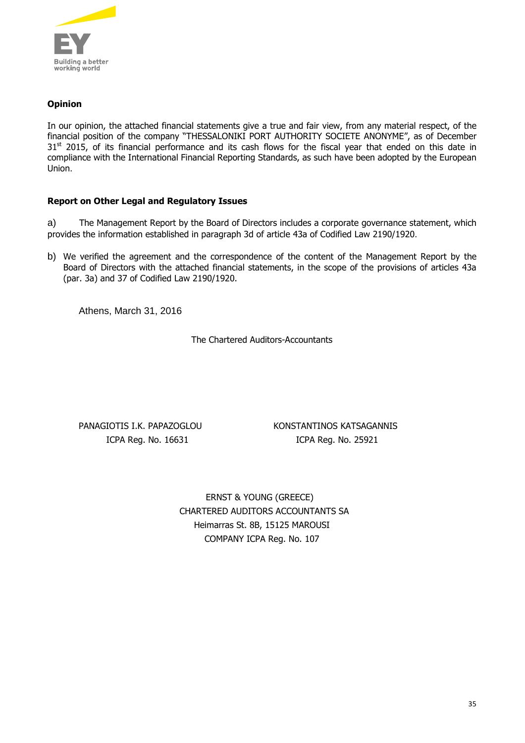

### **Opinion**

In our opinion, the attached financial statements give a true and fair view, from any material respect, of the financial position of the company "THESSALONIKI PORT AUTHORITY SOCIETE ANONYME", as of December 31<sup>st</sup> 2015, of its financial performance and its cash flows for the fiscal year that ended on this date in compliance with the International Financial Reporting Standards, as such have been adopted by the European Union.

#### **Report on Other Legal and Regulatory Issues**

a) The Management Report by the Board of Directors includes a corporate governance statement, which provides the information established in paragraph 3d of article 43a of Codified Law 2190/1920.

b) We verified the agreement and the correspondence of the content of the Management Report by the Board of Directors with the attached financial statements, in the scope of the provisions of articles 43a (par. 3a) and 37 of Codified Law 2190/1920.

Athens, March 31, 2016

The Chartered Auditors-Accountants

PANAGIOTIS I.K. PAPAZOGLOU KONSTANTINOS KATSAGANNIS ICPA Reg. No. 16631 ICPA Reg. No. 25921

> ERNST & YOUNG (GREECE) CHARTERED AUDITORS ACCOUNTANTS SΑ Heimarras St. 8B, 15125 MAROUSI COMPANY ICPA Reg. No. 107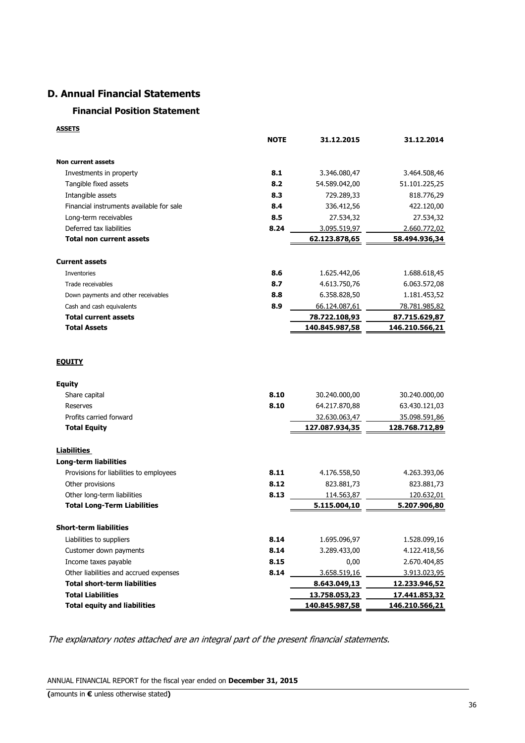### **D. Annual Financial Statements**

### **Financial Position Statement**

**ASSETS**

|                                          | <b>NOTE</b> | 31.12.2015     | 31.12.2014     |
|------------------------------------------|-------------|----------------|----------------|
| <b>Non current assets</b>                |             |                |                |
| Investments in property                  | 8.1         | 3.346.080,47   | 3.464.508,46   |
| Tangible fixed assets                    | 8.2         | 54.589.042,00  | 51.101.225,25  |
| Intangible assets                        | 8.3         | 729.289,33     | 818.776,29     |
| Financial instruments available for sale | 8.4         | 336.412,56     | 422.120,00     |
| Long-term receivables                    | 8.5         | 27.534,32      | 27.534,32      |
| Deferred tax liabilities                 | 8.24        | 3.095.519,97   | 2.660.772,02   |
| <b>Total non current assets</b>          |             | 62.123.878,65  | 58.494.936,34  |
| <b>Current assets</b>                    |             |                |                |
| Inventories                              | 8.6         | 1.625.442,06   | 1.688.618,45   |
| Trade receivables                        | 8.7         | 4.613.750,76   | 6.063.572,08   |
| Down payments and other receivables      | 8.8         | 6.358.828,50   | 1.181.453,52   |
| Cash and cash equivalents                | 8.9         | 66.124.087,61  | 78.781.985,82  |
| <b>Total current assets</b>              |             | 78.722.108,93  | 87.715.629,87  |
| <b>Total Assets</b>                      |             | 140.845.987,58 | 146.210.566,21 |
| <b>EQUITY</b>                            |             |                |                |
| <b>Equity</b>                            |             |                |                |
| Share capital                            | 8.10        | 30.240.000,00  | 30.240.000,00  |
| Reserves                                 | 8.10        | 64.217.870,88  | 63.430.121,03  |
| Profits carried forward                  |             | 32.630.063,47  | 35.098.591,86  |
| <b>Total Equity</b>                      |             | 127.087.934,35 | 128.768.712,89 |
| Liabilities                              |             |                |                |
| <b>Long-term liabilities</b>             |             |                |                |
| Provisions for liabilities to employees  | 8.11        | 4.176.558,50   | 4.263.393,06   |
| Other provisions                         | 8.12        | 823.881,73     | 823.881,73     |
| Other long-term liabilities              | 8.13        | 114.563,87     | 120.632,01     |
| <b>Total Long-Term Liabilities</b>       |             | 5.115.004,10   | 5.207.906,80   |
| <b>Short-term liabilities</b>            |             |                |                |
| Liabilities to suppliers                 | 8.14        | 1.695.096,97   | 1.528.099,16   |
| Customer down payments                   | 8.14        | 3.289.433,00   | 4.122.418,56   |
| Income taxes payable                     | 8.15        | 0,00           | 2.670.404,85   |
| Other liabilities and accrued expenses   | 8.14        | 3.658.519,16   | 3.913.023,95   |
| <b>Total short-term liabilities</b>      |             | 8.643.049,13   | 12.233.946,52  |
| <b>Total Liabilities</b>                 |             | 13.758.053,23  | 17.441.853,32  |
| <b>Total equity and liabilities</b>      |             | 140.845.987,58 | 146.210.566,21 |

The explanatory notes attached are an integral part of the present financial statements.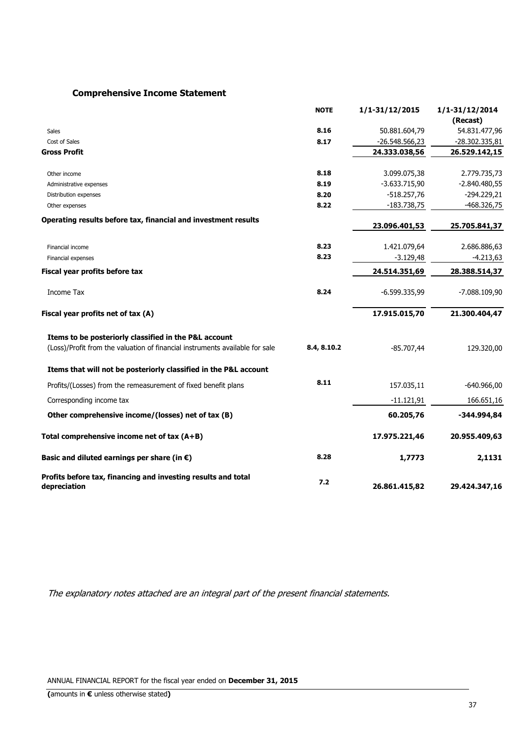# **Comprehensive Income Statement**

|                                                                                                                                       | <b>NOTE</b> | 1/1-31/12/2015   | $1/1 - 31/12/2014$<br>(Recast) |
|---------------------------------------------------------------------------------------------------------------------------------------|-------------|------------------|--------------------------------|
| <b>Sales</b>                                                                                                                          | 8.16        | 50.881.604,79    | 54.831.477,96                  |
| Cost of Sales                                                                                                                         | 8.17        | $-26.548.566,23$ | -28.302.335,81                 |
| <b>Gross Profit</b>                                                                                                                   |             | 24.333.038,56    | 26.529.142,15                  |
| Other income                                                                                                                          | 8.18        | 3.099.075,38     | 2.779.735,73                   |
| Administrative expenses                                                                                                               | 8.19        | $-3.633.715,90$  | $-2.840.480,55$                |
| Distribution expenses                                                                                                                 | 8.20        | $-518.257,76$    | $-294.229,21$                  |
| Other expenses                                                                                                                        | 8.22        | $-183.738,75$    | $-468.326,75$                  |
| Operating results before tax, financial and investment results                                                                        |             | 23.096.401,53    | 25.705.841,37                  |
| Financial income                                                                                                                      | 8.23        | 1.421.079,64     | 2.686.886,63                   |
| Financial expenses                                                                                                                    | 8.23        | $-3.129,48$      | $-4.213,63$                    |
| Fiscal year profits before tax                                                                                                        |             | 24.514.351,69    | 28.388.514,37                  |
| Income Tax                                                                                                                            | 8.24        | $-6.599.335,99$  | $-7.088.109,90$                |
| Fiscal year profits net of tax (A)                                                                                                    |             | 17.915.015,70    | 21.300.404,47                  |
| Items to be posteriorly classified in the P&L account<br>(Loss)/Profit from the valuation of financial instruments available for sale | 8.4, 8.10.2 | $-85.707,44$     | 129.320,00                     |
| Items that will not be posteriorly classified in the P&L account                                                                      |             |                  |                                |
| Profits/(Losses) from the remeasurement of fixed benefit plans                                                                        | 8.11        | 157.035,11       | $-640.966,00$                  |
| Corresponding income tax                                                                                                              |             | $-11.121,91$     | 166.651,16                     |
| Other comprehensive income/(losses) net of tax (B)                                                                                    |             | 60.205,76        | $-344.994,84$                  |
| Total comprehensive income net of tax $(A+B)$                                                                                         |             | 17.975.221,46    | 20.955.409,63                  |
| Basic and diluted earnings per share (in $\epsilon$ )                                                                                 | 8.28        | 1,7773           | 2,1131                         |
| Profits before tax, financing and investing results and total<br>depreciation                                                         | 7.2         | 26.861.415,82    | 29.424.347,16                  |

The explanatory notes attached are an integral part of the present financial statements.

ANNUAL FINANCIAL REPORT for the fiscal year ended on **December 31, 2015**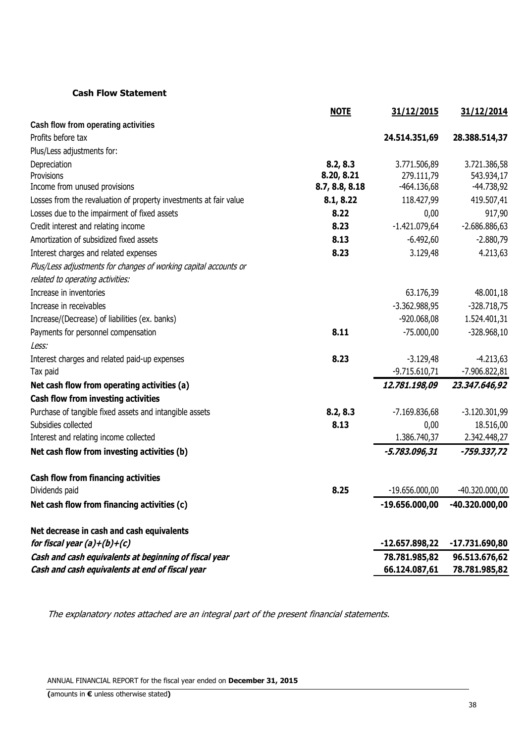# **Cash Flow Statement**

|                                                                                                          | <b>NOTE</b>    | 31/12/2015                     | 31/12/2014                     |
|----------------------------------------------------------------------------------------------------------|----------------|--------------------------------|--------------------------------|
| Cash flow from operating activities                                                                      |                |                                |                                |
| Profits before tax                                                                                       |                | 24.514.351,69                  | 28.388.514,37                  |
| Plus/Less adjustments for:                                                                               |                |                                |                                |
| Depreciation                                                                                             | 8.2, 8.3       | 3.771.506,89                   | 3.721.386,58                   |
| Provisions                                                                                               | 8.20, 8.21     | 279.111,79                     | 543.934,17                     |
| Income from unused provisions                                                                            | 8.7, 8.8, 8.18 | $-464.136,68$                  | -44.738,92                     |
| Losses from the revaluation of property investments at fair value                                        | 8.1, 8.22      | 118.427,99                     | 419.507,41                     |
| Losses due to the impairment of fixed assets                                                             | 8.22           | 0,00                           | 917,90                         |
| Credit interest and relating income                                                                      | 8.23           | $-1.421.079,64$                | $-2.686.886,63$                |
| Amortization of subsidized fixed assets                                                                  | 8.13           | $-6.492,60$                    | $-2.880,79$                    |
| Interest charges and related expenses                                                                    | 8.23           | 3.129,48                       | 4.213,63                       |
| Plus/Less adjustments for changes of working capital accounts or                                         |                |                                |                                |
| related to operating activities:                                                                         |                |                                |                                |
| Increase in inventories                                                                                  |                | 63.176,39                      | 48.001,18                      |
| Increase in receivables                                                                                  |                | $-3.362.988,95$                | $-328.718,75$                  |
| Increase/(Decrease) of liabilities (ex. banks)                                                           |                | -920.068,08                    | 1.524.401,31                   |
| Payments for personnel compensation                                                                      | 8.11           | $-75.000,00$                   | $-328.968,10$                  |
| Less:                                                                                                    |                |                                |                                |
| Interest charges and related paid-up expenses                                                            | 8.23           | $-3.129,48$                    | $-4.213,63$                    |
| Tax paid                                                                                                 |                | $-9.715.610,71$                | -7.906.822,81                  |
| Net cash flow from operating activities (a)                                                              |                | 12.781.198,09                  | 23.347.646,92                  |
| <b>Cash flow from investing activities</b>                                                               |                |                                |                                |
| Purchase of tangible fixed assets and intangible assets                                                  | 8.2, 8.3       | $-7.169.836,68$                | $-3.120.301,99$                |
| Subsidies collected                                                                                      | 8.13           | 0,00                           | 18.516,00                      |
| Interest and relating income collected                                                                   |                | 1.386.740,37                   | 2.342.448,27                   |
| Net cash flow from investing activities (b)                                                              |                | -5.783.096,31                  | -759.337,72                    |
| Cash flow from financing activities                                                                      |                |                                |                                |
| Dividends paid                                                                                           | 8.25           | $-19.656.000,00$               | -40.320.000,00                 |
| Net cash flow from financing activities (c)                                                              |                | $-19.656.000,00$               | -40.320.000,00                 |
| Net decrease in cash and cash equivalents                                                                |                |                                |                                |
| for fiscal year $(a)+(b)+(c)$                                                                            |                | $-12.657.898,22$               | -17.731.690,80                 |
| Cash and cash equivalents at beginning of fiscal year<br>Cash and cash equivalents at end of fiscal year |                | 78.781.985,82<br>66.124.087,61 | 96.513.676,62<br>78.781.985,82 |

The explanatory notes attached are an integral part of the present financial statements.

ANNUAL FINANCIAL REPORT for the fiscal year ended on **December 31, 2015**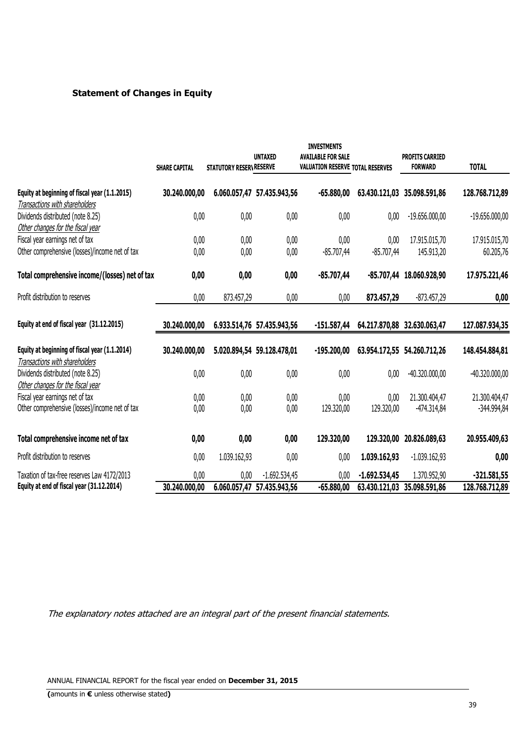# **Statement of Changes in Equity**

|                                                | <b>SHARE CAPITAL</b> | STATUTORY RESERVRESERVE | <b>UNTAXED</b>             | <b>INVESTMENTS</b><br><b>AVAILABLE FOR SALE</b><br>VALUATION RESERVE TOTAL RESERVES |                 | <b>PROFITS CARRIED</b><br><b>FORWARD</b> | <b>TOTAL</b>     |
|------------------------------------------------|----------------------|-------------------------|----------------------------|-------------------------------------------------------------------------------------|-----------------|------------------------------------------|------------------|
|                                                |                      |                         |                            |                                                                                     |                 |                                          |                  |
| Equity at beginning of fiscal year (1.1.2015)  | 30.240.000,00        |                         | 6.060.057,47 57.435.943,56 | $-65.880,00$                                                                        |                 | 63.430.121,03 35.098.591,86              | 128.768.712,89   |
| Transactions with shareholders                 |                      |                         |                            |                                                                                     |                 |                                          |                  |
| Dividends distributed (note 8.25)              | 0,00                 | 0,00                    | 0,00                       | 0,00                                                                                | 0,00            | $-19.656.000,00$                         | $-19.656.000,00$ |
| Other changes for the fiscal year              |                      |                         |                            |                                                                                     |                 |                                          |                  |
| Fiscal year earnings net of tax                | 0,00                 | 0,00                    | 0,00                       | 0,00                                                                                | 0,00            | 17.915.015,70                            | 17.915.015,70    |
| Other comprehensive (losses)/income net of tax | 0,00                 | 0,00                    | 0,00                       | $-85.707,44$                                                                        | $-85.707,44$    | 145.913,20                               | 60.205,76        |
| Total comprehensive income/(losses) net of tax | 0,00                 | 0,00                    | 0,00                       | $-85.707,44$                                                                        |                 | -85.707,44 18.060.928,90                 | 17.975.221,46    |
| Profit distribution to reserves                | 0,00                 | 873.457,29              | 0,00                       | 0,00                                                                                | 873.457,29      | $-873.457,29$                            | 0,00             |
| Equity at end of fiscal year (31.12.2015)      | 30.240.000,00        |                         | 6.933.514,76 57.435.943,56 | $-151.587,44$                                                                       |                 | 64.217.870,88 32.630.063,47              | 127.087.934,35   |
| Equity at beginning of fiscal year (1.1.2014)  | 30.240.000,00        |                         | 5.020.894,54 59.128.478,01 | $-195.200,00$                                                                       |                 | 63.954.172,55 54.260.712,26              | 148.454.884,81   |
| Transactions with shareholders                 |                      |                         |                            |                                                                                     |                 |                                          |                  |
| Dividends distributed (note 8.25)              | 0,00                 | 0,00                    | 0,00                       | 0,00                                                                                | 0,00            | $-40.320.000,00$                         | $-40.320.000,00$ |
| Other changes for the fiscal year              |                      |                         |                            |                                                                                     |                 |                                          |                  |
| Fiscal year earnings net of tax                | 0,00                 | 0,00                    | 0,00                       | 0,00                                                                                | 0,00            | 21.300.404,47                            | 21.300.404,47    |
| Other comprehensive (losses)/income net of tax | 0,00                 | 0,00                    | 0,00                       | 129.320,00                                                                          | 129.320,00      | -474.314,84                              | -344.994,84      |
| Total comprehensive income net of tax          | 0,00                 | 0,00                    | 0,00                       | 129.320,00                                                                          | 129.320,00      | 20.826.089,63                            | 20.955.409,63    |
| Profit distribution to reserves                | 0,00                 | 1.039.162,93            | 0,00                       | 0,00                                                                                | 1.039.162,93    | $-1.039.162,93$                          | 0,00             |
| Taxation of tax-free reserves Law 4172/2013    | 0,00                 | 0,00                    | $-1.692.534,45$            | 0,00                                                                                | $-1.692.534,45$ | 1.370.952,90                             | $-321.581,55$    |
| Equity at end of fiscal year (31.12.2014)      | 30.240.000,00        |                         | 6.060.057,47 57.435.943,56 | $-65.880,00$                                                                        | 63.430.121,03   | 35.098.591,86                            | 128.768.712,89   |

The explanatory notes attached are an integral part of the present financial statements.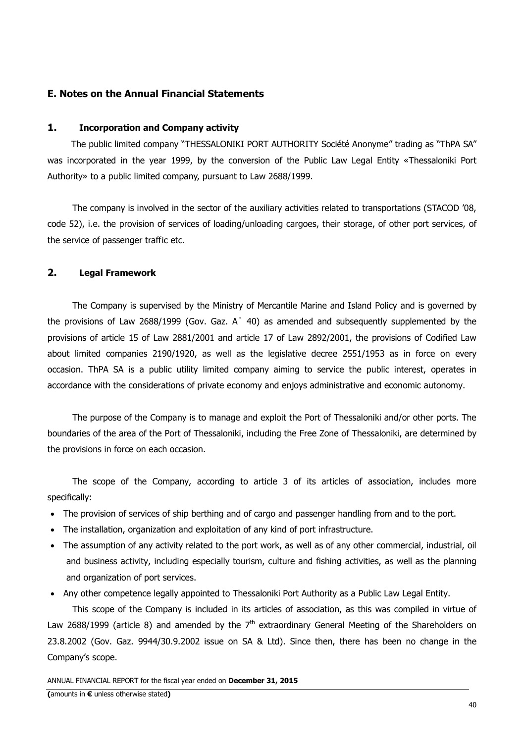# **Ε. Notes on the Annual Financial Statements**

### **1. Incorporation and Company activity**

The public limited company "THESSALONIKI PORT AUTHORITY Société Anonyme" trading as "ThPA SA" was incorporated in the year 1999, by the conversion of the Public Law Legal Entity «Thessaloniki Port Authority» to a public limited company, pursuant to Law 2688/1999.

The company is involved in the sector of the auxiliary activities related to transportations (STACOD '08, code 52), i.e. the provision of services of loading/unloading cargoes, their storage, of other port services, of the service of passenger traffic etc.

## **2. Legal Framework**

The Company is supervised by the Ministry of Mercantile Marine and Island Policy and is governed by the provisions of Law 2688/1999 (Gov. Gaz. Α΄ 40) as amended and subsequently supplemented by the provisions of article 15 of Law 2881/2001 and article 17 of Law 2892/2001, the provisions of Codified Law about limited companies 2190/1920, as well as the legislative decree 2551/1953 as in force on every occasion. ThPA SA is a public utility limited company aiming to service the public interest, operates in accordance with the considerations of private economy and enjoys administrative and economic autonomy.

The purpose of the Company is to manage and exploit the Port of Thessaloniki and/or other ports. The boundaries of the area of the Port of Thessaloniki, including the Free Zone of Thessaloniki, are determined by the provisions in force on each occasion.

The scope of the Company, according to article 3 of its articles of association, includes more specifically:

- The provision of services of ship berthing and of cargo and passenger handling from and to the port.
- The installation, organization and exploitation of any kind of port infrastructure.
- The assumption of any activity related to the port work, as well as of any other commercial, industrial, oil and business activity, including especially tourism, culture and fishing activities, as well as the planning and organization of port services.
- Any other competence legally appointed to Thessaloniki Port Authority as a Public Law Legal Entity.

This scope of the Company is included in its articles of association, as this was compiled in virtue of Law 2688/1999 (article 8) and amended by the  $7<sup>th</sup>$  extraordinary General Meeting of the Shareholders on 23.8.2002 (Gov. Gaz. 9944/30.9.2002 issue on SA & Ltd). Since then, there has been no change in the Company's scope.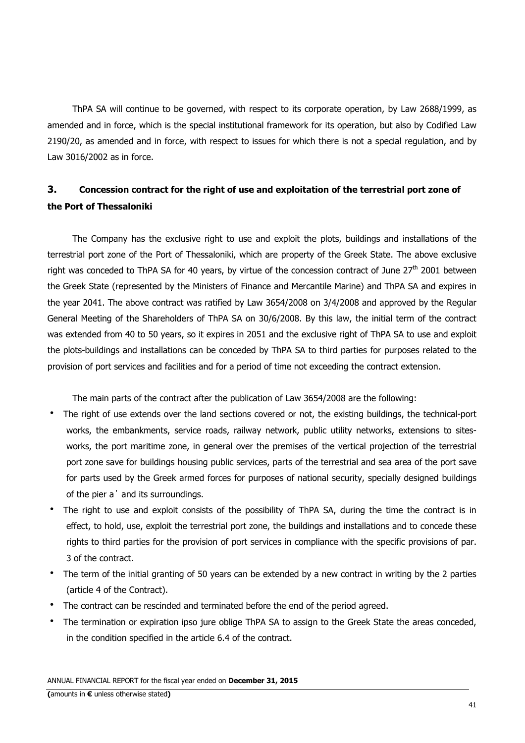ThPA SA will continue to be governed, with respect to its corporate operation, by Law 2688/1999, as amended and in force, which is the special institutional framework for its operation, but also by Codified Law 2190/20, as amended and in force, with respect to issues for which there is not a special regulation, and by Law 3016/2002 as in force.

# **3. Concession contract for the right of use and exploitation of the terrestrial port zone of the Port of Thessaloniki**

The Company has the exclusive right to use and exploit the plots, buildings and installations of the terrestrial port zone of the Port of Thessaloniki, which are property of the Greek State. The above exclusive right was conceded to ThPA SA for 40 years, by virtue of the concession contract of June  $27<sup>th</sup>$  2001 between the Greek State (represented by the Ministers of Finance and Mercantile Marine) and ThPA SA and expires in the year 2041. The above contract was ratified by Law 3654/2008 on 3/4/2008 and approved by the Regular General Meeting of the Shareholders of ThPA SA on 30/6/2008. By this law, the initial term of the contract was extended from 40 to 50 years, so it expires in 2051 and the exclusive right of ThPA SA to use and exploit the plots-buildings and installations can be conceded by ThPA SA to third parties for purposes related to the provision of port services and facilities and for a period of time not exceeding the contract extension.

The main parts of the contract after the publication of Law 3654/2008 are the following:

- The right of use extends over the land sections covered or not, the existing buildings, the technical-port works, the embankments, service roads, railway network, public utility networks, extensions to sitesworks, the port maritime zone, in general over the premises of the vertical projection of the terrestrial port zone save for buildings housing public services, parts of the terrestrial and sea area of the port save for parts used by the Greek armed forces for purposes of national security, specially designed buildings of the pier a΄ and its surroundings.
- The right to use and exploit consists of the possibility of ThPA SA, during the time the contract is in effect, to hold, use, exploit the terrestrial port zone, the buildings and installations and to concede these rights to third parties for the provision of port services in compliance with the specific provisions of par. 3 of the contract.
- The term of the initial granting of 50 years can be extended by a new contract in writing by the 2 parties (article 4 of the Contract).
- The contract can be rescinded and terminated before the end of the period agreed.
- The termination or expiration ipso jure oblige ThPA SA to assign to the Greek State the areas conceded, in the condition specified in the article 6.4 of the contract.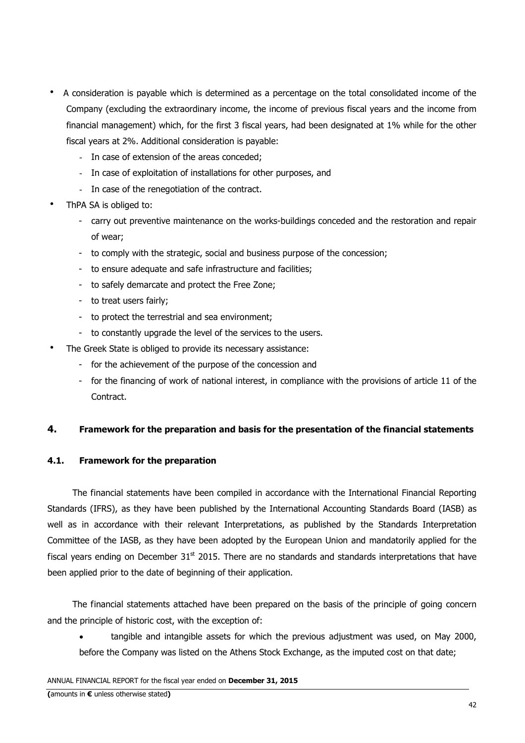- A consideration is payable which is determined as a percentage on the total consolidated income of the Company (excluding the extraordinary income, the income of previous fiscal years and the income from financial management) which, for the first 3 fiscal years, had been designated at 1% while for the other fiscal years at 2%. Additional consideration is payable:
	- In case of extension of the areas conceded;
	- In case of exploitation of installations for other purposes, and
	- In case of the renegotiation of the contract.
- ThPA SA is obliged to:
	- carry out preventive maintenance on the works-buildings conceded and the restoration and repair of wear;
	- to comply with the strategic, social and business purpose of the concession;
	- to ensure adequate and safe infrastructure and facilities;
	- to safely demarcate and protect the Free Zone;
	- to treat users fairly;
	- to protect the terrestrial and sea environment;
	- to constantly upgrade the level of the services to the users.
- The Greek State is obliged to provide its necessary assistance:
	- for the achievement of the purpose of the concession and
	- for the financing of work of national interest, in compliance with the provisions of article 11 of the Contract.

# **4. Framework for the preparation and basis for the presentation of the financial statements**

# **4.1. Framework for the preparation**

The financial statements have been compiled in accordance with the International Financial Reporting Standards (IFRS), as they have been published by the International Accounting Standards Board (IASB) as well as in accordance with their relevant Interpretations, as published by the Standards Interpretation Committee of the IASB, as they have been adopted by the European Union and mandatorily applied for the fiscal years ending on December  $31<sup>st</sup>$  2015. There are no standards and standards interpretations that have been applied prior to the date of beginning of their application.

The financial statements attached have been prepared on the basis of the principle of going concern and the principle of historic cost, with the exception of:

• tangible and intangible assets for which the previous adjustment was used, on May 2000, before the Company was listed on the Athens Stock Exchange, as the imputed cost on that date;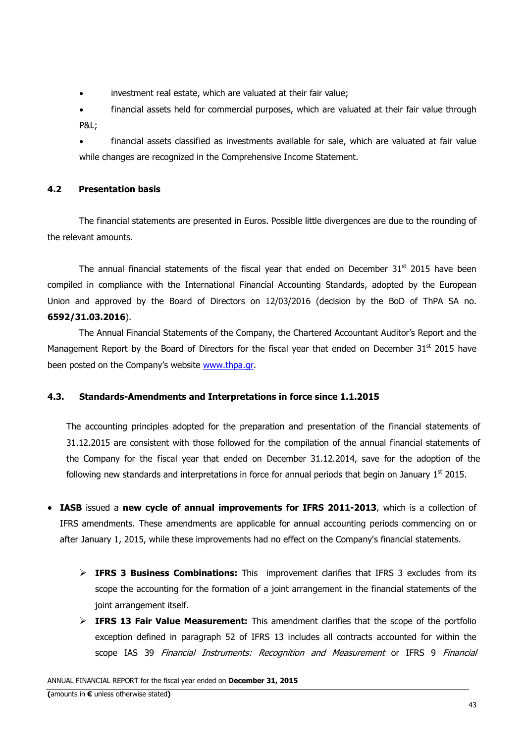- investment real estate, which are valuated at their fair value;
- financial assets held for commercial purposes, which are valuated at their fair value through P&L;
- financial assets classified as investments available for sale, which are valuated at fair value while changes are recognized in the Comprehensive Income Statement.

# **4.2 Presentation basis**

The financial statements are presented in Euros. Possible little divergences are due to the rounding of the relevant amounts.

The annual financial statements of the fiscal year that ended on December  $31<sup>st</sup>$  2015 have been compiled in compliance with the International Financial Accounting Standards, adopted by the European Union and approved by the Board of Directors on 12/03/2016 (decision by the BoD of ThPA SA no. **6592/31.03.2016**).

The Annual Financial Statements of the Company, the Chartered Accountant Auditor's Report and the Management Report by the Board of Directors for the fiscal year that ended on December  $31<sup>st</sup>$  2015 have been posted on the Company's website www.thpa.gr.

# **4.3. Standards-Amendments and Interpretations in force since 1.1.2015**

The accounting principles adopted for the preparation and presentation of the financial statements of 31.12.2015 are consistent with those followed for the compilation of the annual financial statements of the Company for the fiscal year that ended on December 31.12.2014, save for the adoption of the following new standards and interpretations in force for annual periods that begin on January  $1<sup>st</sup>$  2015.

- **IASB** issued a **new cycle of annual improvements for IFRS 2011-2013**, which is a collection of IFRS amendments. These amendments are applicable for annual accounting periods commencing on or after January 1, 2015, while these improvements had no effect on the Company's financial statements.
	- > **IFRS 3 Business Combinations:** This improvement clarifies that IFRS 3 excludes from its scope the accounting for the formation of a joint arrangement in the financial statements of the joint arrangement itself.
	- > **IFRS 13 Fair Value Measurement:** This amendment clarifies that the scope of the portfolio exception defined in paragraph 52 of IFRS 13 includes all contracts accounted for within the scope IAS 39 Financial Instruments: Recognition and Measurement or IFRS 9 Financial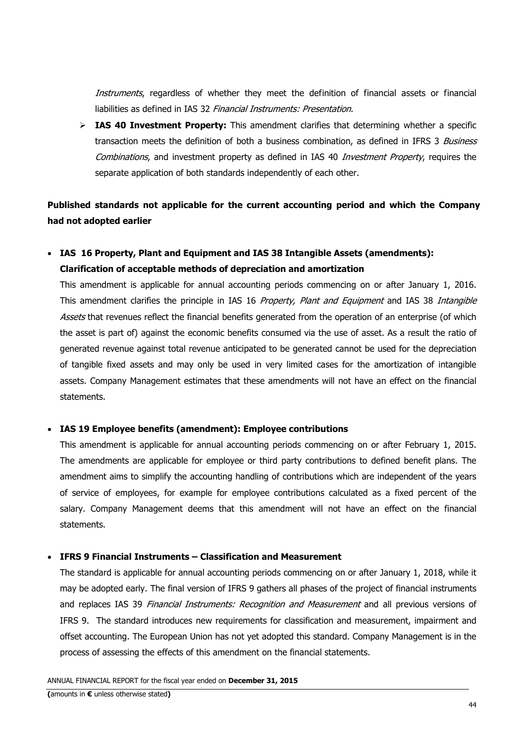Instruments, regardless of whether they meet the definition of financial assets or financial liabilities as defined in IAS 32 Financial Instruments: Presentation.

> IAS 40 Investment Property: This amendment clarifies that determining whether a specific transaction meets the definition of both a business combination, as defined in IFRS 3 Business Combinations, and investment property as defined in IAS 40 Investment Property, requires the separate application of both standards independently of each other.

**Published standards not applicable for the current accounting period and which the Company had not adopted earlier** 

# • **IAS 16 Property, Plant and Equipment and IAS 38 Intangible Assets (amendments): Clarification of acceptable methods of depreciation and amortization**

This amendment is applicable for annual accounting periods commencing on or after January 1, 2016. This amendment clarifies the principle in IAS 16 Property, Plant and Equipment and IAS 38 Intangible Assets that revenues reflect the financial benefits generated from the operation of an enterprise (of which the asset is part of) against the economic benefits consumed via the use of asset. As a result the ratio of generated revenue against total revenue anticipated to be generated cannot be used for the depreciation of tangible fixed assets and may only be used in very limited cases for the amortization of intangible assets. Company Management estimates that these amendments will not have an effect on the financial statements.

### • **IAS 19 Employee benefits (amendment): Employee contributions**

This amendment is applicable for annual accounting periods commencing on or after February 1, 2015. The amendments are applicable for employee or third party contributions to defined benefit plans. The amendment aims to simplify the accounting handling of contributions which are independent of the years of service of employees, for example for employee contributions calculated as a fixed percent of the salary. Company Management deems that this amendment will not have an effect on the financial statements.

### • **IFRS 9 Financial Instruments – Classification and Measurement**

The standard is applicable for annual accounting periods commencing on or after January 1, 2018, while it may be adopted early. The final version of IFRS 9 gathers all phases of the project of financial instruments and replaces IAS 39 Financial Instruments: Recognition and Measurement and all previous versions of IFRS 9. The standard introduces new requirements for classification and measurement, impairment and offset accounting. The European Union has not yet adopted this standard. Company Management is in the process of assessing the effects of this amendment on the financial statements.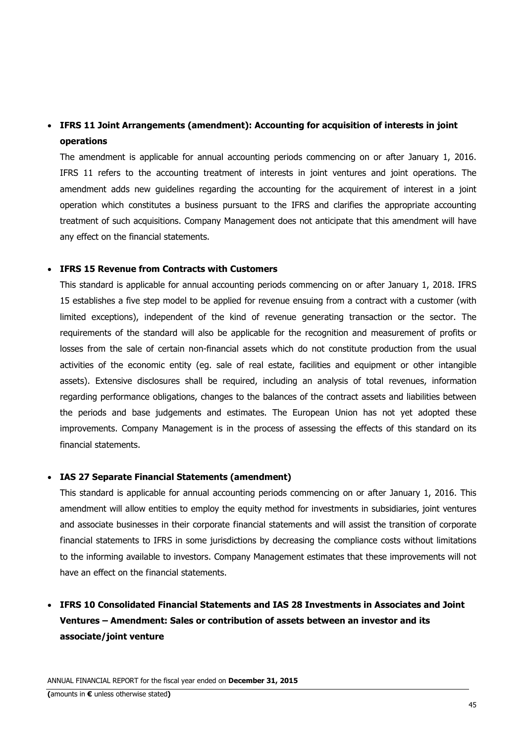# • **IFRS 11 Joint Arrangements (amendment): Accounting for acquisition of interests in joint operations**

The amendment is applicable for annual accounting periods commencing on or after January 1, 2016. IFRS 11 refers to the accounting treatment of interests in joint ventures and joint operations. The amendment adds new guidelines regarding the accounting for the acquirement of interest in a joint operation which constitutes a business pursuant to the IFRS and clarifies the appropriate accounting treatment of such acquisitions. Company Management does not anticipate that this amendment will have any effect on the financial statements.

# • **IFRS 15 Revenue from Contracts with Customers**

This standard is applicable for annual accounting periods commencing on or after January 1, 2018. IFRS 15 establishes a five step model to be applied for revenue ensuing from a contract with a customer (with limited exceptions), independent of the kind of revenue generating transaction or the sector. The requirements of the standard will also be applicable for the recognition and measurement of profits or losses from the sale of certain non-financial assets which do not constitute production from the usual activities of the economic entity (eg. sale of real estate, facilities and equipment or other intangible assets). Extensive disclosures shall be required, including an analysis of total revenues, information regarding performance obligations, changes to the balances of the contract assets and liabilities between the periods and base judgements and estimates. The European Union has not yet adopted these improvements. Company Management is in the process of assessing the effects of this standard on its financial statements.

### • **IAS 27 Separate Financial Statements (amendment)**

This standard is applicable for annual accounting periods commencing on or after January 1, 2016. This amendment will allow entities to employ the equity method for investments in subsidiaries, joint ventures and associate businesses in their corporate financial statements and will assist the transition of corporate financial statements to IFRS in some jurisdictions by decreasing the compliance costs without limitations to the informing available to investors. Company Management estimates that these improvements will not have an effect on the financial statements.

# • **IFRS 10 Consolidated Financial Statements and IAS 28 Investments in Associates and Joint Ventures – Amendment: Sales or contribution of assets between an investor and its associate/joint venture**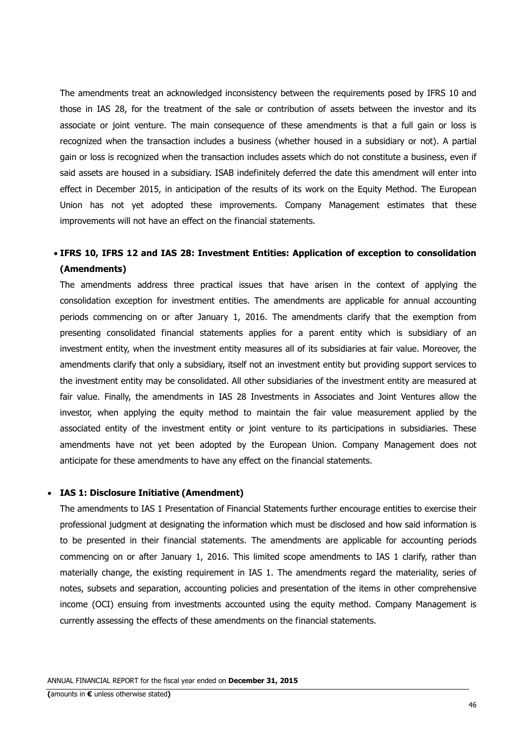The amendments treat an acknowledged inconsistency between the requirements posed by IFRS 10 and those in IAS 28, for the treatment of the sale or contribution of assets between the investor and its associate or joint venture. The main consequence of these amendments is that a full gain or loss is recognized when the transaction includes a business (whether housed in a subsidiary or not). A partial gain or loss is recognized when the transaction includes assets which do not constitute a business, even if said assets are housed in a subsidiary. ISAB indefinitely deferred the date this amendment will enter into effect in December 2015, in anticipation of the results of its work on the Equity Method. The European Union has not yet adopted these improvements. Company Management estimates that these improvements will not have an effect on the financial statements.

# • **IFRS 10, IFRS 12 and IAS 28: Investment Entities: Application of exception to consolidation (Amendments)**

The amendments address three practical issues that have arisen in the context of applying the consolidation exception for investment entities. The amendments are applicable for annual accounting periods commencing on or after January 1, 2016. The amendments clarify that the exemption from presenting consolidated financial statements applies for a parent entity which is subsidiary of an investment entity, when the investment entity measures all of its subsidiaries at fair value. Moreover, the amendments clarify that only a subsidiary, itself not an investment entity but providing support services to the investment entity may be consolidated. All other subsidiaries of the investment entity are measured at fair value. Finally, the amendments in IAS 28 Investments in Associates and Joint Ventures allow the investor, when applying the equity method to maintain the fair value measurement applied by the associated entity of the investment entity or joint venture to its participations in subsidiaries. These amendments have not yet been adopted by the European Union. Company Management does not anticipate for these amendments to have any effect on the financial statements.

#### • **IAS 1: Disclosure Initiative (Amendment)**

The amendments to IAS 1 Presentation of Financial Statements further encourage entities to exercise their professional judgment at designating the information which must be disclosed and how said information is to be presented in their financial statements. The amendments are applicable for accounting periods commencing on or after January 1, 2016. This limited scope amendments to IAS 1 clarify, rather than materially change, the existing requirement in IAS 1. The amendments regard the materiality, series of notes, subsets and separation, accounting policies and presentation of the items in other comprehensive income (OCI) ensuing from investments accounted using the equity method. Company Management is currently assessing the effects of these amendments on the financial statements.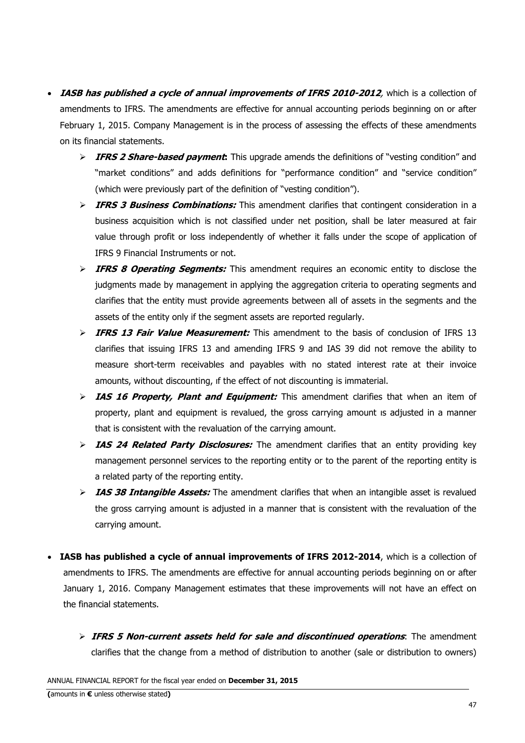- **IASB has published a cycle of annual improvements of IFRS 2010-2012**, which is a collection of amendments to IFRS. The amendments are effective for annual accounting periods beginning on or after February 1, 2015. Company Management is in the process of assessing the effects of these amendments on its financial statements.
	- > **IFRS 2 Share-based payment:** This upgrade amends the definitions of "vesting condition" and "market conditions" and adds definitions for "performance condition" and "service condition" (which were previously part of the definition of "vesting condition").
	- > **IFRS 3 Business Combinations:** This amendment clarifies that contingent consideration in a business acquisition which is not classified under net position, shall be later measured at fair value through profit or loss independently of whether it falls under the scope of application of IFRS 9 Financial Instruments or not.
	- > **IFRS 8 Operating Segments:** This amendment requires an economic entity to disclose the judgments made by management in applying the aggregation criteria to operating segments and clarifies that the entity must provide agreements between all of assets in the segments and the assets of the entity only if the segment assets are reported regularly.
	- > **IFRS 13 Fair Value Measurement:** This amendment to the basis of conclusion of IFRS 13 clarifies that issuing IFRS 13 and amending IFRS 9 and IAS 39 did not remove the ability to measure short-term receivables and payables with no stated interest rate at their invoice amounts, without discounting, ιf the effect of not discounting is immaterial.
	- > IAS 16 Property, Plant and Equipment: This amendment clarifies that when an item of property, plant and equipment is revalued, the gross carrying amount ιs adjusted in a manner that is consistent with the revaluation of the carrying amount.
	- > **IAS 24 Related Party Disclosures:** The amendment clarifies that an entity providing key management personnel services to the reporting entity or to the parent of the reporting entity is a related party of the reporting entity.
	- > IAS 38 Intangible Assets: The amendment clarifies that when an intangible asset is revalued the gross carrying amount is adjusted in a manner that is consistent with the revaluation οf the carrying amount.
- **IASB has published a cycle of annual improvements of IFRS 2012-2014**, which is a collection of amendments to IFRS. The amendments are effective for annual accounting periods beginning on or after January 1, 2016. Company Management estimates that these improvements will not have an effect on the financial statements.
	- > IFRS 5 Non-current assets held for sale and discontinued operations: The amendment clarifies that the change from a method of distribution to another (sale or distribution to owners)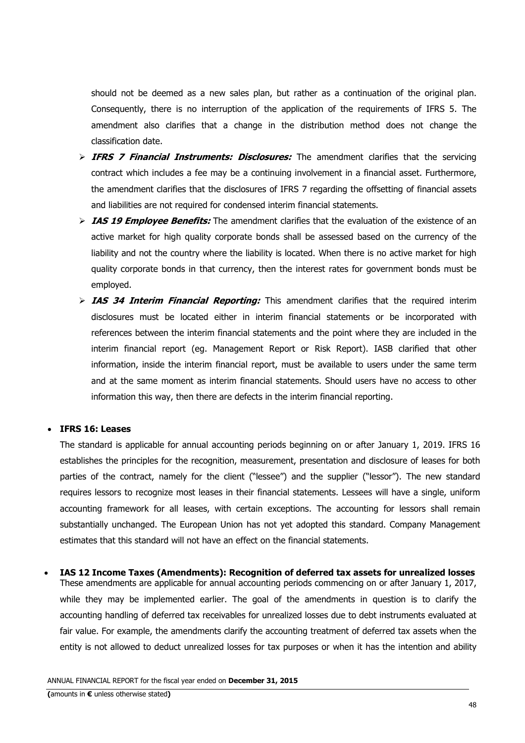should not be deemed as a new sales plan, but rather as a continuation of the original plan. Consequently, there is no interruption of the application of the requirements of IFRS 5. The amendment also clarifies that a change in the distribution method does not change the classification date.

- > **IFRS 7 Financial Instruments: Disclosures:** The amendment clarifies that the servicing contract which includes a fee may be a continuing involvement in a financial asset. Furthermore, the amendment clarifies that the disclosures of IFRS 7 regarding the offsetting of financial assets and liabilities are not required for condensed interim financial statements.
- > IAS 19 Employee Benefits: The amendment clarifies that the evaluation of the existence of an active market for high quality corporate bonds shall be assessed based on the currency of the liability and not the country where the liability is located. When there is no active market for high quality corporate bonds in that currency, then the interest rates for government bonds must be employed.
- > IAS 34 Interim Financial Reporting: This amendment clarifies that the required interim disclosures must be located either in interim financial statements or be incorporated with references between the interim financial statements and the point where they are included in the interim financial report (eg. Management Report or Risk Report). IASB clarified that other information, inside the interim financial report, must be available to users under the same term and at the same moment as interim financial statements. Should users have no access to other information this way, then there are defects in the interim financial reporting.

### • **IFRS 16: Leases**

The standard is applicable for annual accounting periods beginning on or after January 1, 2019. IFRS 16 establishes the principles for the recognition, measurement, presentation and disclosure of leases for both parties of the contract, namely for the client ("lessee") and the supplier ("lessor"). The new standard requires lessors to recognize most leases in their financial statements. Lessees will have a single, uniform accounting framework for all leases, with certain exceptions. The accounting for lessors shall remain substantially unchanged. The European Union has not yet adopted this standard. Company Management estimates that this standard will not have an effect on the financial statements.

• **IAS 12 Income Taxes (Amendments): Recognition of deferred tax assets for unrealized losses**  These amendments are applicable for annual accounting periods commencing on or after January 1, 2017, while they may be implemented earlier. The goal of the amendments in question is to clarify the accounting handling of deferred tax receivables for unrealized losses due to debt instruments evaluated at fair value. For example, the amendments clarify the accounting treatment of deferred tax assets when the entity is not allowed to deduct unrealized losses for tax purposes or when it has the intention and ability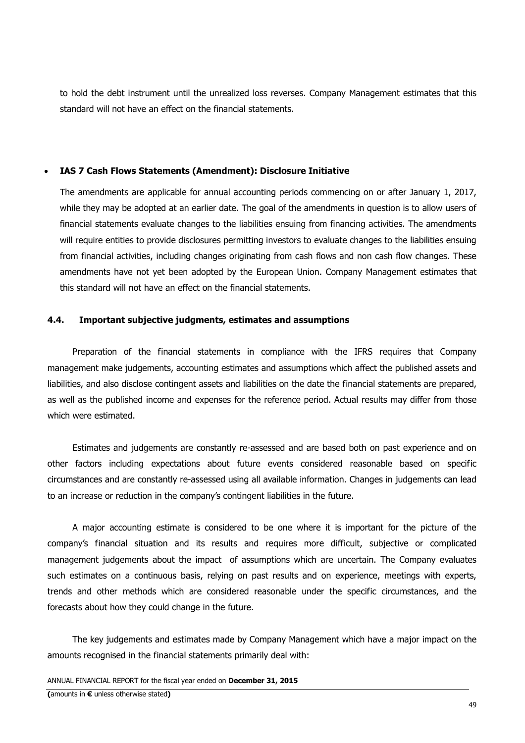to hold the debt instrument until the unrealized loss reverses. Company Management estimates that this standard will not have an effect on the financial statements.

#### • **IAS 7 Cash Flows Statements (Amendment): Disclosure Initiative**

The amendments are applicable for annual accounting periods commencing on or after January 1, 2017, while they may be adopted at an earlier date. The goal of the amendments in question is to allow users of financial statements evaluate changes to the liabilities ensuing from financing activities. The amendments will require entities to provide disclosures permitting investors to evaluate changes to the liabilities ensuing from financial activities, including changes originating from cash flows and non cash flow changes. These amendments have not yet been adopted by the European Union. Company Management estimates that this standard will not have an effect on the financial statements.

#### **4.4. Important subjective judgments, estimates and assumptions**

Preparation of the financial statements in compliance with the IFRS requires that Company management make judgements, accounting estimates and assumptions which affect the published assets and liabilities, and also disclose contingent assets and liabilities on the date the financial statements are prepared, as well as the published income and expenses for the reference period. Actual results may differ from those which were estimated.

Estimates and judgements are constantly re-assessed and are based both on past experience and on other factors including expectations about future events considered reasonable based on specific circumstances and are constantly re-assessed using all available information. Changes in judgements can lead to an increase or reduction in the company's contingent liabilities in the future.

A major accounting estimate is considered to be one where it is important for the picture of the company's financial situation and its results and requires more difficult, subjective or complicated management judgements about the impact of assumptions which are uncertain. The Company evaluates such estimates on a continuous basis, relying on past results and on experience, meetings with experts, trends and other methods which are considered reasonable under the specific circumstances, and the forecasts about how they could change in the future.

The key judgements and estimates made by Company Management which have a major impact on the amounts recognised in the financial statements primarily deal with: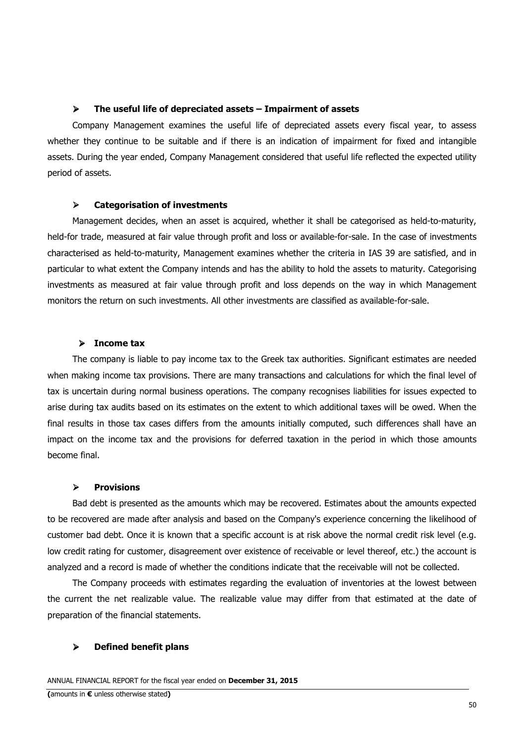#### $\blacktriangleright$ **The useful life of depreciated assets – Impairment of assets**

Company Management examines the useful life of depreciated assets every fiscal year, to assess whether they continue to be suitable and if there is an indication of impairment for fixed and intangible assets. During the year ended, Company Management considered that useful life reflected the expected utility period of assets.

#### $\blacktriangleright$ **Categorisation of investments**

Management decides, when an asset is acquired, whether it shall be categorised as held-to-maturity, held-for trade, measured at fair value through profit and loss or available-for-sale. In the case of investments characterised as held-to-maturity, Management examines whether the criteria in IAS 39 are satisfied, and in particular to what extent the Company intends and has the ability to hold the assets to maturity. Categorising investments as measured at fair value through profit and loss depends on the way in which Management monitors the return on such investments. All other investments are classified as available-for-sale.

### - **Income tax**

The company is liable to pay income tax to the Greek tax authorities. Significant estimates are needed when making income tax provisions. There are many transactions and calculations for which the final level of tax is uncertain during normal business operations. The company recognises liabilities for issues expected to arise during tax audits based on its estimates on the extent to which additional taxes will be owed. When the final results in those tax cases differs from the amounts initially computed, such differences shall have an impact on the income tax and the provisions for deferred taxation in the period in which those amounts become final.

#### $\blacktriangleright$ **Provisions**

Bad debt is presented as the amounts which may be recovered. Estimates about the amounts expected to be recovered are made after analysis and based on the Company's experience concerning the likelihood of customer bad debt. Once it is known that a specific account is at risk above the normal credit risk level (e.g. low credit rating for customer, disagreement over existence of receivable or level thereof, etc.) the account is analyzed and a record is made of whether the conditions indicate that the receivable will not be collected.

The Company proceeds with estimates regarding the evaluation of inventories at the lowest between the current the net realizable value. The realizable value may differ from that estimated at the date of preparation of the financial statements.

#### -**Defined benefit plans**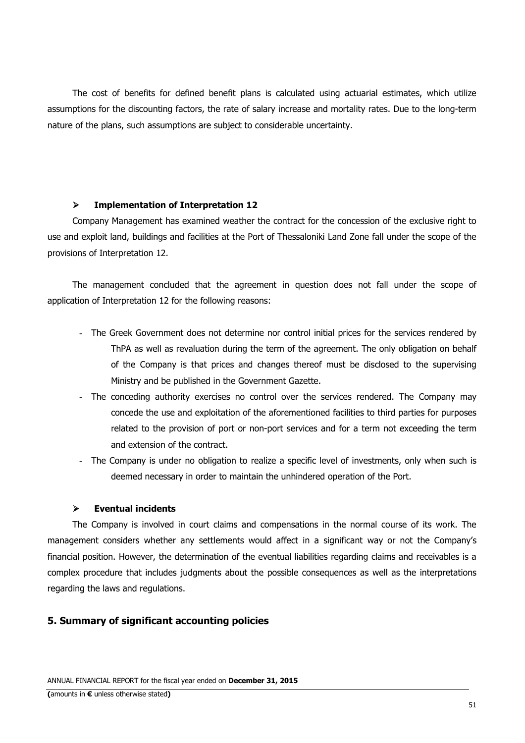The cost of benefits for defined benefit plans is calculated using actuarial estimates, which utilize assumptions for the discounting factors, the rate of salary increase and mortality rates. Due to the long-term nature of the plans, such assumptions are subject to considerable uncertainty.

#### $\blacktriangleright$ **Implementation of Interpretation 12**

Company Management has examined weather the contract for the concession of the exclusive right to use and exploit land, buildings and facilities at the Port of Thessaloniki Land Zone fall under the scope of the provisions of Interpretation 12.

The management concluded that the agreement in question does not fall under the scope of application of Interpretation 12 for the following reasons:

- The Greek Government does not determine nor control initial prices for the services rendered by ThPA as well as revaluation during the term of the agreement. The only obligation on behalf of the Company is that prices and changes thereof must be disclosed to the supervising Ministry and be published in the Government Gazette.
- The conceding authority exercises no control over the services rendered. The Company may concede the use and exploitation of the aforementioned facilities to third parties for purposes related to the provision of port or non-port services and for a term not exceeding the term and extension of the contract.
- The Company is under no obligation to realize a specific level of investments, only when such is deemed necessary in order to maintain the unhindered operation of the Port.

#### $\blacktriangleright$ **Eventual incidents**

The Company is involved in court claims and compensations in the normal course of its work. The management considers whether any settlements would affect in a significant way or not the Company's financial position. However, the determination of the eventual liabilities regarding claims and receivables is a complex procedure that includes judgments about the possible consequences as well as the interpretations regarding the laws and regulations.

#### **5. Summary of significant accounting policies**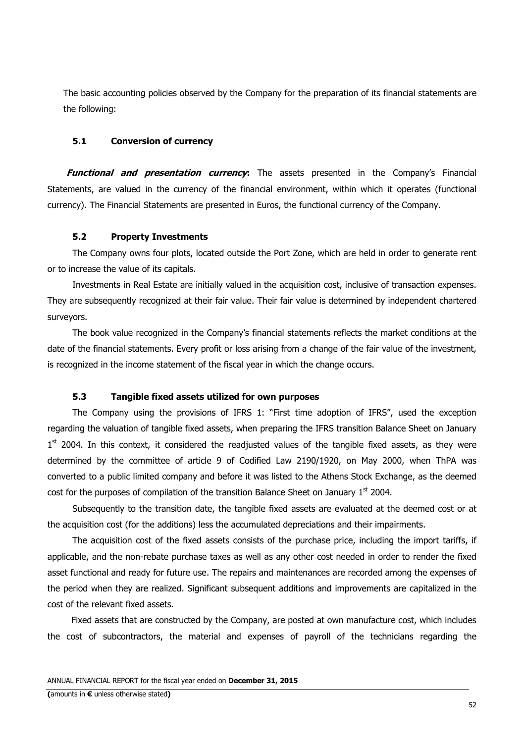The basic accounting policies observed by the Company for the preparation of its financial statements are the following:

## **5.1 Conversion of currency**

**Functional and presentation currency:** The assets presented in the Company's Financial Statements, are valued in the currency of the financial environment, within which it operates (functional currency). The Financial Statements are presented in Euros, the functional currency of the Company.

### **5.2 Property Investments**

The Company owns four plots, located outside the Port Zone, which are held in order to generate rent or to increase the value of its capitals.

Investments in Real Estate are initially valued in the acquisition cost, inclusive of transaction expenses. They are subsequently recognized at their fair value. Their fair value is determined by independent chartered surveyors.

The book value recognized in the Company's financial statements reflects the market conditions at the date of the financial statements. Every profit or loss arising from a change of the fair value of the investment, is recognized in the income statement of the fiscal year in which the change occurs.

#### **5.3 Tangible fixed assets utilized for own purposes**

The Company using the provisions of IFRS 1: "First time adoption of IFRS", used the exception regarding the valuation of tangible fixed assets, when preparing the IFRS transition Balance Sheet on January 1<sup>st</sup> 2004. In this context, it considered the readjusted values of the tangible fixed assets, as they were determined by the committee of article 9 of Codified Law 2190/1920, on May 2000, when ThPA was converted to a public limited company and before it was listed to the Athens Stock Exchange, as the deemed cost for the purposes of compilation of the transition Balance Sheet on January  $1<sup>st</sup>$  2004.

Subsequently to the transition date, the tangible fixed assets are evaluated at the deemed cost or at the acquisition cost (for the additions) less the accumulated depreciations and their impairments.

The acquisition cost of the fixed assets consists of the purchase price, including the import tariffs, if applicable, and the non-rebate purchase taxes as well as any other cost needed in order to render the fixed asset functional and ready for future use. The repairs and maintenances are recorded among the expenses of the period when they are realized. Significant subsequent additions and improvements are capitalized in the cost of the relevant fixed assets.

Fixed assets that are constructed by the Company, are posted at own manufacture cost, which includes the cost of subcontractors, the material and expenses of payroll of the technicians regarding the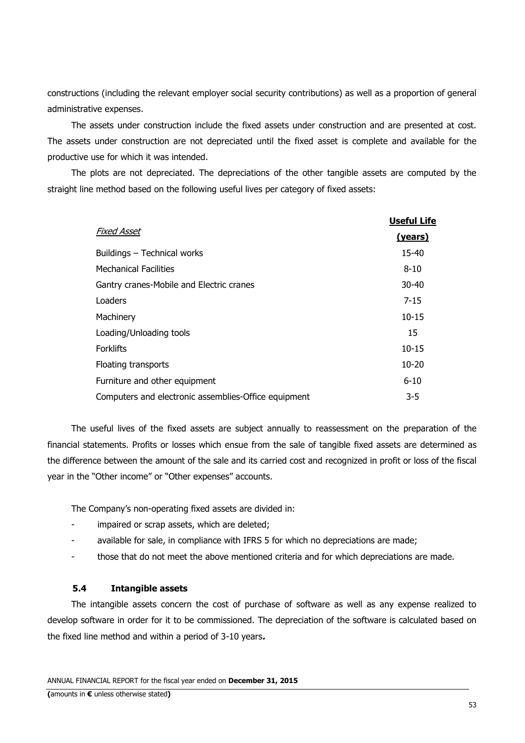constructions (including the relevant employer social security contributions) as well as a proportion of general administrative expenses.

The assets under construction include the fixed assets under construction and are presented at cost. The assets under construction are not depreciated until the fixed asset is complete and available for the productive use for which it was intended.

The plots are not depreciated. The depreciations of the other tangible assets are computed by the straight line method based on the following useful lives per category of fixed assets:

|                                                      | Useful Life |
|------------------------------------------------------|-------------|
| <b>Fixed Asset</b>                                   | (years)     |
| Buildings - Technical works                          | 15-40       |
| <b>Mechanical Facilities</b>                         | $8 - 10$    |
| Gantry cranes-Mobile and Electric cranes             | $30 - 40$   |
| Loaders                                              | $7 - 15$    |
| Machinery                                            | $10 - 15$   |
| Loading/Unloading tools                              | 15          |
| <b>Forklifts</b>                                     | $10 - 15$   |
| Floating transports                                  | $10 - 20$   |
| Furniture and other equipment                        | $6 - 10$    |
| Computers and electronic assemblies-Office equipment | $3 - 5$     |

The useful lives of the fixed assets are subject annually to reassessment on the preparation of the financial statements. Profits or losses which ensue from the sale of tangible fixed assets are determined as the difference between the amount of the sale and its carried cost and recognized in profit or loss of the fiscal year in the "Other income" or "Other expenses" accounts.

The Company's non-operating fixed assets are divided in:

- impaired or scrap assets, which are deleted;
- available for sale, in compliance with IFRS 5 for which no depreciations are made;
- those that do not meet the above mentioned criteria and for which depreciations are made.

### **5.4 Intangible assets**

The intangible assets concern the cost of purchase of software as well as any expense realized to develop software in order for it to be commissioned. The depreciation of the software is calculated based on the fixed line method and within a period of 3-10 years**.**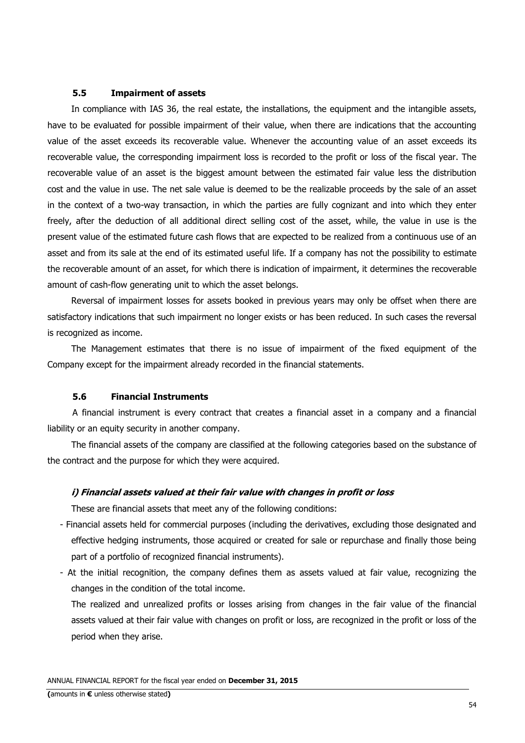#### **5.5 Impairment of assets**

In compliance with IAS 36, the real estate, the installations, the equipment and the intangible assets, have to be evaluated for possible impairment of their value, when there are indications that the accounting value of the asset exceeds its recoverable value. Whenever the accounting value of an asset exceeds its recoverable value, the corresponding impairment loss is recorded to the profit or loss of the fiscal year. The recoverable value of an asset is the biggest amount between the estimated fair value less the distribution cost and the value in use. The net sale value is deemed to be the realizable proceeds by the sale of an asset in the context of a two-way transaction, in which the parties are fully cognizant and into which they enter freely, after the deduction of all additional direct selling cost of the asset, while, the value in use is the present value of the estimated future cash flows that are expected to be realized from a continuous use of an asset and from its sale at the end of its estimated useful life. If a company has not the possibility to estimate the recoverable amount of an asset, for which there is indication of impairment, it determines the recoverable amount of cash-flow generating unit to which the asset belongs.

Reversal of impairment losses for assets booked in previous years may only be offset when there are satisfactory indications that such impairment no longer exists or has been reduced. In such cases the reversal is recognized as income.

The Management estimates that there is no issue of impairment of the fixed equipment of the Company except for the impairment already recorded in the financial statements.

### **5.6 Financial Instruments**

A financial instrument is every contract that creates a financial asset in a company and a financial liability or an equity security in another company.

The financial assets of the company are classified at the following categories based on the substance of the contract and the purpose for which they were acquired.

#### **i) Financial assets valued at their fair value with changes in profit or loss**

These are financial assets that meet any of the following conditions:

- Financial assets held for commercial purposes (including the derivatives, excluding those designated and effective hedging instruments, those acquired or created for sale or repurchase and finally those being part of a portfolio of recognized financial instruments).
- At the initial recognition, the company defines them as assets valued at fair value, recognizing the changes in the condition of the total income.

The realized and unrealized profits or losses arising from changes in the fair value of the financial assets valued at their fair value with changes on profit or loss, are recognized in the profit or loss of the period when they arise.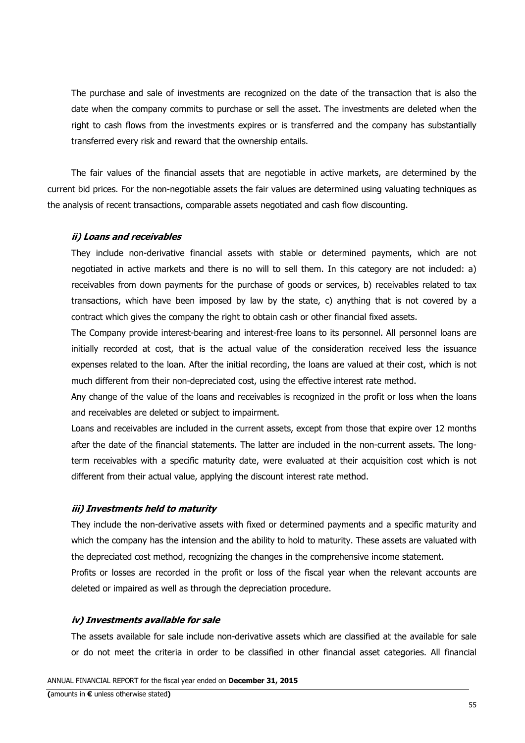The purchase and sale of investments are recognized on the date of the transaction that is also the date when the company commits to purchase or sell the asset. The investments are deleted when the right to cash flows from the investments expires or is transferred and the company has substantially transferred every risk and reward that the ownership entails.

The fair values of the financial assets that are negotiable in active markets, are determined by the current bid prices. For the non-negotiable assets the fair values are determined using valuating techniques as the analysis of recent transactions, comparable assets negotiated and cash flow discounting.

#### **ii) Loans and receivables**

They include non-derivative financial assets with stable or determined payments, which are not negotiated in active markets and there is no will to sell them. In this category are not included: a) receivables from down payments for the purchase of goods or services, b) receivables related to tax transactions, which have been imposed by law by the state, c) anything that is not covered by a contract which gives the company the right to obtain cash or other financial fixed assets.

The Company provide interest-bearing and interest-free loans to its personnel. All personnel loans are initially recorded at cost, that is the actual value of the consideration received less the issuance expenses related to the loan. After the initial recording, the loans are valued at their cost, which is not much different from their non-depreciated cost, using the effective interest rate method.

Any change of the value of the loans and receivables is recognized in the profit or loss when the loans and receivables are deleted or subject to impairment.

Loans and receivables are included in the current assets, except from those that expire over 12 months after the date of the financial statements. The latter are included in the non-current assets. The longterm receivables with a specific maturity date, were evaluated at their acquisition cost which is not different from their actual value, applying the discount interest rate method.

#### **iii) Investments held to maturity**

They include the non-derivative assets with fixed or determined payments and a specific maturity and which the company has the intension and the ability to hold to maturity. These assets are valuated with the depreciated cost method, recognizing the changes in the comprehensive income statement. Profits or losses are recorded in the profit or loss of the fiscal year when the relevant accounts are deleted or impaired as well as through the depreciation procedure.

#### **iv) Investments available for sale**

The assets available for sale include non-derivative assets which are classified at the available for sale or do not meet the criteria in order to be classified in other financial asset categories. All financial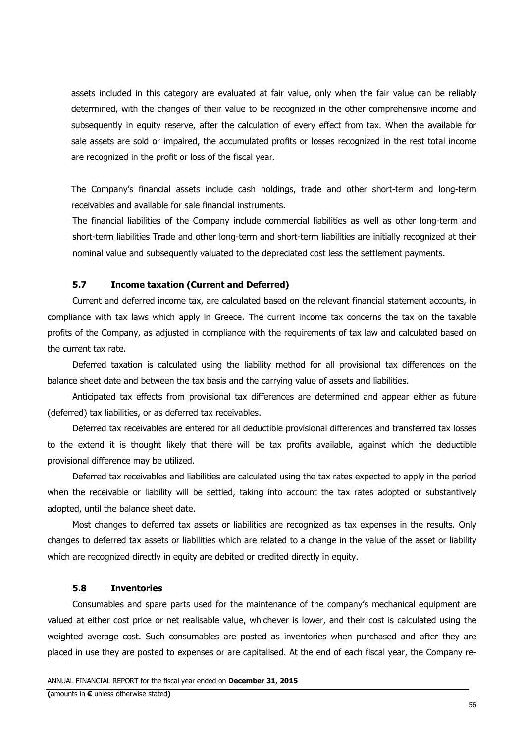assets included in this category are evaluated at fair value, only when the fair value can be reliably determined, with the changes of their value to be recognized in the other comprehensive income and subsequently in equity reserve, after the calculation of every effect from tax. When the available for sale assets are sold or impaired, the accumulated profits or losses recognized in the rest total income are recognized in the profit or loss of the fiscal year.

The Company's financial assets include cash holdings, trade and other short-term and long-term receivables and available for sale financial instruments.

The financial liabilities of the Company include commercial liabilities as well as other long-term and short-term liabilities Trade and other long-term and short-term liabilities are initially recognized at their nominal value and subsequently valuated to the depreciated cost less the settlement payments.

# **5.7 Income taxation (Current and Deferred)**

Current and deferred income tax, are calculated based on the relevant financial statement accounts, in compliance with tax laws which apply in Greece. The current income tax concerns the tax on the taxable profits of the Company, as adjusted in compliance with the requirements of tax law and calculated based on the current tax rate.

Deferred taxation is calculated using the liability method for all provisional tax differences on the balance sheet date and between the tax basis and the carrying value of assets and liabilities.

Anticipated tax effects from provisional tax differences are determined and appear either as future (deferred) tax liabilities, or as deferred tax receivables.

Deferred tax receivables are entered for all deductible provisional differences and transferred tax losses to the extend it is thought likely that there will be tax profits available, against which the deductible provisional difference may be utilized.

Deferred tax receivables and liabilities are calculated using the tax rates expected to apply in the period when the receivable or liability will be settled, taking into account the tax rates adopted or substantively adopted, until the balance sheet date.

Most changes to deferred tax assets or liabilities are recognized as tax expenses in the results. Only changes to deferred tax assets or liabilities which are related to a change in the value of the asset or liability which are recognized directly in equity are debited or credited directly in equity.

#### **5.8 Inventories**

Consumables and spare parts used for the maintenance of the company's mechanical equipment are valued at either cost price or net realisable value, whichever is lower, and their cost is calculated using the weighted average cost. Such consumables are posted as inventories when purchased and after they are placed in use they are posted to expenses or are capitalised. At the end of each fiscal year, the Company re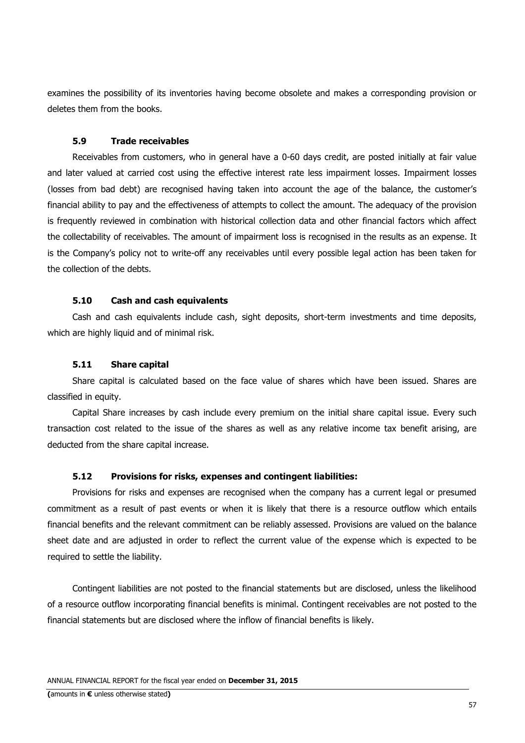examines the possibility of its inventories having become obsolete and makes a corresponding provision or deletes them from the books.

#### **5.9 Trade receivables**

Receivables from customers, who in general have a 0-60 days credit, are posted initially at fair value and later valued at carried cost using the effective interest rate less impairment losses. Impairment losses (losses from bad debt) are recognised having taken into account the age of the balance, the customer's financial ability to pay and the effectiveness of attempts to collect the amount. The adequacy of the provision is frequently reviewed in combination with historical collection data and other financial factors which affect the collectability of receivables. The amount of impairment loss is recognised in the results as an expense. It is the Company's policy not to write-off any receivables until every possible legal action has been taken for the collection of the debts.

#### **5.10 Cash and cash equivalents**

Cash and cash equivalents include cash, sight deposits, short-term investments and time deposits, which are highly liquid and of minimal risk.

#### **5.11 Share capital**

Share capital is calculated based on the face value of shares which have been issued. Shares are classified in equity.

Capital Share increases by cash include every premium on the initial share capital issue. Every such transaction cost related to the issue of the shares as well as any relative income tax benefit arising, are deducted from the share capital increase.

#### **5.12 Provisions for risks, expenses and contingent liabilities:**

Provisions for risks and expenses are recognised when the company has a current legal or presumed commitment as a result of past events or when it is likely that there is a resource outflow which entails financial benefits and the relevant commitment can be reliably assessed. Provisions are valued on the balance sheet date and are adjusted in order to reflect the current value of the expense which is expected to be required to settle the liability.

Contingent liabilities are not posted to the financial statements but are disclosed, unless the likelihood of a resource outflow incorporating financial benefits is minimal. Contingent receivables are not posted to the financial statements but are disclosed where the inflow of financial benefits is likely.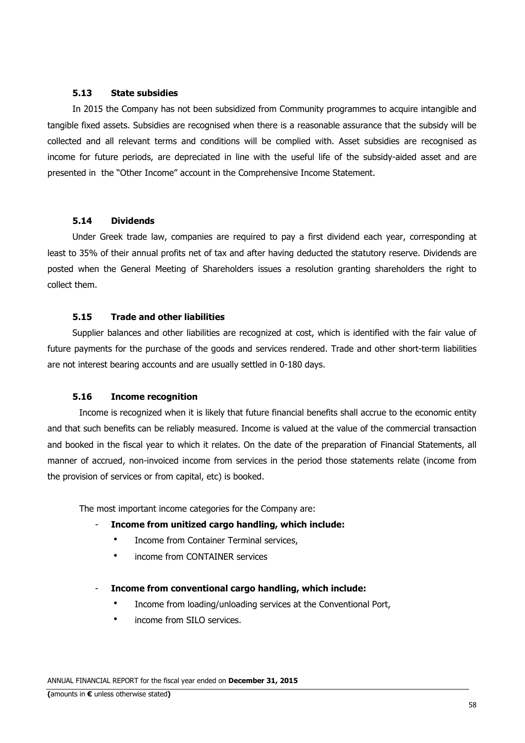## **5.13 State subsidies**

In 2015 the Company has not been subsidized from Community programmes to acquire intangible and tangible fixed assets. Subsidies are recognised when there is a reasonable assurance that the subsidy will be collected and all relevant terms and conditions will be complied with. Asset subsidies are recognised as income for future periods, are depreciated in line with the useful life of the subsidy-aided asset and are presented in the "Other Income" account in the Comprehensive Income Statement.

### **5.14 Dividends**

Under Greek trade law, companies are required to pay a first dividend each year, corresponding at least to 35% of their annual profits net of tax and after having deducted the statutory reserve. Dividends are posted when the General Meeting of Shareholders issues a resolution granting shareholders the right to collect them.

# **5.15 Trade and other liabilities**

Supplier balances and other liabilities are recognized at cost, which is identified with the fair value of future payments for the purchase of the goods and services rendered. Trade and other short-term liabilities are not interest bearing accounts and are usually settled in 0-180 days.

# **5.16 Income recognition**

Income is recognized when it is likely that future financial benefits shall accrue to the economic entity and that such benefits can be reliably measured. Income is valued at the value of the commercial transaction and booked in the fiscal year to which it relates. On the date of the preparation of Financial Statements, all manner of accrued, non-invoiced income from services in the period those statements relate (income from the provision of services or from capital, etc) is booked.

The most important income categories for the Company are:

### - **Income from unitized cargo handling, which include:**

- Income from Container Terminal services,
- income from CONTAINER services

### - **Income from conventional cargo handling, which include:**

- Income from loading/unloading services at the Conventional Port,
- income from SILO services.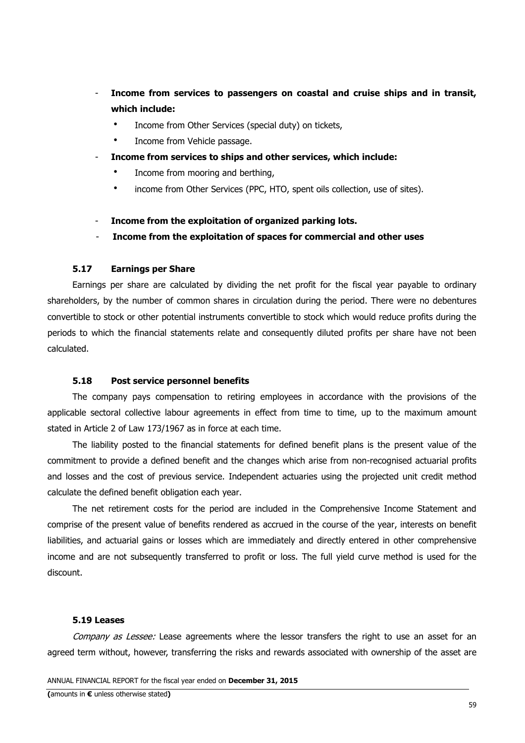- **Income from services to passengers on coastal and cruise ships and in transit, which include:**
	- Income from Other Services (special duty) on tickets,
	- Income from Vehicle passage.
- **Income from services to ships and other services, which include:**
	- Income from mooring and berthing,
	- income from Other Services (PPC, HTO, spent oils collection, use of sites).
- **Income from the exploitation of organized parking lots.**
- **Income from the exploitation of spaces for commercial and other uses**

#### **5.17 Earnings per Share**

Earnings per share are calculated by dividing the net profit for the fiscal year payable to ordinary shareholders, by the number of common shares in circulation during the period. There were no debentures convertible to stock or other potential instruments convertible to stock which would reduce profits during the periods to which the financial statements relate and consequently diluted profits per share have not been calculated.

#### **5.18 Post service personnel benefits**

The company pays compensation to retiring employees in accordance with the provisions of the applicable sectoral collective labour agreements in effect from time to time, up to the maximum amount stated in Article 2 of Law 173/1967 as in force at each time.

The liability posted to the financial statements for defined benefit plans is the present value of the commitment to provide a defined benefit and the changes which arise from non-recognised actuarial profits and losses and the cost of previous service. Independent actuaries using the projected unit credit method calculate the defined benefit obligation each year.

The net retirement costs for the period are included in the Comprehensive Income Statement and comprise of the present value of benefits rendered as accrued in the course of the year, interests on benefit liabilities, and actuarial gains or losses which are immediately and directly entered in other comprehensive income and are not subsequently transferred to profit or loss. The full yield curve method is used for the discount.

#### **5.19 Leases**

Company as Lessee: Lease agreements where the lessor transfers the right to use an asset for an agreed term without, however, transferring the risks and rewards associated with ownership of the asset are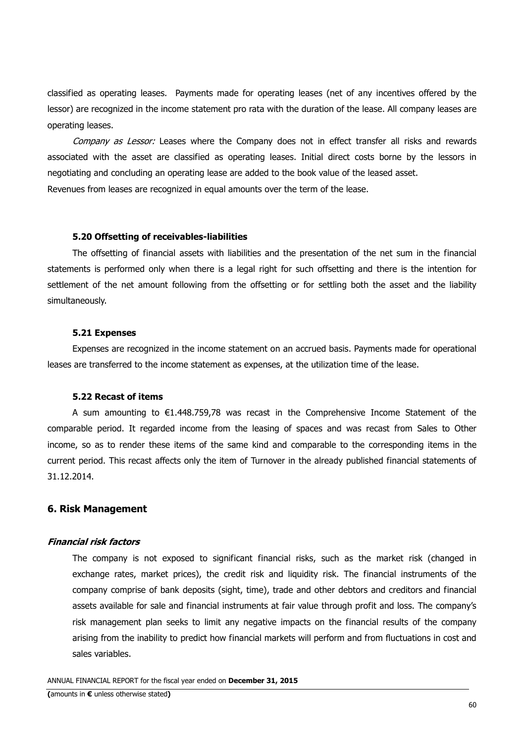classified as operating leases. Payments made for operating leases (net of any incentives offered by the lessor) are recognized in the income statement pro rata with the duration of the lease. All company leases are operating leases.

Company as Lessor: Leases where the Company does not in effect transfer all risks and rewards associated with the asset are classified as operating leases. Initial direct costs borne by the lessors in negotiating and concluding an operating lease are added to the book value of the leased asset. Revenues from leases are recognized in equal amounts over the term of the lease.

#### **5.20 Offsetting of receivables-liabilities**

The offsetting of financial assets with liabilities and the presentation of the net sum in the financial statements is performed only when there is a legal right for such offsetting and there is the intention for settlement of the net amount following from the offsetting or for settling both the asset and the liability simultaneously.

#### **5.21 Expenses**

Expenses are recognized in the income statement on an accrued basis. Payments made for operational leases are transferred to the income statement as expenses, at the utilization time of the lease.

#### **5.22 Recast of items**

A sum amounting to €1.448.759,78 was recast in the Comprehensive Income Statement of the comparable period. It regarded income from the leasing of spaces and was recast from Sales to Other income, so as to render these items of the same kind and comparable to the corresponding items in the current period. This recast affects only the item of Turnover in the already published financial statements of 31.12.2014.

#### **6. Risk Management**

#### **Financial risk factors**

The company is not exposed to significant financial risks, such as the market risk (changed in exchange rates, market prices), the credit risk and liquidity risk. The financial instruments of the company comprise of bank deposits (sight, time), trade and other debtors and creditors and financial assets available for sale and financial instruments at fair value through profit and loss. The company's risk management plan seeks to limit any negative impacts on the financial results of the company arising from the inability to predict how financial markets will perform and from fluctuations in cost and sales variables.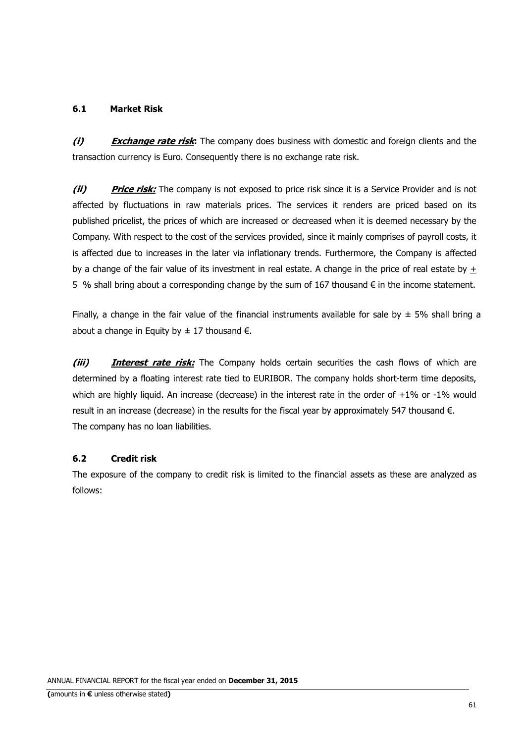# **6.1 Market Risk**

**(i) Exchange rate risk:** The company does business with domestic and foreign clients and the transaction currency is Euro. Consequently there is no exchange rate risk.

**(ii) Price risk:** The company is not exposed to price risk since it is a Service Provider and is not affected by fluctuations in raw materials prices. The services it renders are priced based on its published pricelist, the prices of which are increased or decreased when it is deemed necessary by the Company. With respect to the cost of the services provided, since it mainly comprises of payroll costs, it is affected due to increases in the later via inflationary trends. Furthermore, the Company is affected by a change of the fair value of its investment in real estate. A change in the price of real estate by + 5 % shall bring about a corresponding change by the sum of 167 thousand € in the income statement.

Finally, a change in the fair value of the financial instruments available for sale by  $\pm$  5% shall bring a about a change in Equity by  $\pm$  17 thousand  $\epsilon$ .

**(iii) Interest rate risk:** The Company holds certain securities the cash flows of which are determined by a floating interest rate tied to EURIBOR. The company holds short-term time deposits, which are highly liquid. An increase (decrease) in the interest rate in the order of  $+1\%$  or -1% would result in an increase (decrease) in the results for the fiscal year by approximately 547 thousand €. The company has no loan liabilities.

# **6.2 Credit risk**

The exposure of the company to credit risk is limited to the financial assets as these are analyzed as follows: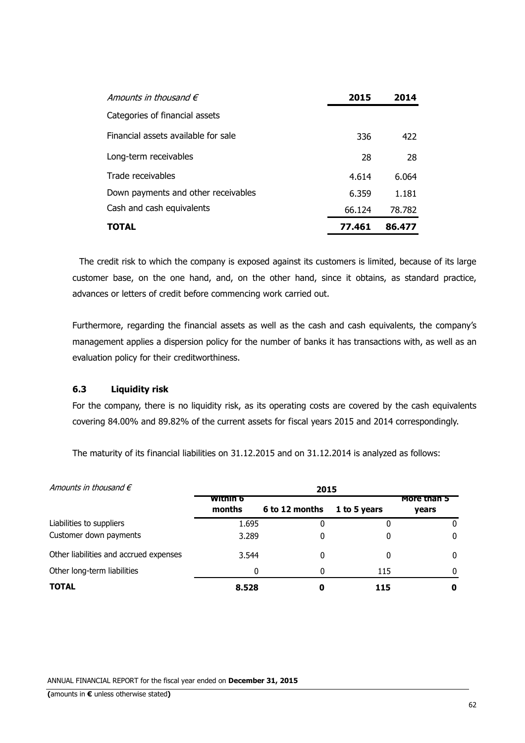| Amounts in thousand $\epsilon$      | 2015   | 2014   |
|-------------------------------------|--------|--------|
| Categories of financial assets      |        |        |
| Financial assets available for sale | 336    | 422    |
| Long-term receivables               | 28     | 28     |
| Trade receivables                   | 4.614  | 6.064  |
| Down payments and other receivables | 6.359  | 1.181  |
| Cash and cash equivalents           | 66.124 | 78.782 |
| <b>TOTAL</b>                        | 77.461 | 86.477 |

 The credit risk to which the company is exposed against its customers is limited, because of its large customer base, on the one hand, and, on the other hand, since it obtains, as standard practice, advances or letters of credit before commencing work carried out.

Furthermore, regarding the financial assets as well as the cash and cash equivalents, the company's management applies a dispersion policy for the number of banks it has transactions with, as well as an evaluation policy for their creditworthiness.

# **6.3 Liquidity risk**

For the company, there is no liquidity risk, as its operating costs are covered by the cash equivalents covering 84.00% and 89.82% of the current assets for fiscal years 2015 and 2014 correspondingly.

The maturity of its financial liabilities on 31.12.2015 and on 31.12.2014 is analyzed as follows:

| Amounts in thousand $\epsilon$         | 2015               |                |              |                      |  |  |
|----------------------------------------|--------------------|----------------|--------------|----------------------|--|--|
|                                        | within 6<br>months | 6 to 12 months | 1 to 5 years | more than 5<br>years |  |  |
| Liabilities to suppliers               | 1.695              |                |              |                      |  |  |
| Customer down payments                 | 3.289              |                |              | 0                    |  |  |
| Other liabilities and accrued expenses | 3.544              | 0              | 0            | 0                    |  |  |
| Other long-term liabilities            | 0                  | 0              | 115          |                      |  |  |
| <b>TOTAL</b>                           | 8.528              |                | 115          | 0                    |  |  |

ANNUAL FINANCIAL REPORT for the fiscal year ended on **December 31, 2015**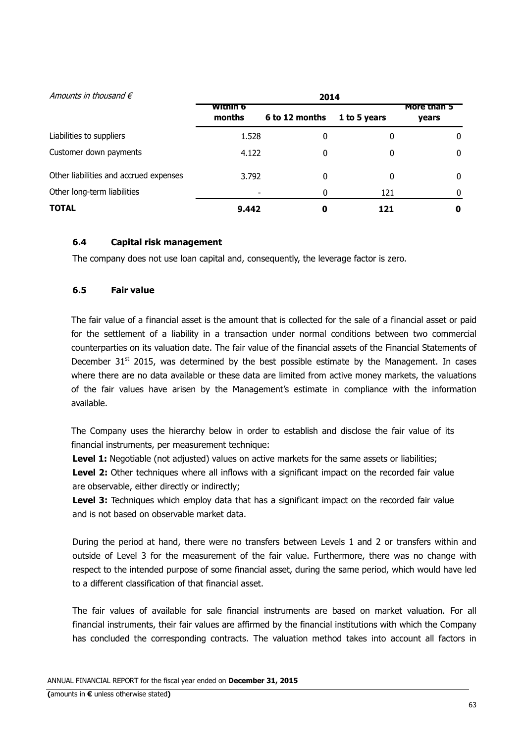| Amounts in thousand $\epsilon$         |                           |                |              |                      |
|----------------------------------------|---------------------------|----------------|--------------|----------------------|
|                                        | <b>Within</b> 6<br>months | 6 to 12 months | 1 to 5 years | More than 5<br>years |
| Liabilities to suppliers               | 1.528                     | 0              | 0            | 0                    |
| Customer down payments                 | 4.122                     | 0              | 0            | 0                    |
| Other liabilities and accrued expenses | 3.792                     | 0              | 0            | 0                    |
| Other long-term liabilities            |                           | 0              | 121          |                      |
| <b>TOTAL</b>                           | 9.442                     | 0              | 121          | o                    |

# **6.4 Capital risk management**

The company does not use loan capital and, consequently, the leverage factor is zero.

# **6.5 Fair value**

The fair value of a financial asset is the amount that is collected for the sale of a financial asset or paid for the settlement of a liability in a transaction under normal conditions between two commercial counterparties on its valuation date. The fair value of the financial assets of the Financial Statements of December  $31<sup>st</sup>$  2015, was determined by the best possible estimate by the Management. In cases where there are no data available or these data are limited from active money markets, the valuations of the fair values have arisen by the Management's estimate in compliance with the information available.

The Company uses the hierarchy below in order to establish and disclose the fair value of its financial instruments, per measurement technique:

**Level 1:** Negotiable (not adjusted) values on active markets for the same assets or liabilities;

**Level 2:** Other techniques where all inflows with a significant impact on the recorded fair value are observable, either directly or indirectly;

Level 3: Techniques which employ data that has a significant impact on the recorded fair value and is not based on observable market data.

During the period at hand, there were no transfers between Levels 1 and 2 or transfers within and outside of Level 3 for the measurement of the fair value. Furthermore, there was no change with respect to the intended purpose of some financial asset, during the same period, which would have led to a different classification of that financial asset.

The fair values of available for sale financial instruments are based on market valuation. For all financial instruments, their fair values are affirmed by the financial institutions with which the Company has concluded the corresponding contracts. The valuation method takes into account all factors in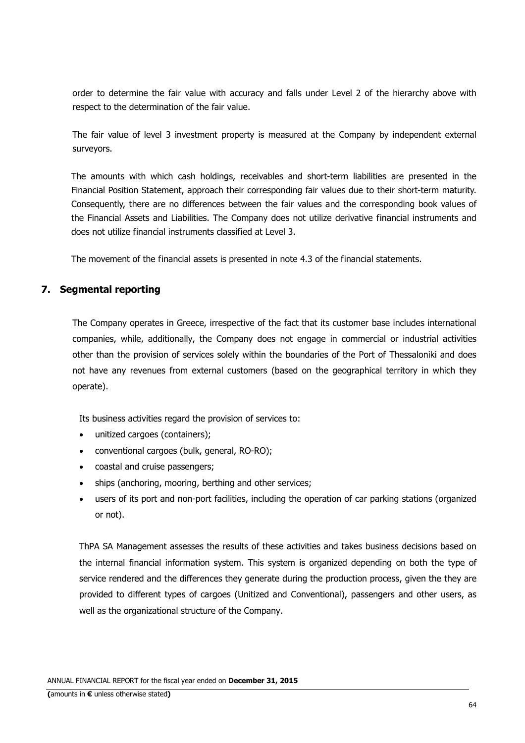order to determine the fair value with accuracy and falls under Level 2 of the hierarchy above with respect to the determination of the fair value.

The fair value of level 3 investment property is measured at the Company by independent external surveyors.

The amounts with which cash holdings, receivables and short-term liabilities are presented in the Financial Position Statement, approach their corresponding fair values due to their short-term maturity. Consequently, there are no differences between the fair values and the corresponding book values of the Financial Assets and Liabilities. The Company does not utilize derivative financial instruments and does not utilize financial instruments classified at Level 3.

The movement of the financial assets is presented in note 4.3 of the financial statements.

# **7. Segmental reporting**

The Company operates in Greece, irrespective of the fact that its customer base includes international companies, while, additionally, the Company does not engage in commercial or industrial activities other than the provision of services solely within the boundaries of the Port of Thessaloniki and does not have any revenues from external customers (based on the geographical territory in which they operate).

Its business activities regard the provision of services to:

- unitized cargoes (containers);
- conventional cargoes (bulk, general, RO-RO);
- coastal and cruise passengers;
- ships (anchoring, mooring, berthing and other services;
- users of its port and non-port facilities, including the operation of car parking stations (organized or not).

ThPA SA Management assesses the results of these activities and takes business decisions based on the internal financial information system. This system is organized depending on both the type of service rendered and the differences they generate during the production process, given the they are provided to different types of cargoes (Unitized and Conventional), passengers and other users, as well as the organizational structure of the Company.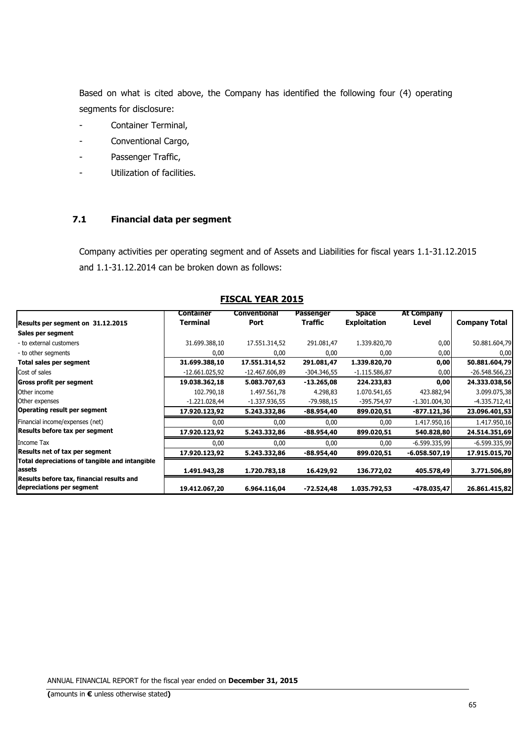Based on what is cited above, the Company has identified the following four (4) operating segments for disclosure:

- Container Terminal,
- Conventional Cargo,
- Passenger Traffic,
- Utilization of facilities.

# **7.1 Financial data per segment**

Company activities per operating segment and of Assets and Liabilities for fiscal years 1.1-31.12.2015 and 1.1-31.12.2014 can be broken down as follows:

| Results per segment on 31.12.2015                                      | Container<br>Terminal | Conventional<br>Port | <b>Passenger</b><br><b>Traffic</b> | <b>Space</b><br><b>Exploitation</b> | <b>At Company</b><br>Level | <b>Company Total</b> |
|------------------------------------------------------------------------|-----------------------|----------------------|------------------------------------|-------------------------------------|----------------------------|----------------------|
| Sales per segment                                                      |                       |                      |                                    |                                     |                            |                      |
| - to external customers                                                | 31.699.388,10         | 17.551.314,52        | 291.081,47                         | 1.339.820,70                        | 0,00                       | 50.881.604,79        |
| - to other segments                                                    | 0,00                  | 0,00                 | 0,00                               | 0,00                                | 0,00                       | 0,00                 |
| Total sales per segment                                                | 31.699.388,10         | 17.551.314,52        | 291.081,47                         | 1.339.820,70                        | 0,00                       | 50.881.604,79        |
| Cost of sales                                                          | -12.661.025,92        | -12.467.606,89       | $-304.346,55$                      | $-1.115.586.87$                     | 0,00                       | $-26.548.566,23$     |
| <b>Gross profit per segment</b>                                        | 19.038.362,18         | 5.083.707,63         | $-13.265,08$                       | 224.233,83                          | 0,00                       | 24.333.038,56        |
| Other income                                                           | 102.790,18            | 1.497.561,78         | 4.298,83                           | 1.070.541,65                        | 423.882,94                 | 3.099.075,38         |
| Other expenses                                                         | $-1.221.028,44$       | $-1.337.936.55$      | -79.988,15                         | -395.754,97                         | $-1.301.004,30$            | $-4.335.712,41$      |
| <b>Operating result per segment</b>                                    | 17.920.123,92         | 5.243.332,86         | -88.954,40                         | 899.020,51                          | $-877.121,36$              | 23.096.401,53        |
| Financial income/expenses (net)                                        | 0,00                  | 0,00                 | 0,00                               | 0,00                                | 1.417.950,16               | 1.417.950,16         |
| Results before tax per segment                                         | 17.920.123,92         | 5.243.332,86         | $-88.954,40$                       | 899.020,51                          | 540.828,80                 | 24.514.351,69        |
| Income Tax                                                             | 0,00                  | 0,00                 | 0,00                               | 0,00                                | $-6.599.335.99$            | $-6.599.335,99$      |
| Results net of tax per segment                                         | 17.920.123,92         | 5.243.332,86         | -88.954,40                         | 899.020,51                          | $-6.058.507,19$            | 17.915.015,70        |
| Total depreciations of tangible and intangible<br>assets               | 1.491.943,28          | 1.720.783,18         | 16.429,92                          | 136.772,02                          | 405.578,49                 | 3.771.506,89         |
| Results before tax, financial results and<br>depreciations per segment | 19.412.067,20         | 6.964.116,04         | -72.524,48                         | 1.035.792,53                        | $-478.035,47$              | 26.861.415,82        |

# **FISCAL YEAR 2015**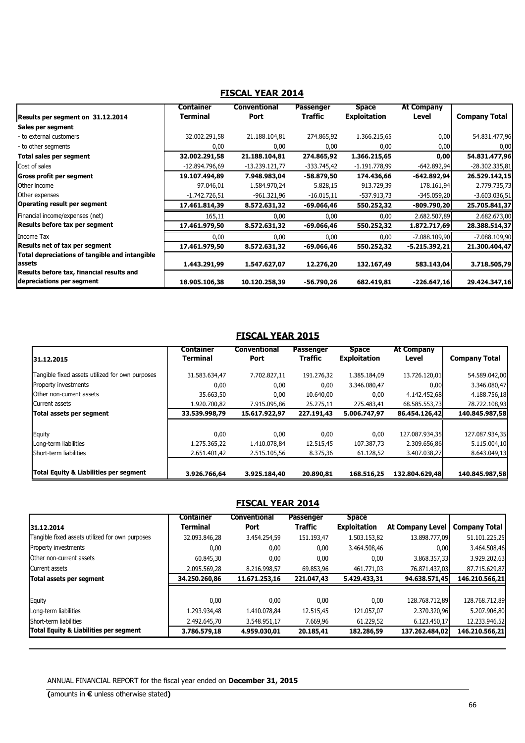|                                                                        | Container       | Conventional   | <b>Passenger</b> | <b>Space</b>        | <b>At Company</b> |                      |
|------------------------------------------------------------------------|-----------------|----------------|------------------|---------------------|-------------------|----------------------|
| Results per segment on 31.12.2014                                      | <b>Terminal</b> | Port           | <b>Traffic</b>   | <b>Exploitation</b> | Level             | <b>Company Total</b> |
| Sales per segment                                                      |                 |                |                  |                     |                   |                      |
| - to external customers                                                | 32.002.291,58   | 21.188.104,81  | 274.865,92       | 1.366.215,65        | 0,00              | 54.831.477,96        |
| - to other segments                                                    | 0,00            | 0,00           | 0,00             | 0,00                | 0,00              | 0,00                 |
| Total sales per segment                                                | 32.002.291,58   | 21.188.104,81  | 274.865,92       | 1.366.215,65        | 0,00              | 54.831.477,96        |
| Cost of sales                                                          | -12.894.796,69  | -13.239.121,77 | -333.745,42      | -1.191.778,99       | $-642.892,94$     | -28.302.335,81       |
| Gross profit per segment                                               | 19.107.494,89   | 7.948.983,04   | -58.879,50       | 174.436,66          | $-642.892,94$     | 26.529.142,15        |
| Other income                                                           | 97.046,01       | 1.584.970.24   | 5.828,15         | 913.729,39          | 178.161,94        | 2.779.735,73         |
| Other expenses                                                         | $-1.742.726.51$ | -961.321,96    | $-16.015,11$     | -537.913,73         | $-345.059,20$     | $-3.603.036,51$      |
| Operating result per segment                                           | 17.461.814,39   | 8.572.631,32   | -69.066,46       | 550.252,32          | $-809.790,20$     | 25.705.841,37        |
| Financial income/expenses (net)                                        | 165,11          | 0,00           | 0,00             | 0,00                | 2.682.507,89      | 2.682.673,00         |
| Results before tax per segment                                         | 17.461.979,50   | 8.572.631,32   | $-69.066,46$     | 550.252,32          | 1.872.717,69      | 28.388.514,37        |
| Income Tax                                                             | 0,00            | 0,00           | 0,00             | 0,00                | $-7.088.109,90$   | $-7.088.109,90$      |
| Results net of tax per segment                                         | 17.461.979,50   | 8.572.631,32   | -69.066,46       | 550.252,32          | -5.215.392,21     | 21.300.404,47        |
| Total depreciations of tangible and intangible                         |                 |                |                  |                     |                   |                      |
| assets                                                                 | 1.443.291,99    | 1.547.627,07   | 12.276,20        | 132.167,49          | 583.143,04        | 3.718.505,79         |
| Results before tax, financial results and<br>depreciations per segment | 18.905.106,38   | 10.120.258,39  | -56.790,26       | 682.419,81          | $-226.647,16$     | 29.424.347,16        |

# **FISCAL YEAR 2014**

# **FISCAL YEAR 2015**

|                                                   | <b>Container</b> | <b>Conventional</b> | Passenger      | <b>Space</b>        | <b>At Company</b> |                      |
|---------------------------------------------------|------------------|---------------------|----------------|---------------------|-------------------|----------------------|
| 31.12.2015                                        | <b>Terminal</b>  | Port                | <b>Traffic</b> | <b>Exploitation</b> | Level             | <b>Company Total</b> |
| Tangible fixed assets utilized for own purposes   | 31.583.634,47    | 7.702.827,11        | 191.276,32     | 1.385.184,09        | 13.726.120,01     | 54.589.042,00        |
| <b>Property investments</b>                       | 0,00             | 0,00                | 0,00           | 3.346.080,47        | 0,00              | 3.346.080,47         |
| Other non-current assets                          | 35.663,50        | 0,00                | 10.640,00      | 0,00                | 4.142.452,68      | 4.188.756,18         |
| Current assets                                    | 1.920.700,82     | 7.915.095,86        | 25.275,11      | 275.483,41          | 68.585.553,73     | 78.722.108,93        |
| Total assets per segment                          | 33.539.998,79    | 15.617.922,97       | 227.191,43     | 5.006.747,97        | 86.454.126,42     | 140.845.987,58       |
|                                                   |                  |                     |                |                     |                   |                      |
| Equity                                            | 0,00             | 0,00                | 0,00           | 0,00                | 127.087.934,35    | 127.087.934,35       |
| Long-term liabilities                             | 1.275.365,22     | 1.410.078,84        | 12.515,45      | 107.387,73          | 2.309.656,86      | 5.115.004,10         |
| Short-term liabilities                            | 2.651.401,42     | 2.515.105,56        | 8.375,36       | 61.128,52           | 3.407.038,27      | 8.643.049,13         |
|                                                   |                  |                     |                |                     |                   |                      |
| <b>Total Equity &amp; Liabilities per segment</b> | 3.926.766,64     | 3.925.184,40        | 20.890,81      | 168.516,25          | 132.804.629,48    | 140.845.987,58       |

# **FISCAL YEAR 2014**

| 31.12.2014                                      | <b>Container</b><br>Terminal | <b>Conventional</b><br>Port | <b>Passenger</b><br><b>Traffic</b> | <b>Space</b><br><b>Exploitation</b> | At Company Level | Company Total  |
|-------------------------------------------------|------------------------------|-----------------------------|------------------------------------|-------------------------------------|------------------|----------------|
| Tangible fixed assets utilized for own purposes | 32.093.846,28                | 3.454.254,59                | 151.193,47                         | 1.503.153.82                        | 13.898.777.09    | 51.101.225,25  |
| <b>Property investments</b>                     | 0,00                         | 0,00                        | 0,00                               | 3.464.508,46                        | 0,00             | 3.464.508,46   |
| Other non-current assets                        | 60.845,30                    | 0,00                        | 0,00                               | 0,00                                | 3.868.357,33     | 3.929.202,63   |
| Current assets                                  | 2.095.569,28                 | 8.216.998.57                | 69.853,96                          | 461.771,03                          | 76.871.437,03    | 87.715.629,87  |
| Total assets per segment                        | 34.250.260,86                | 11.671.253,16               | 221.047,43                         | 5.429.433,31                        | 94.638.571,45    | 146.210.566,21 |
|                                                 |                              |                             |                                    |                                     |                  |                |
| Equity                                          | 0,00                         | 0,00                        | 0.00                               | 0,00                                | 128.768.712,89   | 128.768.712,89 |
| Long-term liabilities                           | 1.293.934,48                 | 1.410.078,84                | 12.515,45                          | 121.057,07                          | 2.370.320,96     | 5.207.906,80   |
| Short-term liabilities                          | 2.492.645,70                 | 3.548.951,17                | 7.669,96                           | 61.229,52                           | 6.123.450,17     | 12.233.946,52  |
| Total Equity & Liabilities per segment          | 3.786.579,18                 | 4.959.030,01                | 20.185,41                          | 182.286,59                          | 137.262.484,02   | 146.210.566,21 |

ANNUAL FINANCIAL REPORT for the fiscal year ended on **December 31, 2015**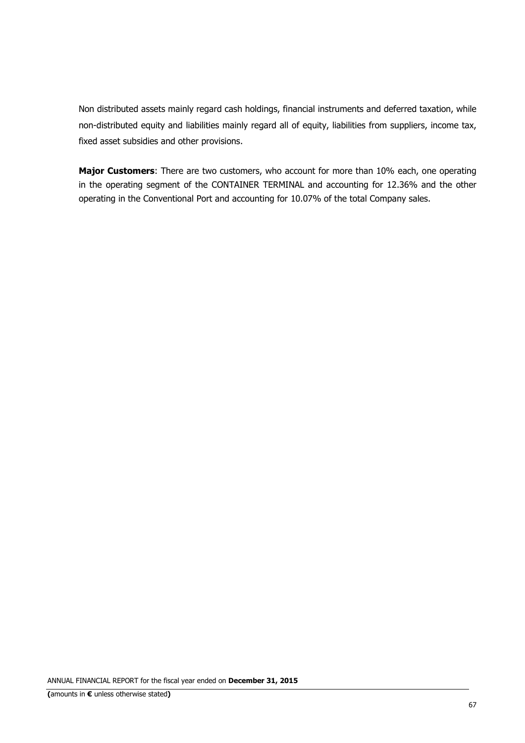Non distributed assets mainly regard cash holdings, financial instruments and deferred taxation, while non-distributed equity and liabilities mainly regard all of equity, liabilities from suppliers, income tax, fixed asset subsidies and other provisions.

**Major Customers**: There are two customers, who account for more than 10% each, one operating in the operating segment of the CONTAINER TERMINAL and accounting for 12.36% and the other operating in the Conventional Port and accounting for 10.07% of the total Company sales.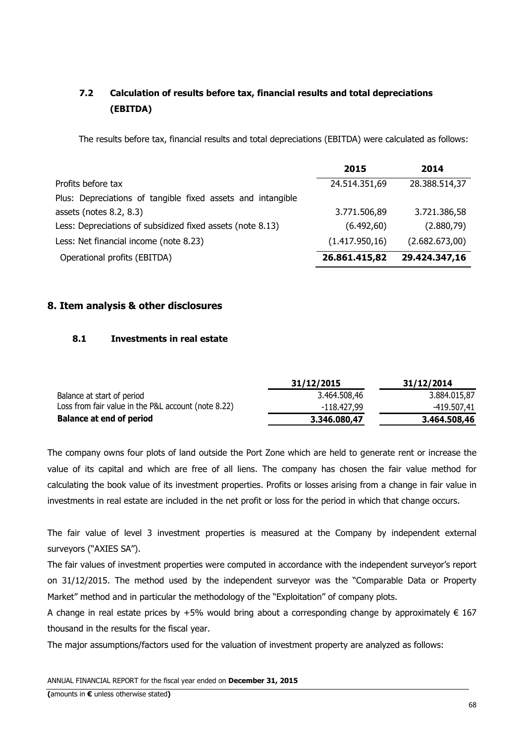# **7.2 Calculation of results before tax, financial results and total depreciations (EBITDA)**

The results before tax, financial results and total depreciations (EBITDA) were calculated as follows:

|                                                             | 2015            | 2014           |
|-------------------------------------------------------------|-----------------|----------------|
| Profits before tax                                          | 24.514.351,69   | 28.388.514,37  |
| Plus: Depreciations of tangible fixed assets and intangible |                 |                |
| assets (notes 8.2, 8.3)                                     | 3.771.506,89    | 3.721.386,58   |
| Less: Depreciations of subsidized fixed assets (note 8.13)  | (6.492, 60)     | (2.880, 79)    |
| Less: Net financial income (note 8.23)                      | (1.417.950, 16) | (2.682.673,00) |
| Operational profits (EBITDA)                                | 26.861.415,82   | 29.424.347,16  |

# **8. Item analysis & other disclosures**

# **8.1 Investments in real estate**

|                                                     | 31/12/2015   | 31/12/2014   |
|-----------------------------------------------------|--------------|--------------|
| Balance at start of period                          | 3.464.508,46 | 3.884.015,87 |
| Loss from fair value in the P&L account (note 8.22) | -118.427,99  | -419.507,41  |
| <b>Balance at end of period</b>                     | 3.346.080,47 | 3.464.508,46 |

The company owns four plots of land outside the Port Zone which are held to generate rent or increase the value of its capital and which are free of all liens. The company has chosen the fair value method for calculating the book value of its investment properties. Profits or losses arising from a change in fair value in investments in real estate are included in the net profit or loss for the period in which that change occurs.

The fair value of level 3 investment properties is measured at the Company by independent external surveyors ("AXIES SA").

The fair values of investment properties were computed in accordance with the independent surveyor's report on 31/12/2015. The method used by the independent surveyor was the "Comparable Data or Property Market" method and in particular the methodology of the "Exploitation" of company plots.

A change in real estate prices by +5% would bring about a corresponding change by approximately  $\epsilon$  167 thousand in the results for the fiscal year.

The major assumptions/factors used for the valuation of investment property are analyzed as follows: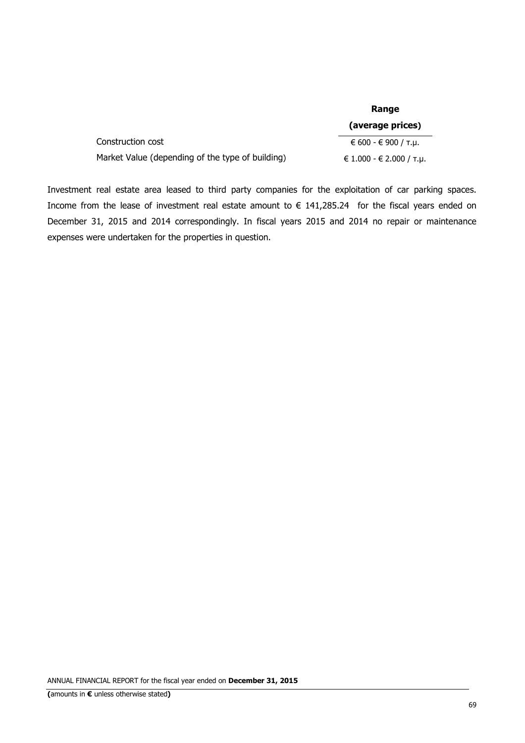|                                                  | Range                            |  |
|--------------------------------------------------|----------------------------------|--|
|                                                  | (average prices)                 |  |
| Construction cost                                | € 600 - € 900 / т.и.             |  |
| Market Value (depending of the type of building) | € 1.000 - € 2.000 / $\tau.\mu$ . |  |

Investment real estate area leased to third party companies for the exploitation of car parking spaces. Income from the lease of investment real estate amount to  $\epsilon$  141,285.24 for the fiscal years ended on December 31, 2015 and 2014 correspondingly. In fiscal years 2015 and 2014 no repair or maintenance expenses were undertaken for the properties in question.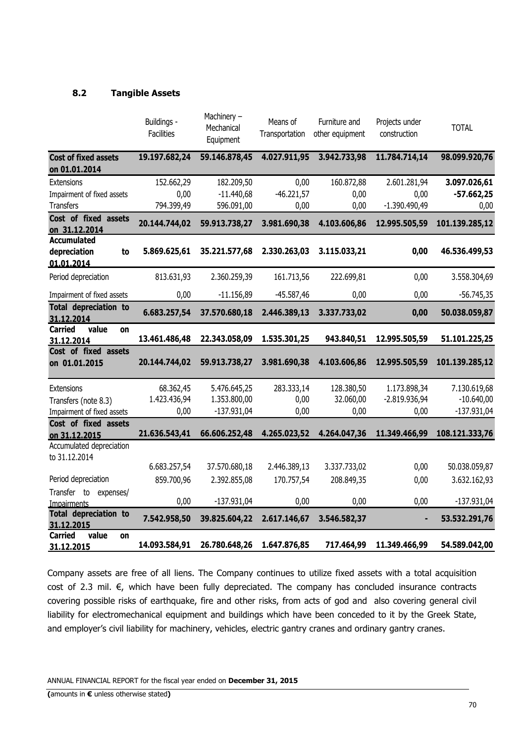# **8.2 Tangible Assets**

|                                                                  | Buildings -<br><b>Facilities</b> | Machinery -<br>Mechanical<br>Equipment | Means of<br>Transportation | Furniture and<br>other equipment | Projects under<br>construction | <b>TOTAL</b>   |
|------------------------------------------------------------------|----------------------------------|----------------------------------------|----------------------------|----------------------------------|--------------------------------|----------------|
| <b>Cost of fixed assets</b><br>on 01.01.2014                     | 19.197.682,24                    | 59.146.878,45                          | 4.027.911,95               | 3.942.733,98                     | 11.784.714,14                  | 98.099.920,76  |
| <b>Extensions</b>                                                | 152.662,29                       | 182.209,50                             | 0,00                       | 160.872,88                       | 2.601.281,94                   | 3.097.026,61   |
| Impairment of fixed assets                                       | 0,00                             | $-11.440,68$                           | $-46.221,57$               | 0,00                             | 0,00                           | $-57.662,25$   |
| <b>Transfers</b>                                                 | 794.399,49                       | 596.091,00                             | 0,00                       | 0,00                             | $-1.390.490,49$                | 0,00           |
| Cost of fixed assets<br>on 31.12.2014                            | 20.144.744,02                    | 59.913.738,27                          | 3.981.690,38               | 4.103.606,86                     | 12.995.505,59                  | 101.139.285,12 |
| <b>Accumulated</b><br>depreciation<br>to<br>01.01.2014           | 5.869.625,61                     | 35.221.577,68                          | 2.330.263,03               | 3.115.033,21                     | 0,00                           | 46.536.499,53  |
| Period depreciation                                              | 813.631,93                       | 2.360.259,39                           | 161.713,56                 | 222.699,81                       | 0,00                           | 3.558.304,69   |
| Impairment of fixed assets                                       | 0,00                             | $-11.156,89$                           | $-45.587,46$               | 0,00                             | 0,00                           | $-56.745,35$   |
| <b>Total depreciation to</b><br>31.12.2014                       | 6.683.257,54                     | 37.570.680,18                          | 2.446.389,13               | 3.337.733,02                     | 0,00                           | 50.038.059,87  |
| <b>Carried</b><br>value<br>on<br>31.12.2014                      | 13.461.486,48                    | 22.343.058,09                          | 1.535.301,25               | 943.840,51                       | 12.995.505,59                  | 51.101.225,25  |
| Cost of fixed assets<br>on 01.01.2015                            | 20.144.744,02                    | 59.913.738,27                          | 3.981.690,38               | 4.103.606,86                     | 12.995.505,59                  | 101.139.285,12 |
| Extensions                                                       | 68.362,45                        | 5.476.645,25                           | 283.333,14                 | 128.380,50                       | 1.173.898,34                   | 7.130.619,68   |
| Transfers (note 8.3)                                             | 1.423.436,94                     | 1.353.800,00                           | 0,00                       | 32.060,00                        | $-2.819.936,94$                | $-10.640,00$   |
| Impairment of fixed assets                                       | 0,00                             | $-137.931,04$                          | 0,00                       | 0,00                             | 0,00                           | $-137.931,04$  |
| Cost of fixed assets<br>on 31.12.2015                            | 21.636.543,41                    | 66.606.252,48                          | 4.265.023,52               | 4.264.047,36                     | 11.349.466,99                  | 108.121.333,76 |
| Accumulated depreciation<br>to 31.12.2014                        |                                  |                                        |                            |                                  |                                |                |
|                                                                  | 6.683.257,54                     | 37.570.680,18                          | 2.446.389,13               | 3.337.733,02                     | 0,00                           | 50.038.059,87  |
| Period depreciation                                              | 859.700,96                       | 2.392.855,08                           | 170.757,54                 | 208.849,35                       | 0,00                           | 3.632.162,93   |
| Transfer to expenses/                                            | 0,00                             | $-137.931,04$                          | 0,00                       | 0,00                             | 0,00                           | $-137.931,04$  |
| <b>Impairments</b><br><b>Total depreciation to</b><br>31.12.2015 | 7.542.958,50                     | 39.825.604,22                          | 2.617.146,67               | 3.546.582,37                     | ٠                              | 53.532.291,76  |
| <b>Carried</b><br>value<br>on<br>31.12.2015                      | 14.093.584,91                    | 26.780.648,26                          | 1.647.876,85               | 717.464,99                       | 11.349.466,99                  | 54.589.042,00  |

Company assets are free of all liens. The Company continues to utilize fixed assets with a total acquisition cost of 2.3 mil. €, which have been fully depreciated. The company has concluded insurance contracts covering possible risks of earthquake, fire and other risks, from acts of god and also covering general civil liability for electromechanical equipment and buildings which have been conceded to it by the Greek State, and employer's civil liability for machinery, vehicles, electric gantry cranes and ordinary gantry cranes.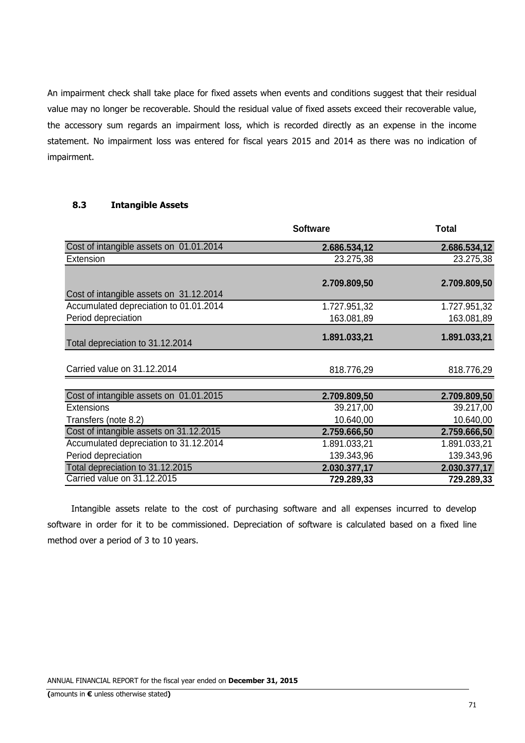An impairment check shall take place for fixed assets when events and conditions suggest that their residual value may no longer be recoverable. Should the residual value of fixed assets exceed their recoverable value, the accessory sum regards an impairment loss, which is recorded directly as an expense in the income statement. No impairment loss was entered for fiscal years 2015 and 2014 as there was no indication of impairment.

## **8.3 Intangible Assets**

| Cost of intangible assets on 01.01.2014<br>2.686.534,12 | 2.686.534,12 |
|---------------------------------------------------------|--------------|
| 23.275,38<br>Extension                                  | 23.275,38    |
|                                                         |              |
| 2.709.809,50                                            | 2.709.809,50 |
| Cost of intangible assets on 31.12.2014                 |              |
| Accumulated depreciation to 01.01.2014<br>1.727.951,32  | 1.727.951,32 |
| Period depreciation<br>163.081,89                       | 163.081,89   |
|                                                         |              |
| 1.891.033,21<br>Total depreciation to 31.12.2014        | 1.891.033,21 |
|                                                         |              |
| Carried value on 31.12.2014<br>818.776,29               | 818.776,29   |
|                                                         |              |
| Cost of intangible assets on 01.01.2015<br>2.709.809,50 | 2.709.809,50 |
| <b>Extensions</b><br>39.217,00                          | 39.217,00    |
| 10.640,00<br>Transfers (note 8.2)                       | 10.640,00    |
| Cost of intangible assets on 31.12.2015<br>2.759.666,50 | 2.759.666,50 |
| Accumulated depreciation to 31.12.2014<br>1.891.033,21  | 1.891.033,21 |
| Period depreciation<br>139.343,96                       | 139.343,96   |
| Total depreciation to 31.12.2015<br>2.030.377,17        | 2.030.377,17 |
| Carried value on 31.12.2015<br>729.289,33               | 729.289,33   |

 Intangible assets relate to the cost of purchasing software and all expenses incurred to develop software in order for it to be commissioned. Depreciation of software is calculated based on a fixed line method over a period of 3 to 10 years.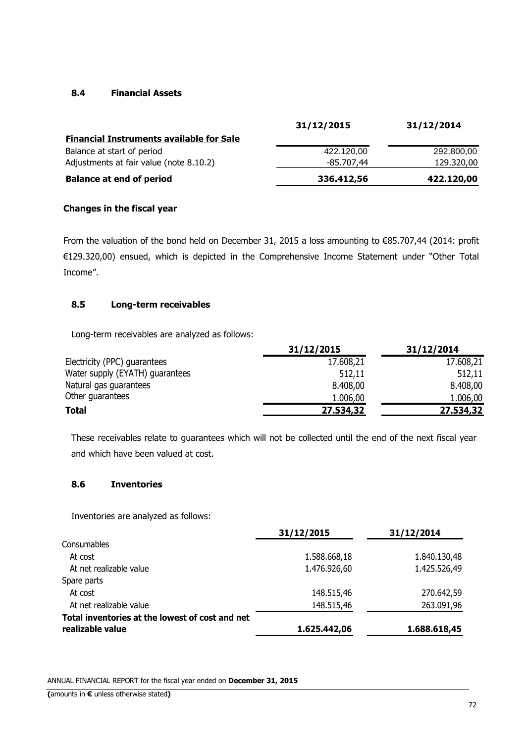# **8.4 Financial Assets**

|                                                 | 31/12/2015          | 31/12/2014 |
|-------------------------------------------------|---------------------|------------|
| <b>Financial Instruments available for Sale</b> |                     |            |
| Balance at start of period                      | 422.120,00          | 292.800,00 |
| Adjustments at fair value (note 8.10.2)         | -85.707 <i>.</i> 44 | 129.320,00 |
| <b>Balance at end of period</b>                 | 336.412,56          | 422.120,00 |

# **Changes in the fiscal year**

From the valuation of the bond held on December 31, 2015 a loss amounting to €85.707,44 (2014: profit €129.320,00) ensued, which is depicted in the Comprehensive Income Statement under "Other Total Income".

# **8.5 Long-term receivables**

Long-term receivables are analyzed as follows:

|                                 | 31/12/2015 | 31/12/2014 |
|---------------------------------|------------|------------|
| Electricity (PPC) guarantees    | 17.608,21  | 17.608,21  |
| Water supply (EYATH) guarantees | 512,11     | 512,11     |
| Natural gas guarantees          | 8.408,00   | 8.408,00   |
| Other guarantees                | 1.006,00   | 1.006,00   |
| <b>Total</b>                    | 27.534,32  | 27.534,32  |

These receivables relate to guarantees which will not be collected until the end of the next fiscal year and which have been valued at cost.

# **8.6 Inventories**

Inventories are analyzed as follows:

|                                                 | 31/12/2015   | 31/12/2014   |
|-------------------------------------------------|--------------|--------------|
| Consumables                                     |              |              |
| At cost                                         | 1.588.668,18 | 1.840.130,48 |
| At net realizable value                         | 1.476.926,60 | 1.425.526,49 |
| Spare parts                                     |              |              |
| At cost                                         | 148.515,46   | 270.642,59   |
| At net realizable value                         | 148.515,46   | 263.091,96   |
| Total inventories at the lowest of cost and net |              |              |
| realizable value                                | 1.625.442,06 | 1.688.618,45 |
|                                                 |              |              |

ANNUAL FINANCIAL REPORT for the fiscal year ended on **December 31, 2015**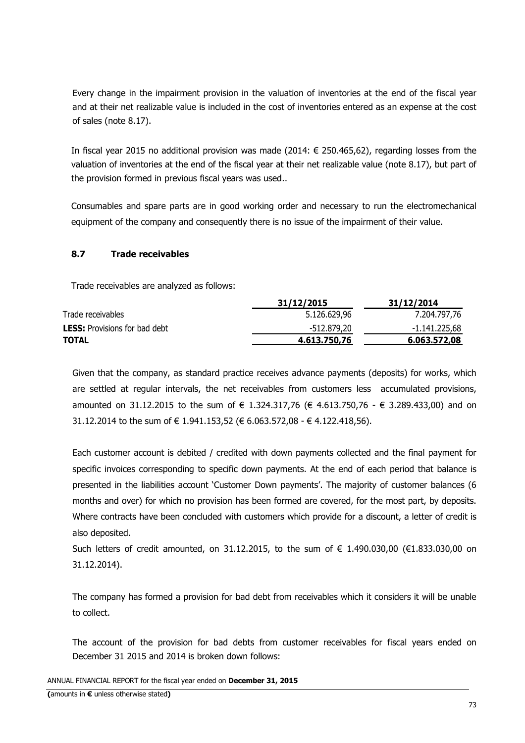Every change in the impairment provision in the valuation of inventories at the end of the fiscal year and at their net realizable value is included in the cost of inventories entered as an expense at the cost of sales (note 8.17).

In fiscal year 2015 no additional provision was made (2014: € 250.465,62), regarding losses from the valuation of inventories at the end of the fiscal year at their net realizable value (note 8.17), but part of the provision formed in previous fiscal years was used..

Consumables and spare parts are in good working order and necessary to run the electromechanical equipment of the company and consequently there is no issue of the impairment of their value.

### **8.7 Trade receivables**

Trade receivables are analyzed as follows:

|                                      | 31/12/2015   | 31/12/2014    |
|--------------------------------------|--------------|---------------|
| Trade receivables                    | 5.126.629,96 | 7.204.797,76  |
| <b>LESS:</b> Provisions for bad debt | -512.879,20  | -1.141.225,68 |
| TOTAL                                | 4.613.750,76 | 6.063.572,08  |
|                                      |              |               |

Given that the company, as standard practice receives advance payments (deposits) for works, which are settled at regular intervals, the net receivables from customers less accumulated provisions, amounted on 31.12.2015 to the sum of € 1.324.317,76 (€ 4.613.750,76 - € 3.289.433,00) and on 31.12.2014 to the sum of € 1.941.153,52 (€ 6.063.572,08 - € 4.122.418,56).

Each customer account is debited / credited with down payments collected and the final payment for specific invoices corresponding to specific down payments. At the end of each period that balance is presented in the liabilities account 'Customer Down payments'. The majority of customer balances (6 months and over) for which no provision has been formed are covered, for the most part, by deposits. Where contracts have been concluded with customers which provide for a discount, a letter of credit is also deposited.

Such letters of credit amounted, on 31.12.2015, to the sum of € 1.490.030,00 (€1.833.030,00 on 31.12.2014).

The company has formed a provision for bad debt from receivables which it considers it will be unable to collect.

The account of the provision for bad debts from customer receivables for fiscal years ended on December 31 2015 and 2014 is broken down follows: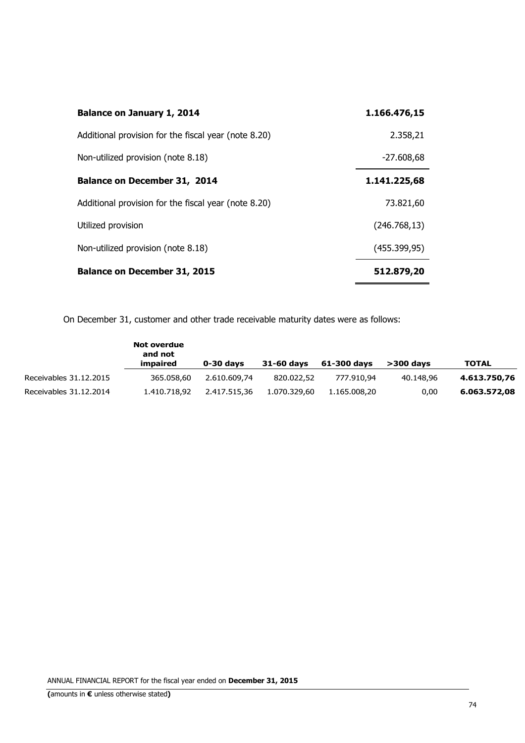| <b>Balance on January 1, 2014</b>                    | 1.166.476,15  |
|------------------------------------------------------|---------------|
| Additional provision for the fiscal year (note 8.20) | 2.358,21      |
| Non-utilized provision (note 8.18)                   | $-27.608,68$  |
| <b>Balance on December 31, 2014</b>                  | 1.141.225,68  |
| Additional provision for the fiscal year (note 8.20) | 73.821,60     |
| Utilized provision                                   | (246.768, 13) |
| Non-utilized provision (note 8.18)                   | (455.399, 95) |
| <b>Balance on December 31, 2015</b>                  | 512.879,20    |

On December 31, customer and other trade receivable maturity dates were as follows:

|                        | Not overdue<br>and not<br>impaired | 0-30 days    | 31-60 days   | 61-300 days  | $>$ 300 davs | TOTAL        |
|------------------------|------------------------------------|--------------|--------------|--------------|--------------|--------------|
| Receivables 31.12.2015 | 365.058.60                         | 2.610.609.74 | 820.022.52   | 777.910.94   | 40.148.96    | 4.613.750.76 |
| Receivables 31.12.2014 | 1.410.718.92                       | 2.417.515.36 | 1.070.329.60 | 1.165.008.20 | 0,00         | 6.063.572.08 |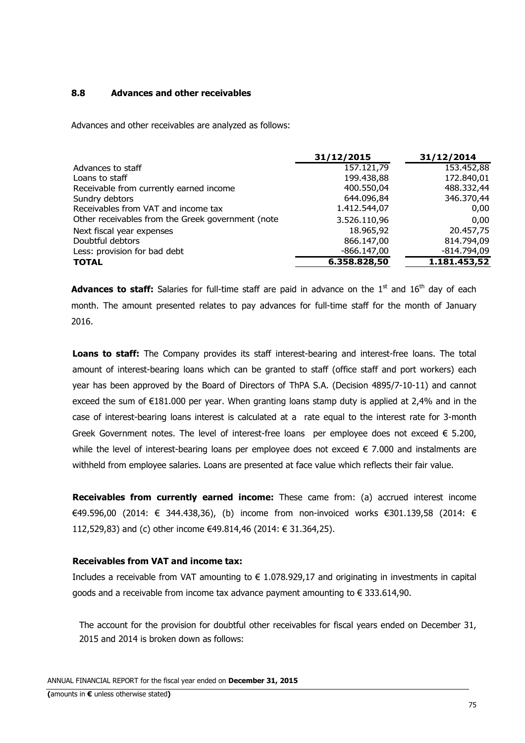### **8.8 Advances and other receivables**

Advances and other receivables are analyzed as follows:

|                                                   | 31/12/2015    | 31/12/2014    |
|---------------------------------------------------|---------------|---------------|
| Advances to staff                                 | 157.121,79    | 153.452,88    |
| Loans to staff                                    | 199.438,88    | 172.840,01    |
| Receivable from currently earned income           | 400.550,04    | 488.332,44    |
| Sundry debtors                                    | 644.096,84    | 346.370,44    |
| Receivables from VAT and income tax               | 1.412.544,07  | 0,00          |
| Other receivables from the Greek government (note | 3.526.110,96  | 0.00          |
| Next fiscal year expenses                         | 18.965,92     | 20.457,75     |
| Doubtful debtors                                  | 866.147,00    | 814.794,09    |
| Less: provision for bad debt                      | $-866.147,00$ | $-814.794,09$ |
| <b>TOTAL</b>                                      | 6.358.828,50  | 1.181.453,52  |

**Advances to staff:** Salaries for full-time staff are paid in advance on the 1<sup>st</sup> and 16<sup>th</sup> day of each month. The amount presented relates to pay advances for full-time staff for the month of January 2016.

**Loans to staff:** The Company provides its staff interest-bearing and interest-free loans. The total amount of interest-bearing loans which can be granted to staff (office staff and port workers) each year has been approved by the Board of Directors of ThPA S.A. (Decision 4895/7-10-11) and cannot exceed the sum of  $E181.000$  per year. When granting loans stamp duty is applied at 2.4% and in the case of interest-bearing loans interest is calculated at a rate equal to the interest rate for 3-month Greek Government notes. The level of interest-free loans per employee does not exceed  $\epsilon$  5.200, while the level of interest-bearing loans per employee does not exceed € 7.000 and instalments are withheld from employee salaries. Loans are presented at face value which reflects their fair value.

**Receivables from currently earned income:** These came from: (a) accrued interest income €49.596,00 (2014: € 344.438,36), (b) income from non-invoiced works €301.139,58 (2014: € 112,529,83) and (c) other income €49.814,46 (2014: € 31.364,25).

#### **Receivables from VAT and income tax:**

Includes a receivable from VAT amounting to  $\epsilon$  1.078.929,17 and originating in investments in capital goods and a receivable from income tax advance payment amounting to  $\epsilon$  333.614,90.

The account for the provision for doubtful other receivables for fiscal years ended on December 31, 2015 and 2014 is broken down as follows: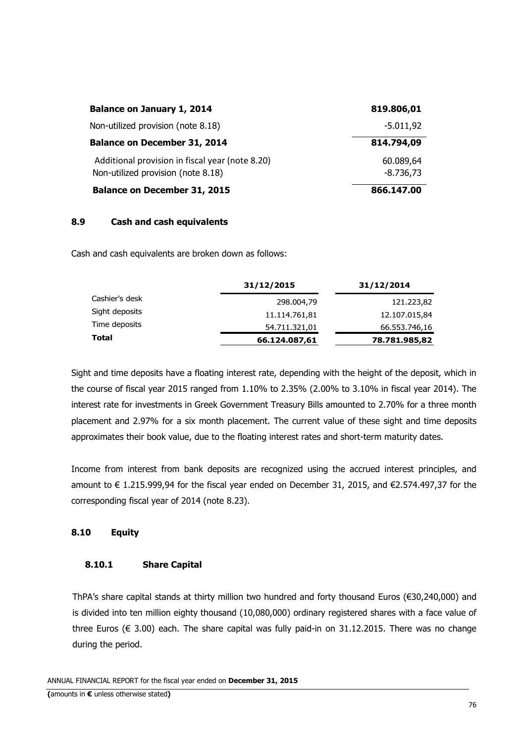| <b>Balance on January 1, 2014</b>                                                     | 819.806,01               |
|---------------------------------------------------------------------------------------|--------------------------|
| Non-utilized provision (note 8.18)                                                    | $-5.011,92$              |
| <b>Balance on December 31, 2014</b>                                                   | 814.794,09               |
| Additional provision in fiscal year (note 8.20)<br>Non-utilized provision (note 8.18) | 60.089,64<br>$-8.736,73$ |
| <b>Balance on December 31, 2015</b>                                                   | 866.147.00               |

### **8.9 Cash and cash equivalents**

Cash and cash equivalents are broken down as follows:

|                | 31/12/2015    | 31/12/2014    |
|----------------|---------------|---------------|
| Cashier's desk | 298.004,79    | 121.223,82    |
| Sight deposits | 11.114.761,81 | 12.107.015,84 |
| Time deposits  | 54.711.321,01 | 66.553.746,16 |
| Total          | 66.124.087,61 | 78.781.985,82 |

Sight and time deposits have a floating interest rate, depending with the height of the deposit, which in the course of fiscal year 2015 ranged from 1.10% to 2.35% (2.00% to 3.10% in fiscal year 2014). The interest rate for investments in Greek Government Treasury Bills amounted to 2.70% for a three month placement and 2.97% for a six month placement. The current value of these sight and time deposits approximates their book value, due to the floating interest rates and short-term maturity dates.

Income from interest from bank deposits are recognized using the accrued interest principles, and amount to € 1.215.999,94 for the fiscal year ended on December 31, 2015, and €2.574.497,37 for the corresponding fiscal year of 2014 (note 8.23).

### **8.10 Equity**

#### **8.10.1 Share Capital**

ThPA's share capital stands at thirty million two hundred and forty thousand Euros (€30,240,000) and is divided into ten million eighty thousand (10,080,000) ordinary registered shares with a face value of three Euros (€ 3.00) each. The share capital was fully paid-in on 31.12.2015. There was no change during the period.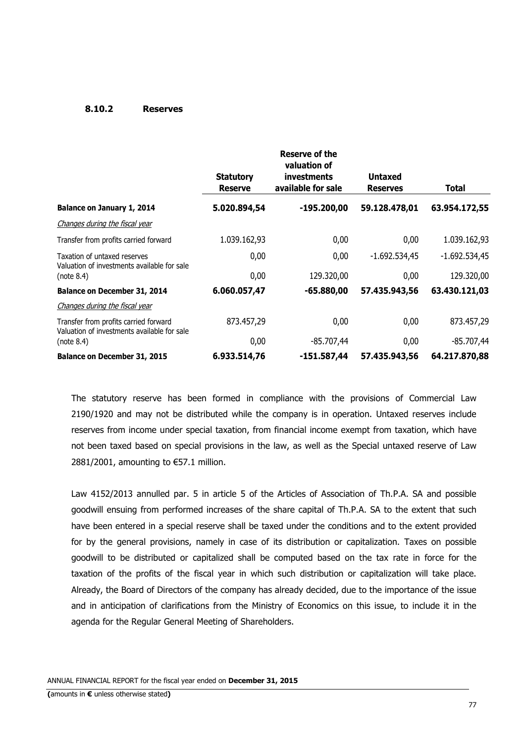#### **8.10.2 Reserves**

|                                                                                      | <b>Statutory</b><br><b>Reserve</b> | Reserve of the<br>valuation of<br><b>investments</b><br>available for sale | <b>Untaxed</b><br><b>Reserves</b> | <b>Total</b>    |
|--------------------------------------------------------------------------------------|------------------------------------|----------------------------------------------------------------------------|-----------------------------------|-----------------|
| Balance on January 1, 2014                                                           | 5.020.894,54                       | $-195.200,00$                                                              | 59.128.478,01                     | 63.954.172,55   |
| Changes during the fiscal year                                                       |                                    |                                                                            |                                   |                 |
| Transfer from profits carried forward                                                | 1.039.162,93                       | 0,00                                                                       | 0,00                              | 1.039.162,93    |
| Taxation of untaxed reserves<br>Valuation of investments available for sale          | 0,00                               | 0,00                                                                       | $-1.692.534,45$                   | $-1.692.534,45$ |
| (note 8.4)                                                                           | 0,00                               | 129.320,00                                                                 | 0,00                              | 129.320,00      |
| Balance on December 31, 2014                                                         | 6.060.057,47                       | $-65.880,00$                                                               | 57.435.943,56                     | 63.430.121,03   |
| Changes during the fiscal year                                                       |                                    |                                                                            |                                   |                 |
| Transfer from profits carried forward<br>Valuation of investments available for sale | 873.457,29                         | 0,00                                                                       | 0,00                              | 873.457,29      |
| (note 8.4)                                                                           | 0,00                               | $-85.707,44$                                                               | 0,00                              | $-85.707,44$    |
| Balance on December 31, 2015                                                         | 6.933.514,76                       | $-151.587,44$                                                              | 57.435.943,56                     | 64.217.870,88   |

The statutory reserve has been formed in compliance with the provisions of Commercial Law 2190/1920 and may not be distributed while the company is in operation. Untaxed reserves include reserves from income under special taxation, from financial income exempt from taxation, which have not been taxed based on special provisions in the law, as well as the Special untaxed reserve of Law 2881/2001, amounting to €57.1 million.

Law 4152/2013 annulled par. 5 in article 5 of the Articles of Association of Th.P.A. SA and possible goodwill ensuing from performed increases of the share capital of Th.P.A. SA to the extent that such have been entered in a special reserve shall be taxed under the conditions and to the extent provided for by the general provisions, namely in case of its distribution or capitalization. Taxes on possible goodwill to be distributed or capitalized shall be computed based on the tax rate in force for the taxation of the profits of the fiscal year in which such distribution or capitalization will take place. Already, the Board of Directors of the company has already decided, due to the importance of the issue and in anticipation of clarifications from the Ministry of Economics on this issue, to include it in the agenda for the Regular General Meeting of Shareholders.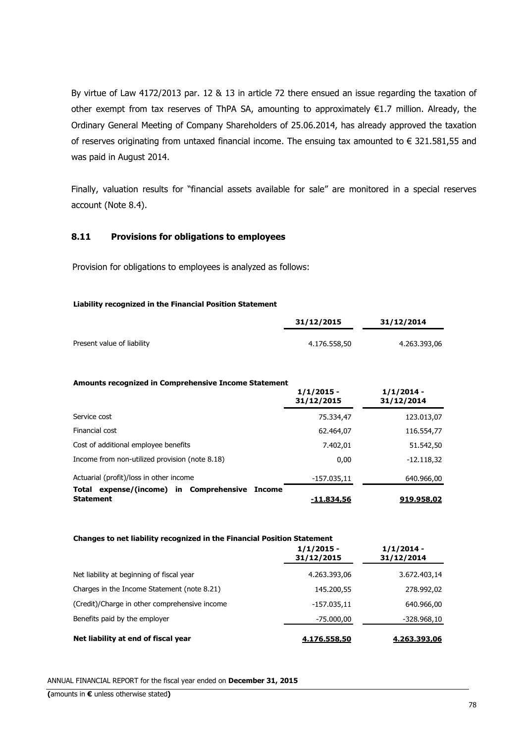By virtue of Law 4172/2013 par. 12 & 13 in article 72 there ensued an issue regarding the taxation of other exempt from tax reserves of ThPA SA, amounting to approximately €1.7 million. Already, the Ordinary General Meeting of Company Shareholders of 25.06.2014, has already approved the taxation of reserves originating from untaxed financial income. The ensuing tax amounted to  $\epsilon$  321.581,55 and was paid in August 2014.

Finally, valuation results for "financial assets available for sale" are monitored in a special reserves account (Note 8.4).

### **8.11 Provisions for obligations to employees**

Provision for obligations to employees is analyzed as follows:

#### **Liability recognized in the Financial Position Statement**

|                            | 31/12/2015   | 31/12/2014   |  |
|----------------------------|--------------|--------------|--|
| Present value of liability | 4.176.558.50 | 4.263.393,06 |  |

#### **Amounts recognized in Comprehensive Income Statement**

|                                                                          | $1/1/2015 -$<br>31/12/2015 | $1/1/2014 -$<br>31/12/2014 |
|--------------------------------------------------------------------------|----------------------------|----------------------------|
| Service cost                                                             | 75.334,47                  | 123.013,07                 |
| Financial cost                                                           | 62.464,07                  | 116.554,77                 |
| Cost of additional employee benefits                                     | 7.402,01                   | 51.542,50                  |
| Income from non-utilized provision (note 8.18)                           | 0.00                       | $-12.118,32$               |
| Actuarial (profit)/loss in other income                                  | $-157.035,11$              | 640.966,00                 |
| expense/(income) in Comprehensive<br>Total<br>Income<br><b>Statement</b> | -11.834,56                 | 919.958,02                 |

#### **Changes to net liability recognized in the Financial Position Statement**

|                                               | $1/1/2015 -$<br>31/12/2015 | $1/1/2014 -$<br>31/12/2014 |
|-----------------------------------------------|----------------------------|----------------------------|
| Net liability at beginning of fiscal year     | 4.263.393,06               | 3.672.403,14               |
| Charges in the Income Statement (note 8.21)   | 145.200,55                 | 278.992,02                 |
| (Credit)/Charge in other comprehensive income | $-157.035,11$              | 640.966,00                 |
| Benefits paid by the employer                 | -75.000,00                 | $-328.968,10$              |
| Net liability at end of fiscal year           | 4.176.558,50               | 4.263.393,06               |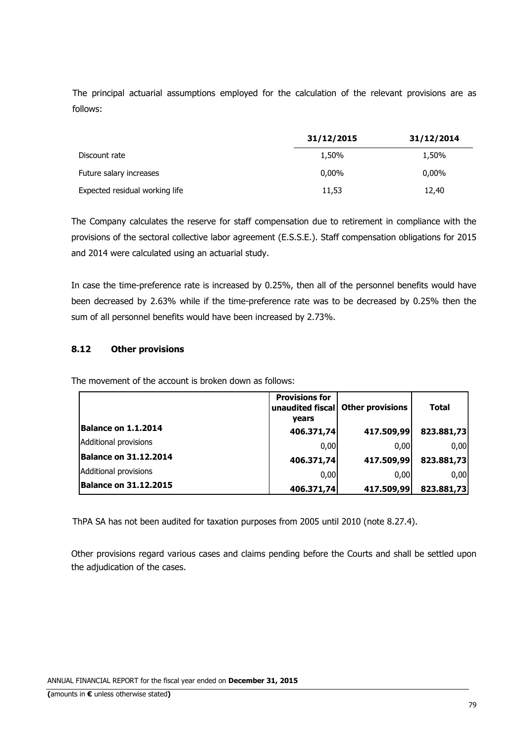The principal actuarial assumptions employed for the calculation of the relevant provisions are as follows:

|                                | 31/12/2015 | 31/12/2014 |
|--------------------------------|------------|------------|
| Discount rate                  | 1,50%      | 1,50%      |
| Future salary increases        | $0.00\%$   | $0,00\%$   |
| Expected residual working life | 11,53      | 12,40      |

The Company calculates the reserve for staff compensation due to retirement in compliance with the provisions of the sectoral collective labor agreement (E.S.S.E.). Staff compensation obligations for 2015 and 2014 were calculated using an actuarial study.

In case the time-preference rate is increased by 0.25%, then all of the personnel benefits would have been decreased by 2.63% while if the time-preference rate was to be decreased by 0.25% then the sum of all personnel benefits would have been increased by 2.73%.

### **8.12 Other provisions**

The movement of the account is broken down as follows:

|                              | <b>Provisions for</b><br>unaudited fiscal<br>vears | <b>Other provisions</b> | <b>Total</b> |
|------------------------------|----------------------------------------------------|-------------------------|--------------|
| Balance on 1.1.2014          | 406.371,74                                         | 417.509,99              | 823.881,73   |
| Additional provisions        | 0,00                                               | 0,00                    | 0,00         |
| <b>Balance on 31.12.2014</b> | 406.371,74                                         | 417.509,99              | 823.881,73   |
| Additional provisions        | 0,00                                               | 0.00                    | 0,00         |
| <b>Balance on 31.12.2015</b> | 406.371,74                                         | 417.509,99              | 823.881,73   |

ThPA SA has not been audited for taxation purposes from 2005 until 2010 (note 8.27.4).

Other provisions regard various cases and claims pending before the Courts and shall be settled upon the adjudication of the cases.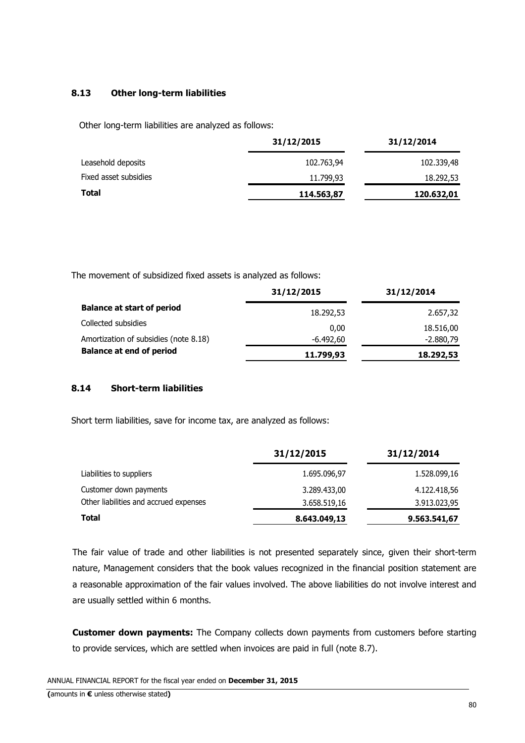### **8.13 Other long-term liabilities**

Other long-term liabilities are analyzed as follows:

|                       | 31/12/2015 | 31/12/2014 |
|-----------------------|------------|------------|
| Leasehold deposits    | 102.763,94 | 102.339,48 |
| Fixed asset subsidies | 11.799,93  | 18.292,53  |
| <b>Total</b>          | 114.563,87 | 120.632,01 |

The movement of subsidized fixed assets is analyzed as follows:

|                                       | 31/12/2015 | 31/12/2014  |
|---------------------------------------|------------|-------------|
| <b>Balance at start of period</b>     | 18.292,53  | 2.657,32    |
| Collected subsidies                   | 0.00       | 18.516,00   |
| Amortization of subsidies (note 8.18) | -6.492,60  | $-2.880,79$ |
| <b>Balance at end of period</b>       | 11.799,93  | 18.292,53   |

### **8.14 Short-term liabilities**

Short term liabilities, save for income tax, are analyzed as follows:

|                                        | 31/12/2015   | 31/12/2014   |
|----------------------------------------|--------------|--------------|
| Liabilities to suppliers               | 1.695.096,97 | 1.528.099,16 |
| Customer down payments                 | 3.289.433,00 | 4.122.418,56 |
| Other liabilities and accrued expenses | 3.658.519,16 | 3.913.023,95 |
| <b>Total</b>                           | 8.643.049,13 | 9.563.541,67 |

The fair value of trade and other liabilities is not presented separately since, given their short-term nature, Management considers that the book values recognized in the financial position statement are a reasonable approximation of the fair values involved. The above liabilities do not involve interest and are usually settled within 6 months.

**Customer down payments:** The Company collects down payments from customers before starting to provide services, which are settled when invoices are paid in full (note 8.7).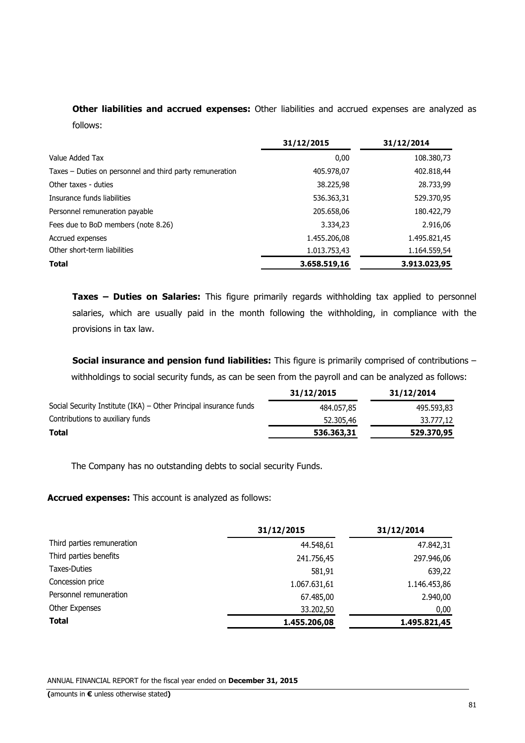**Other liabilities and accrued expenses:** Other liabilities and accrued expenses are analyzed as follows:

|                                                          | 31/12/2015   | 31/12/2014   |
|----------------------------------------------------------|--------------|--------------|
| Value Added Tax                                          | 0,00         | 108.380,73   |
| Taxes – Duties on personnel and third party remuneration | 405.978,07   | 402.818,44   |
| Other taxes - duties                                     | 38.225,98    | 28.733,99    |
| Insurance funds liabilities                              | 536.363,31   | 529.370,95   |
| Personnel remuneration payable                           | 205.658,06   | 180.422,79   |
| Fees due to BoD members (note 8.26)                      | 3.334,23     | 2.916,06     |
| Accrued expenses                                         | 1.455.206,08 | 1.495.821,45 |
| Other short-term liabilities                             | 1.013.753,43 | 1.164.559,54 |
| <b>Total</b>                                             | 3.658.519,16 | 3.913.023,95 |

**Taxes – Duties on Salaries:** This figure primarily regards withholding tax applied to personnel salaries, which are usually paid in the month following the withholding, in compliance with the provisions in tax law.

**Social insurance and pension fund liabilities:** This figure is primarily comprised of contributions withholdings to social security funds, as can be seen from the payroll and can be analyzed as follows:

|                                                                   | 31/12/2015 | 31/12/2014 |
|-------------------------------------------------------------------|------------|------------|
| Social Security Institute (IKA) – Other Principal insurance funds | 484.057.85 | 495.593,83 |
| Contributions to auxiliary funds                                  | 52.305,46  | 33.777,12  |
| Total                                                             | 536.363,31 | 529.370,95 |

The Company has no outstanding debts to social security Funds.

**Accrued expenses:** This account is analyzed as follows:

|                            | 31/12/2015   | 31/12/2014   |
|----------------------------|--------------|--------------|
| Third parties remuneration | 44.548,61    | 47.842,31    |
| Third parties benefits     | 241.756,45   | 297.946,06   |
| <b>Taxes-Duties</b>        | 581,91       | 639,22       |
| Concession price           | 1.067.631,61 | 1.146.453,86 |
| Personnel remuneration     | 67.485,00    | 2.940,00     |
| Other Expenses             | 33.202,50    | 0,00         |
| <b>Total</b>               | 1.455.206,08 | 1.495.821,45 |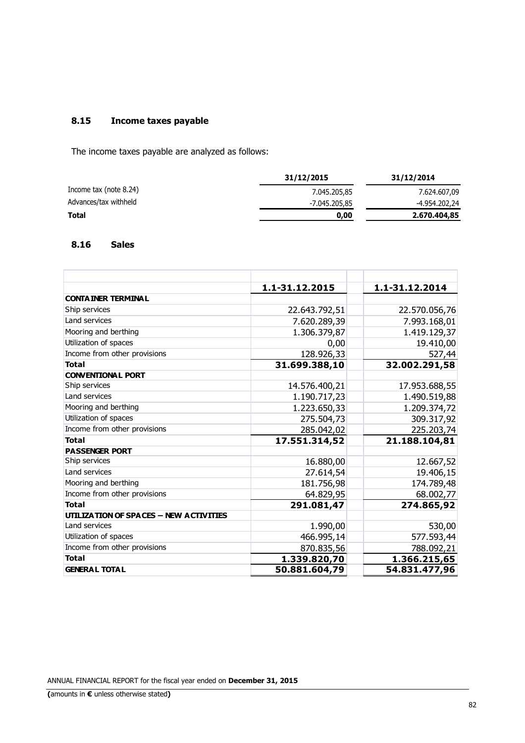### **8.15 Income taxes payable**

The income taxes payable are analyzed as follows:

|                        | 31/12/2015    | 31/12/2014    |
|------------------------|---------------|---------------|
| Income tax (note 8.24) | 7.045.205.85  | 7.624.607,09  |
| Advances/tax withheld  | -7.045.205,85 | -4.954.202,24 |
| <b>Total</b>           | 0.00          | 2.670.404,85  |

### **8.16 Sales**

|                                               | 1.1-31.12.2015 | 1.1-31.12.2014 |
|-----------------------------------------------|----------------|----------------|
| <b>CONTA INER TERMINAL</b>                    |                |                |
| Ship services                                 | 22.643.792,51  | 22.570.056,76  |
| Land services                                 | 7.620.289,39   | 7.993.168,01   |
| Mooring and berthing                          | 1.306.379,87   | 1.419.129,37   |
| Utilization of spaces                         | 0,00           | 19.410,00      |
| Income from other provisions                  | 128.926,33     | 527,44         |
| <b>Total</b>                                  | 31.699.388,10  | 32.002.291,58  |
| <b>CONVENTIONAL PORT</b>                      |                |                |
| Ship services                                 | 14.576.400,21  | 17.953.688,55  |
| Land services                                 | 1.190.717,23   | 1.490.519,88   |
| Mooring and berthing                          | 1.223.650,33   | 1.209.374,72   |
| Utilization of spaces                         | 275.504,73     | 309.317,92     |
| Income from other provisions                  | 285.042,02     | 225.203,74     |
| <b>Total</b>                                  | 17.551.314,52  | 21.188.104,81  |
| <b>PASSENGER PORT</b>                         |                |                |
| Ship services                                 | 16.880,00      | 12.667,52      |
| Land services                                 | 27.614,54      | 19.406,15      |
| Mooring and berthing                          | 181.756,98     | 174.789,48     |
| Income from other provisions                  | 64.829,95      | 68.002,77      |
| <b>Total</b>                                  | 291.081,47     | 274.865,92     |
| <b>UTILIZATION OF SPACES - NEW ACTIVITIES</b> |                |                |
| Land services                                 | 1.990,00       | 530,00         |
| Utilization of spaces                         | 466.995,14     | 577.593,44     |
| Income from other provisions                  | 870.835,56     | 788.092,21     |
| <b>Total</b>                                  | 1.339.820,70   | 1.366.215,65   |
| <b>GENERAL TOTAL</b>                          | 50.881.604,79  | 54.831.477,96  |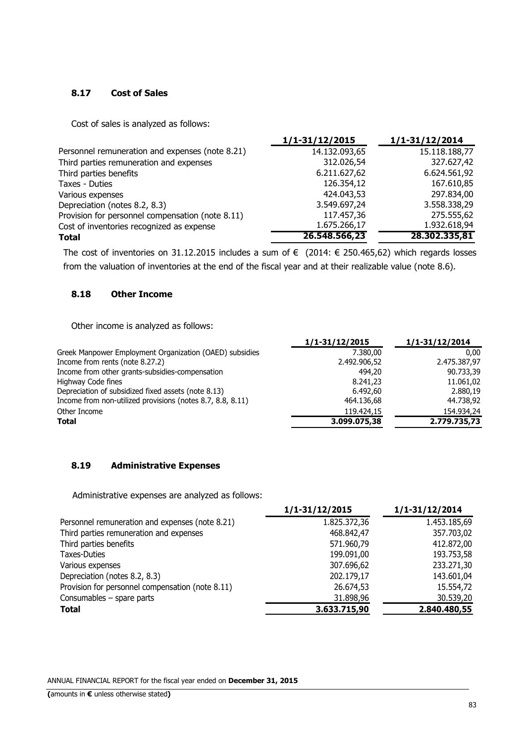## **8.17 Cost of Sales**

Cost of sales is analyzed as follows:

|                                                  | 1/1-31/12/2015 | $1/1 - 31/12/2014$ |
|--------------------------------------------------|----------------|--------------------|
| Personnel remuneration and expenses (note 8.21)  | 14.132.093,65  | 15.118.188,77      |
| Third parties remuneration and expenses          | 312.026,54     | 327.627,42         |
| Third parties benefits                           | 6.211.627,62   | 6.624.561,92       |
| Taxes - Duties                                   | 126.354,12     | 167.610,85         |
| Various expenses                                 | 424.043,53     | 297.834,00         |
| Depreciation (notes 8.2, 8.3)                    | 3.549.697,24   | 3.558.338,29       |
| Provision for personnel compensation (note 8.11) | 117.457,36     | 275.555,62         |
| Cost of inventories recognized as expense        | 1.675.266,17   | 1.932.618,94       |
| <b>Total</b>                                     | 26.548.566,23  | 28.302.335,81      |

The cost of inventories on 31.12.2015 includes a sum of € (2014: € 250.465,62) which regards losses from the valuation of inventories at the end of the fiscal year and at their realizable value (note 8.6).

### **8.18 Other Income**

Other income is analyzed as follows:

|                                                            | 1/1-31/12/2015 | 1/1-31/12/2014 |
|------------------------------------------------------------|----------------|----------------|
| Greek Manpower Employment Organization (OAED) subsidies    | 7.380,00       | 0.00           |
| Income from rents (note 8.27.2)                            | 2.492.906,52   | 2.475.387,97   |
| Income from other grants-subsidies-compensation            | 494,20         | 90.733,39      |
| Highway Code fines                                         | 8.241,23       | 11.061,02      |
| Depreciation of subsidized fixed assets (note 8.13)        | 6.492,60       | 2.880.19       |
| Income from non-utilized provisions (notes 8.7, 8.8, 8.11) | 464.136,68     | 44.738,92      |
| Other Income                                               | 119.424,15     | 154.934.24     |
| <b>Total</b>                                               | 3.099.075,38   | 2.779.735,73   |

### **8.19 Administrative Expenses**

Administrative expenses are analyzed as follows:

|                                                  | 1/1-31/12/2015 | 1/1-31/12/2014 |
|--------------------------------------------------|----------------|----------------|
| Personnel remuneration and expenses (note 8.21)  | 1.825.372,36   | 1.453.185,69   |
| Third parties remuneration and expenses          | 468.842,47     | 357.703,02     |
| Third parties benefits                           | 571.960,79     | 412.872,00     |
| Taxes-Duties                                     | 199.091,00     | 193.753,58     |
| Various expenses                                 | 307.696,62     | 233.271,30     |
| Depreciation (notes 8.2, 8.3)                    | 202.179,17     | 143.601,04     |
| Provision for personnel compensation (note 8.11) | 26.674,53      | 15.554,72      |
| Consumables $-$ spare parts                      | 31.898,96      | 30.539,20      |
| <b>Total</b>                                     | 3.633.715,90   | 2.840.480,55   |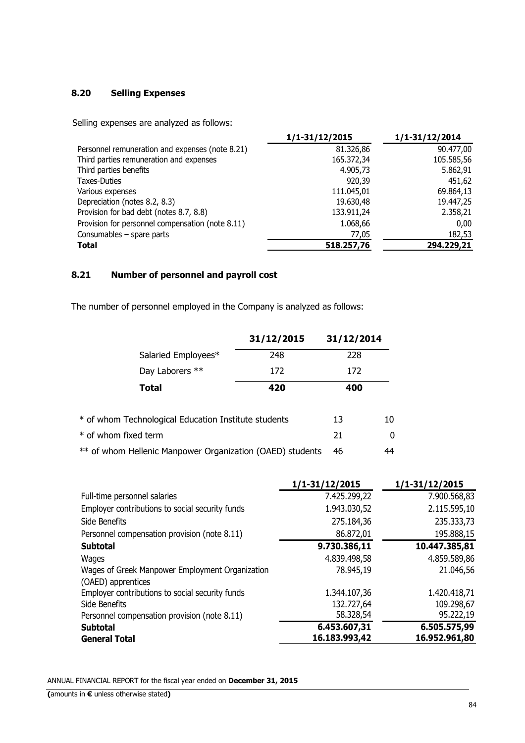# **8.20 Selling Expenses**

Selling expenses are analyzed as follows:

|                                                  | $1/1 - 31/12/2015$ | $1/1 - 31/12/2014$ |
|--------------------------------------------------|--------------------|--------------------|
| Personnel remuneration and expenses (note 8.21)  | 81.326,86          | 90.477,00          |
| Third parties remuneration and expenses          | 165.372,34         | 105.585,56         |
| Third parties benefits                           | 4.905,73           | 5.862,91           |
| <b>Taxes-Duties</b>                              | 920,39             | 451,62             |
| Various expenses                                 | 111.045,01         | 69.864,13          |
| Depreciation (notes 8.2, 8.3)                    | 19.630,48          | 19.447,25          |
| Provision for bad debt (notes 8.7, 8.8)          | 133.911,24         | 2.358,21           |
| Provision for personnel compensation (note 8.11) | 1.068,66           | 0,00               |
| Consumables - spare parts                        | 77,05              | 182,53             |
| <b>Total</b>                                     | 518.257,76         | 294.229,21         |

### **8.21 Number of personnel and payroll cost**

The number of personnel employed in the Company is analyzed as follows:

|                                                           | 31/12/2015 | 31/12/2014 |    |
|-----------------------------------------------------------|------------|------------|----|
| Salaried Employees*                                       | 248        | 228        |    |
| Day Laborers **                                           | 172        | 172        |    |
| Total                                                     | 420        | 400        |    |
| * of whom Technological Education Institute students      |            | 13         | 10 |
| * of whom fixed term                                      |            | 21         | 0  |
| ** of whom Hellenic Manpower Organization (OAED) students |            |            | 44 |

|                                                                       | $1/1 - 31/12/2015$ | 1/1-31/12/2015 |
|-----------------------------------------------------------------------|--------------------|----------------|
| Full-time personnel salaries                                          | 7.425.299,22       | 7.900.568,83   |
| Employer contributions to social security funds                       | 1.943.030,52       | 2.115.595,10   |
| Side Benefits                                                         | 275.184,36         | 235.333,73     |
| Personnel compensation provision (note 8.11)                          | 86.872,01          | 195.888,15     |
| <b>Subtotal</b>                                                       | 9.730.386,11       | 10.447.385,81  |
| Wages                                                                 | 4.839.498,58       | 4.859.589,86   |
| Wages of Greek Manpower Employment Organization<br>(OAED) apprentices | 78.945,19          | 21.046,56      |
| Employer contributions to social security funds                       | 1.344.107,36       | 1.420.418,71   |
| Side Benefits                                                         | 132.727,64         | 109.298,67     |
| Personnel compensation provision (note 8.11)                          | 58.328,54          | 95.222,19      |
| <b>Subtotal</b>                                                       | 6.453.607,31       | 6.505.575,99   |
| <b>General Total</b>                                                  | 16.183.993,42      | 16.952.961,80  |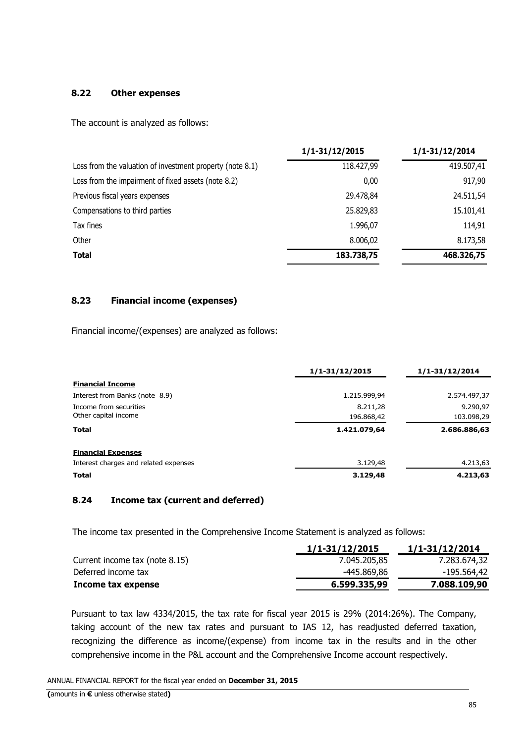### **8.22 Other expenses**

The account is analyzed as follows:

|                                                           | $1/1 - 31/12/2015$ | $1/1 - 31/12/2014$ |
|-----------------------------------------------------------|--------------------|--------------------|
| Loss from the valuation of investment property (note 8.1) | 118.427,99         | 419.507,41         |
| Loss from the impairment of fixed assets (note 8.2)       | 0.00               | 917,90             |
| Previous fiscal years expenses                            | 29.478,84          | 24.511,54          |
| Compensations to third parties                            | 25.829,83          | 15.101,41          |
| Tax fines                                                 | 1.996,07           | 114,91             |
| Other                                                     | 8.006,02           | 8.173,58           |
| <b>Total</b>                                              | 183.738,75         | 468.326,75         |

### **8.23 Financial income (expenses)**

Financial income/(expenses) are analyzed as follows:

|                                       | 1/1-31/12/2015 | 1/1-31/12/2014 |
|---------------------------------------|----------------|----------------|
| <b>Financial Income</b>               |                |                |
| Interest from Banks (note 8.9)        | 1.215.999,94   | 2.574.497,37   |
| Income from securities                | 8.211,28       | 9.290,97       |
| Other capital income                  | 196.868,42     | 103.098,29     |
| Total                                 | 1.421.079,64   | 2.686.886,63   |
| <b>Financial Expenses</b>             |                |                |
| Interest charges and related expenses | 3.129,48       | 4.213,63       |
| <b>Total</b>                          | 3.129,48       | 4.213,63       |

### **8.24 Income tax (current and deferred)**

The income tax presented in the Comprehensive Income Statement is analyzed as follows:

|                                | 1/1-31/12/2015 | 1/1-31/12/2014 |
|--------------------------------|----------------|----------------|
| Current income tax (note 8.15) | 7.045.205.85   | 7.283.674,32   |
| Deferred income tax            | -445.869,86    | -195.564,42    |
| Income tax expense             | 6.599.335,99   | 7.088.109,90   |

Pursuant to tax law 4334/2015, the tax rate for fiscal year 2015 is 29% (2014:26%). The Company, taking account of the new tax rates and pursuant to IAS 12, has readjusted deferred taxation, recognizing the difference as income/(expense) from income tax in the results and in the other comprehensive income in the P&L account and the Comprehensive Income account respectively.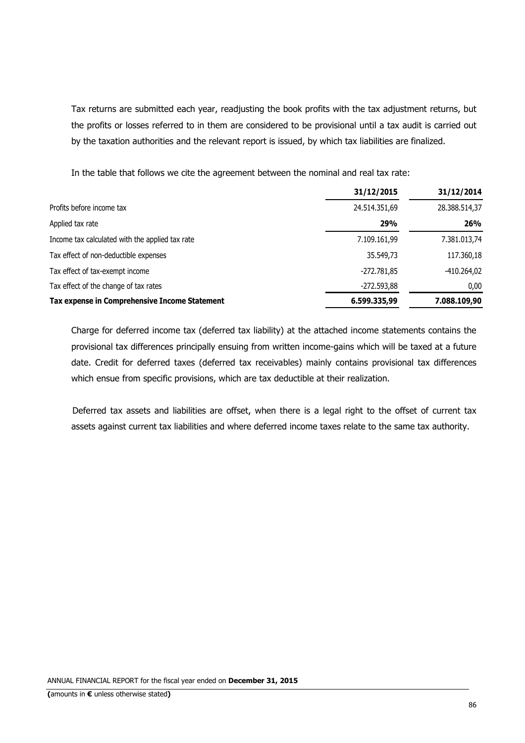Tax returns are submitted each year, readjusting the book profits with the tax adjustment returns, but the profits or losses referred to in them are considered to be provisional until a tax audit is carried out by the taxation authorities and the relevant report is issued, by which tax liabilities are finalized.

In the table that follows we cite the agreement between the nominal and real tax rate:

|                                                 | 31/12/2015    | 31/12/2014    |
|-------------------------------------------------|---------------|---------------|
| Profits before income tax                       | 24.514.351,69 | 28.388.514,37 |
| Applied tax rate                                | 29%           | <b>26%</b>    |
| Income tax calculated with the applied tax rate | 7.109.161,99  | 7.381.013,74  |
| Tax effect of non-deductible expenses           | 35.549,73     | 117.360,18    |
| Tax effect of tax-exempt income                 | $-272.781.85$ | -410.264,02   |
| Tax effect of the change of tax rates           | $-272.593,88$ | 0,00          |
| Tax expense in Comprehensive Income Statement   | 6.599.335,99  | 7.088.109,90  |

Charge for deferred income tax (deferred tax liability) at the attached income statements contains the provisional tax differences principally ensuing from written income-gains which will be taxed at a future date. Credit for deferred taxes (deferred tax receivables) mainly contains provisional tax differences which ensue from specific provisions, which are tax deductible at their realization.

Deferred tax assets and liabilities are offset, when there is a legal right to the offset of current tax assets against current tax liabilities and where deferred income taxes relate to the same tax authority.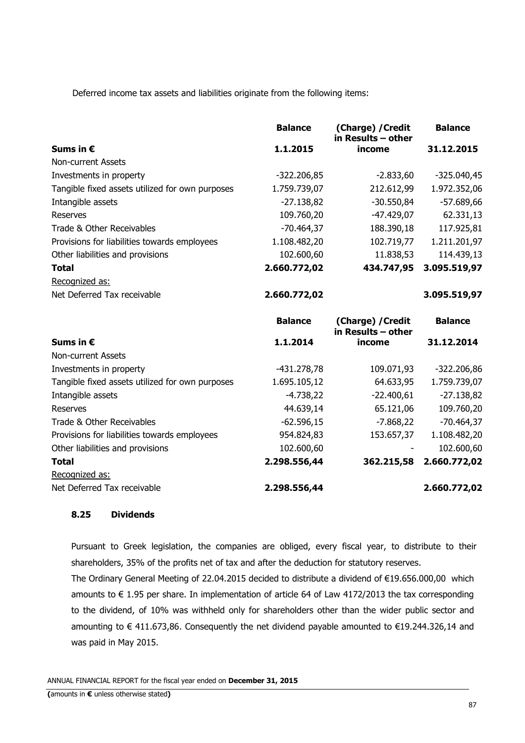Deferred income tax assets and liabilities originate from the following items:

|                                                 | <b>Balance</b> | (Charge) / Credit<br>in Results - other | <b>Balance</b> |
|-------------------------------------------------|----------------|-----------------------------------------|----------------|
| Sums in €                                       | 1.1.2015       | income                                  | 31.12.2015     |
| Non-current Assets                              |                |                                         |                |
| Investments in property                         | $-322.206,85$  | $-2.833,60$                             | $-325.040,45$  |
| Tangible fixed assets utilized for own purposes | 1.759.739,07   | 212.612,99                              | 1.972.352,06   |
| Intangible assets                               | $-27.138,82$   | $-30.550,84$                            | $-57.689,66$   |
| <b>Reserves</b>                                 | 109.760,20     | $-47.429,07$                            | 62.331,13      |
| Trade & Other Receivables                       | $-70.464,37$   | 188.390,18                              | 117.925,81     |
| Provisions for liabilities towards employees    | 1.108.482,20   | 102.719,77                              | 1.211.201,97   |
| Other liabilities and provisions                | 102.600,60     | 11.838,53                               | 114.439,13     |
| <b>Total</b>                                    | 2.660.772,02   | 434.747,95                              | 3.095.519,97   |
| Recognized as:                                  |                |                                         |                |
| Net Deferred Tax receivable                     | 2.660.772,02   |                                         | 3.095.519,97   |
|                                                 | <b>Balance</b> | (Charge) / Credit<br>in Results - other | <b>Balance</b> |
| Sums in $\epsilon$                              | 1.1.2014       | income                                  | 31.12.2014     |
| <b>Non-current Assets</b>                       |                |                                         |                |
| Investments in property                         | $-431.278,78$  | 109.071,93                              | $-322.206,86$  |
| Tangible fixed assets utilized for own purposes | 1.695.105,12   | 64.633,95                               | 1.759.739,07   |
| Intangible assets                               | $-4.738,22$    | $-22.400,61$                            | $-27.138,82$   |
| <b>Reserves</b>                                 | 44.639,14      | 65.121,06                               | 109.760,20     |
| Trade & Other Receivables                       | $-62.596,15$   | $-7.868,22$                             | $-70.464,37$   |
| Provisions for liabilities towards employees    | 954.824,83     | 153.657,37                              | 1.108.482,20   |
| Other liabilities and provisions                | 102.600,60     |                                         | 102.600,60     |
| <b>Total</b>                                    | 2.298.556,44   | 362.215,58                              | 2.660.772,02   |
| Recognized as:                                  |                |                                         |                |
| Net Deferred Tax receivable                     | 2.298.556,44   |                                         | 2.660.772,02   |

### **8.25 Dividends**

Pursuant to Greek legislation, the companies are obliged, every fiscal year, to distribute to their shareholders, 35% of the profits net of tax and after the deduction for statutory reserves.

The Ordinary General Meeting of 22.04.2015 decided to distribute a dividend of €19.656.000,00 which amounts to € 1.95 per share. In implementation of article 64 of Law 4172/2013 the tax corresponding to the dividend, of 10% was withheld only for shareholders other than the wider public sector and amounting to € 411.673,86. Consequently the net dividend payable amounted to €19.244.326,14 and was paid in May 2015.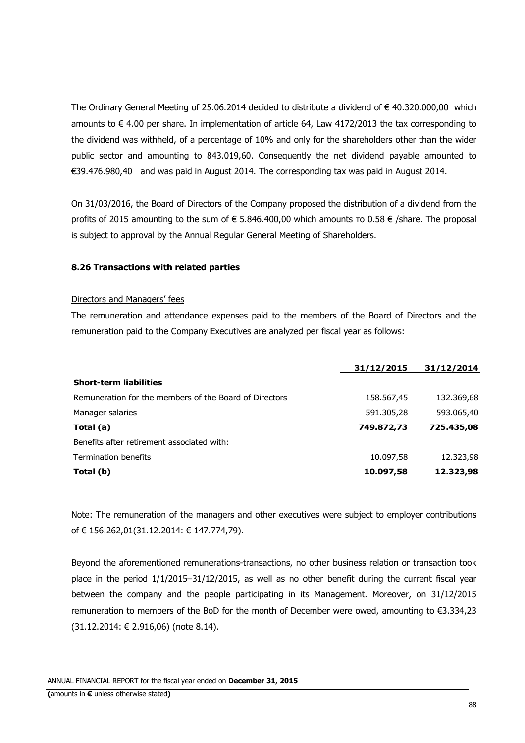The Ordinary General Meeting of 25.06.2014 decided to distribute a dividend of € 40.320.000,00 which amounts to  $\epsilon$  4.00 per share. In implementation of article 64, Law 4172/2013 the tax corresponding to the dividend was withheld, of a percentage of 10% and only for the shareholders other than the wider public sector and amounting to 843.019,60. Consequently the net dividend payable amounted to €39.476.980,40 and was paid in August 2014. The corresponding tax was paid in August 2014.

On 31/03/2016, the Board of Directors of the Company proposed the distribution of a dividend from the profits of 2015 amounting to the sum of  $\epsilon$  5.846.400,00 which amounts το 0.58  $\epsilon$  /share. The proposal is subject to approval by the Annual Regular General Meeting of Shareholders.

### **8.26 Transactions with related parties**

#### Directors and Managers' fees

The remuneration and attendance expenses paid to the members of the Board of Directors and the remuneration paid to the Company Executives are analyzed per fiscal year as follows:

|                                                        | 31/12/2015 | 31/12/2014 |
|--------------------------------------------------------|------------|------------|
| <b>Short-term liabilities</b>                          |            |            |
| Remuneration for the members of the Board of Directors | 158.567,45 | 132.369,68 |
| Manager salaries                                       | 591.305,28 | 593.065,40 |
| Total (a)                                              | 749.872,73 | 725.435,08 |
| Benefits after retirement associated with:             |            |            |
| Termination benefits                                   | 10.097,58  | 12.323,98  |
| Total (b)                                              | 10.097,58  | 12.323,98  |

Note: The remuneration of the managers and other executives were subject to employer contributions of € 156.262,01(31.12.2014: € 147.774,79).

Beyond the aforementioned remunerations-transactions, no other business relation or transaction took place in the period 1/1/2015–31/12/2015, as well as no other benefit during the current fiscal year between the company and the people participating in its Management. Moreover, on 31/12/2015 remuneration to members of the BoD for the month of December were owed, amounting to €3.334,23 (31.12.2014: € 2.916,06) (note 8.14).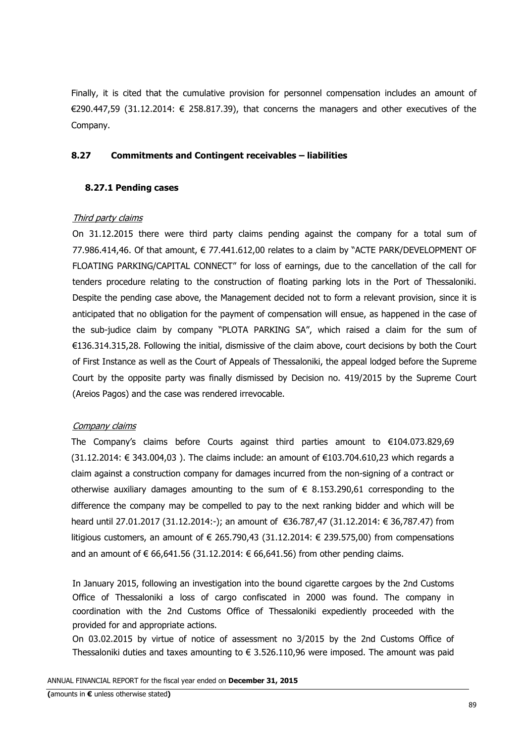Finally, it is cited that the cumulative provision for personnel compensation includes an amount of €290.447,59 (31.12.2014:  $∈$  258.817.39), that concerns the managers and other executives of the Company.

### **8.27 Commitments and Contingent receivables – liabilities**

### **8.27.1 Pending cases**

### Third party claims

On 31.12.2015 there were third party claims pending against the company for a total sum of 77.986.414,46. Of that amount, € 77.441.612,00 relates to a claim by "ΑCTE PARK/DEVELOPMENT OF FLOATING PARKING/CAPITAL CONNECT" for loss of earnings, due to the cancellation of the call for tenders procedure relating to the construction of floating parking lots in the Port of Thessaloniki. Despite the pending case above, the Management decided not to form a relevant provision, since it is anticipated that no obligation for the payment of compensation will ensue, as happened in the case of the sub-judice claim by company "PLOTA PARKING SA", which raised a claim for the sum of €136.314.315,28. Following the initial, dismissive of the claim above, court decisions by both the Court of First Instance as well as the Court of Appeals of Thessaloniki, the appeal lodged before the Supreme Court by the opposite party was finally dismissed by Decision no. 419/2015 by the Supreme Court (Areios Pagos) and the case was rendered irrevocable.

#### Company claims

The Company's claims before Courts against third parties amount to €104.073.829,69  $(31.12.2014: € 343.004.03)$ . The claims include: an amount of  $€103.704.610.23$  which regards a claim against a construction company for damages incurred from the non-signing of a contract or otherwise auxiliary damages amounting to the sum of  $\epsilon$  8.153.290,61 corresponding to the difference the company may be compelled to pay to the next ranking bidder and which will be heard until 27.01.2017 (31.12.2014:-); an amount of €36.787,47 (31.12.2014: € 36,787.47) from litigious customers, an amount of  $\in$  265.790.43 (31.12.2014:  $\in$  239.575.00) from compensations and an amount of € 66,641.56 (31.12.2014:  $∈$  66,641.56) from other pending claims.

In January 2015, following an investigation into the bound cigarette cargoes by the 2nd Customs Office of Thessaloniki a loss of cargo confiscated in 2000 was found. The company in coordination with the 2nd Customs Office of Thessaloniki expediently proceeded with the provided for and appropriate actions.

On 03.02.2015 by virtue of notice of assessment no 3/2015 by the 2nd Customs Office of Thessaloniki duties and taxes amounting to  $\epsilon$  3.526.110,96 were imposed. The amount was paid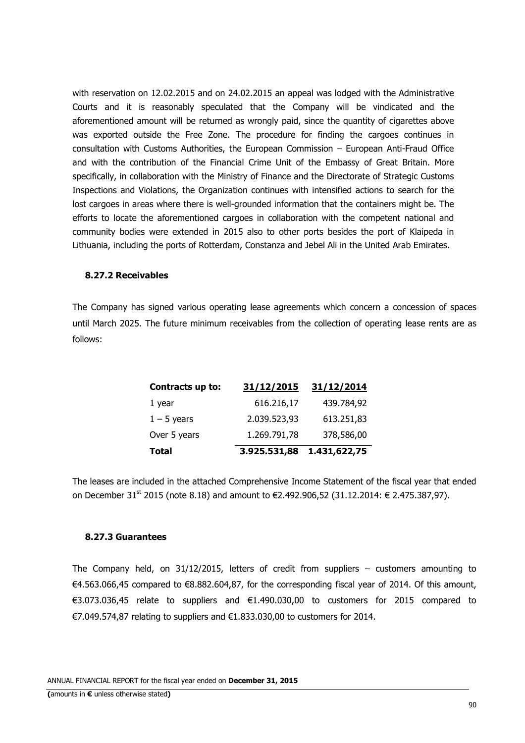with reservation on 12.02.2015 and on 24.02.2015 an appeal was lodged with the Administrative Courts and it is reasonably speculated that the Company will be vindicated and the aforementioned amount will be returned as wrongly paid, since the quantity of cigarettes above was exported outside the Free Zone. The procedure for finding the cargoes continues in consultation with Customs Authorities, the European Commission – European Anti-Fraud Office and with the contribution of the Financial Crime Unit of the Embassy of Great Britain. More specifically, in collaboration with the Ministry of Finance and the Directorate of Strategic Customs Inspections and Violations, the Organization continues with intensified actions to search for the lost cargoes in areas where there is well-grounded information that the containers might be. The efforts to locate the aforementioned cargoes in collaboration with the competent national and community bodies were extended in 2015 also to other ports besides the port of Klaipeda in Lithuania, including the ports of Rotterdam, Constanza and Jebel Ali in the United Arab Emirates.

#### **8.27.2 Receivables**

The Company has signed various operating lease agreements which concern a concession of spaces until March 2025. The future minimum receivables from the collection of operating lease rents are as follows:

| Contracts up to: | 31/12/2015   | 31/12/2014   |
|------------------|--------------|--------------|
| 1 year           | 616.216,17   | 439.784,92   |
| $1 - 5$ years    | 2.039.523,93 | 613.251,83   |
| Over 5 years     | 1.269.791,78 | 378,586,00   |
| <b>Total</b>     | 3.925.531,88 | 1.431,622,75 |

The leases are included in the attached Comprehensive Income Statement of the fiscal year that ended on December 31<sup>st</sup> 2015 (note 8.18) and amount to €2.492.906,52 (31.12.2014: € 2.475.387,97).

#### **8.27.3 Guarantees**

The Company held, on  $31/12/2015$ , letters of credit from suppliers – customers amounting to €4.563.066,45 compared to €8.882.604,87, for the corresponding fiscal year of 2014. Of this amount, €3.073.036,45 relate to suppliers and €1.490.030,00 to customers for 2015 compared to €7.049.574,87 relating to suppliers and €1.833.030,00 to customers for 2014.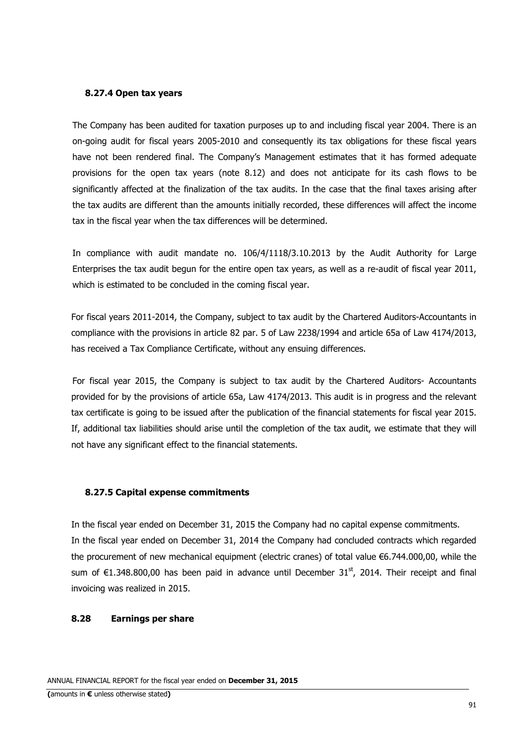#### **8.27.4 Open tax years**

The Company has been audited for taxation purposes up to and including fiscal year 2004. There is an on-going audit for fiscal years 2005-2010 and consequently its tax obligations for these fiscal years have not been rendered final. The Company's Management estimates that it has formed adequate provisions for the open tax years (note 8.12) and does not anticipate for its cash flows to be significantly affected at the finalization of the tax audits. In the case that the final taxes arising after the tax audits are different than the amounts initially recorded, these differences will affect the income tax in the fiscal year when the tax differences will be determined.

In compliance with audit mandate no. 106/4/1118/3.10.2013 by the Audit Authority for Large Enterprises the tax audit begun for the entire open tax years, as well as a re-audit of fiscal year 2011, which is estimated to be concluded in the coming fiscal year.

For fiscal years 2011-2014, the Company, subject to tax audit by the Chartered Auditors-Accountants in compliance with the provisions in article 82 par. 5 of Law 2238/1994 and article 65a of Law 4174/2013, has received a Tax Compliance Certificate, without any ensuing differences.

For fiscal year 2015, the Company is subject to tax audit by the Chartered Auditors- Accountants provided for by the provisions of article 65a, Law 4174/2013. This audit is in progress and the relevant tax certificate is going to be issued after the publication of the financial statements for fiscal year 2015. If, additional tax liabilities should arise until the completion of the tax audit, we estimate that they will not have any significant effect to the financial statements.

#### **8.27.5 Capital expense commitments**

In the fiscal year ended on December 31, 2015 the Company had no capital expense commitments. In the fiscal year ended on December 31, 2014 the Company had concluded contracts which regarded the procurement of new mechanical equipment (electric cranes) of total value €6.744.000,00, while the sum of  $\epsilon$ 1.348.800,00 has been paid in advance until December 31<sup>st</sup>, 2014. Their receipt and final invoicing was realized in 2015.

#### **8.28 Earnings per share**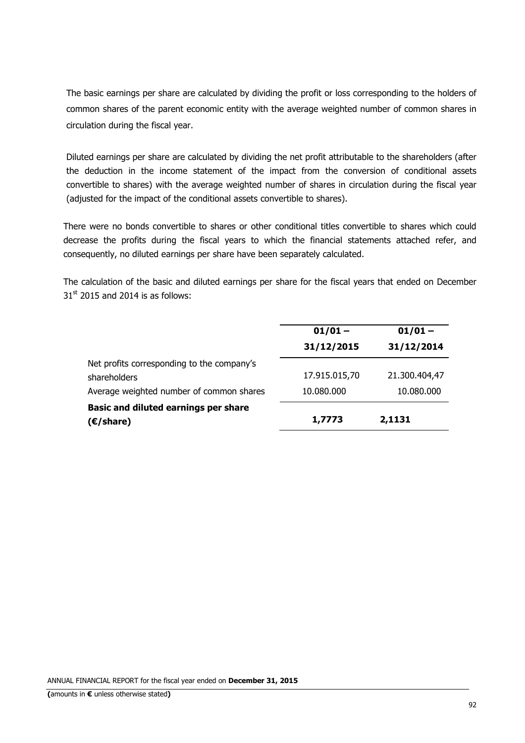The basic earnings per share are calculated by dividing the profit or loss corresponding to the holders of common shares of the parent economic entity with the average weighted number of common shares in circulation during the fiscal year.

Diluted earnings per share are calculated by dividing the net profit attributable to the shareholders (after the deduction in the income statement of the impact from the conversion of conditional assets convertible to shares) with the average weighted number of shares in circulation during the fiscal year (adjusted for the impact of the conditional assets convertible to shares).

There were no bonds convertible to shares or other conditional titles convertible to shares which could decrease the profits during the fiscal years to which the financial statements attached refer, and consequently, no diluted earnings per share have been separately calculated.

The calculation of the basic and diluted earnings per share for the fiscal years that ended on December  $31<sup>st</sup>$  2015 and 2014 is as follows:

|                                             | $01/01 -$     | $01/01 -$     |
|---------------------------------------------|---------------|---------------|
|                                             | 31/12/2015    | 31/12/2014    |
| Net profits corresponding to the company's  |               |               |
| shareholders                                | 17.915.015,70 | 21.300.404,47 |
| Average weighted number of common shares    | 10.080.000    | 10.080.000    |
| <b>Basic and diluted earnings per share</b> |               |               |
| $(E/\text{share})$                          | 1,7773        | 2,1131        |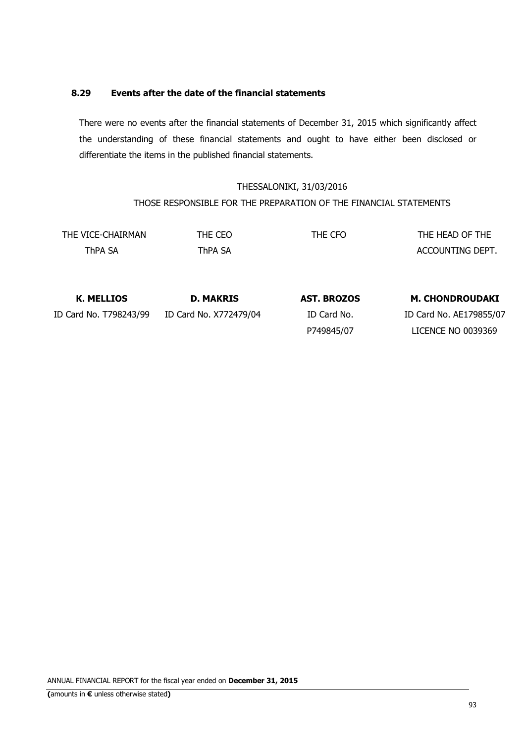# **8.29 Events after the date of the financial statements**

There were no events after the financial statements of December 31, 2015 which significantly affect the understanding of these financial statements and ought to have either been disclosed or differentiate the items in the published financial statements.

# THESSALONIKI, 31/03/2016 THOSE RESPONSIBLE FOR THE PREPARATION OF THE FINANCIAL STATEMENTS

| THE VICE-CHAIRMAN | THE CEO | THE CFO | THE HEAD OF THE  |
|-------------------|---------|---------|------------------|
| ThPA SA           | Thpa Sa |         | ACCOUNTING DEPT. |

| K. MELLIOS             | <b>D. MAKRIS</b>       | <b>AST. BROZOS</b> | <b>M. CHONDROUDAKI</b>    |
|------------------------|------------------------|--------------------|---------------------------|
| ID Card No. T798243/99 | ID Card No. X772479/04 | ID Card No.        | ID Card No. AE179855/07   |
|                        |                        | P749845/07         | <b>LICENCE NO 0039369</b> |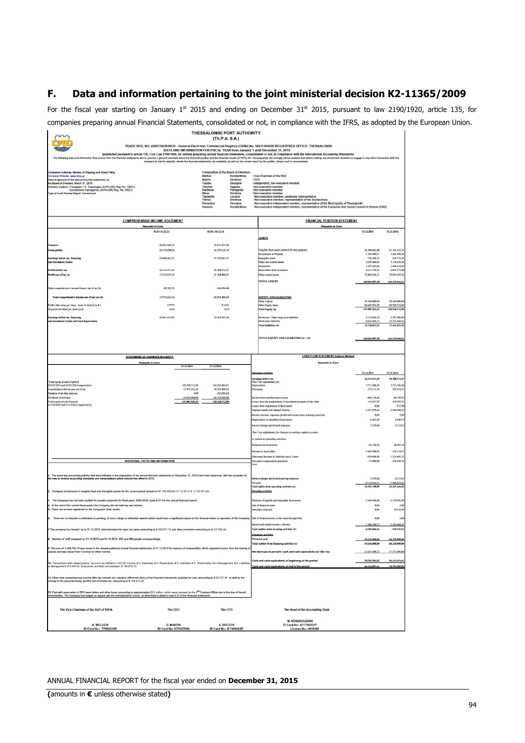# **F. Data and information pertaining to the joint ministerial decision Κ2-11365/2009**

For the fiscal year starting on January 1<sup>st</sup> 2015 and ending on December 31<sup>st</sup> 2015, pursuant to law 2190/1920, article 135, for companies preparing annual Financial Statements, consolidated or not, in compliance with the IFRS, as adopted by the European Union.

|                                                                                                                                                                                                                                                                   |                                          |                       | <b>THESSALONIKI PORT AUTHORITY</b>                       |                                   |                                                                                                                                                                                                                                                                                                                                                                                                                                                                                                                                                                                       |                                |                             |
|-------------------------------------------------------------------------------------------------------------------------------------------------------------------------------------------------------------------------------------------------------------------|------------------------------------------|-----------------------|----------------------------------------------------------|-----------------------------------|---------------------------------------------------------------------------------------------------------------------------------------------------------------------------------------------------------------------------------------------------------------------------------------------------------------------------------------------------------------------------------------------------------------------------------------------------------------------------------------------------------------------------------------------------------------------------------------|--------------------------------|-----------------------------|
|                                                                                                                                                                                                                                                                   |                                          |                       | (Th.P.A. S.A.)                                           |                                   |                                                                                                                                                                                                                                                                                                                                                                                                                                                                                                                                                                                       |                                |                             |
|                                                                                                                                                                                                                                                                   |                                          |                       |                                                          |                                   | TRADE REG. NO. 42807/06/B/99/30 - General Electronic Commercial Registry (GEMI) No. 58231004000 REGISTERED OFFICE: THESSALONIKI<br>DATA AND INFORMATION FOR FISCAL YEAR from January 1 until December 31, 2015                                                                                                                                                                                                                                                                                                                                                                        |                                |                             |
| g data and inform                                                                                                                                                                                                                                                 |                                          |                       |                                                          |                                   | (published pursuant to article 135, Cod. Law 2190/1920, for entities preparing annual financial statements, consolidated or not, in compliance with the International Accounting Standards)<br>orue from the financial statements aim to provide a general overview about the financial position and the financial results of ThPA SA. Consequently, we strongly advise readers that before making any investment decision or<br>company to visit its website, where the financial statements are available, as well as the review report by the auditor, where such is necessitated. |                                |                             |
|                                                                                                                                                                                                                                                                   |                                          |                       |                                                          |                                   |                                                                                                                                                                                                                                                                                                                                                                                                                                                                                                                                                                                       |                                |                             |
| lent Authority: Ministry of Shipping and Island Policy<br>ompany Website: www.thpa.gr                                                                                                                                                                             |                                          |                       | Composition of the Board of Directors:<br><b>Mellios</b> | Konstantinos                      | : Vice-Chairman of the BoD                                                                                                                                                                                                                                                                                                                                                                                                                                                                                                                                                            |                                |                             |
| late of approval of the annual financial statements by                                                                                                                                                                                                            |                                          |                       | Makris<br>Tozidis                                        | <b>Dimitrios</b>                  | : CEO                                                                                                                                                                                                                                                                                                                                                                                                                                                                                                                                                                                 |                                |                             |
| the Board of Directors: March 31, 2016<br>Statutory Auditors: Panagiotis I. K. Papazoglou (ICPA (GR) Reg. No. 16631).<br>Constantinos Katsagannis (ICPA (GR) Reg. No. 25921)                                                                                      |                                          |                       | Vlachos                                                  | Georgios<br>Aggelos<br>Panagiotis | Independent, non-executive member<br>Non-executive member<br>Non-executive member                                                                                                                                                                                                                                                                                                                                                                                                                                                                                                     |                                |                             |
| ype of Audit Review Report Consensual                                                                                                                                                                                                                             |                                          |                       | Kardaras<br><b>Bikas</b>                                 | Dimitrios                         | Non-executive member                                                                                                                                                                                                                                                                                                                                                                                                                                                                                                                                                                  |                                |                             |
|                                                                                                                                                                                                                                                                   |                                          |                       | Tantalidis<br>Thiriou                                    | Lazaros<br><b>Dimitrios</b>       | Non-executive member, employee representative<br>: Non-executive member, representative of the dockworkers                                                                                                                                                                                                                                                                                                                                                                                                                                                                            |                                |                             |
|                                                                                                                                                                                                                                                                   |                                          |                       | Dimarelos<br>Karoulis                                    | Georgios<br>Konstantinos          | Non-executive independent member, representative of the Municipality of Thessaloniki<br>: Non-executive independent member, representative of the Economic and Social Council of Greece (OKE)                                                                                                                                                                                                                                                                                                                                                                                         |                                |                             |
|                                                                                                                                                                                                                                                                   |                                          |                       |                                                          |                                   |                                                                                                                                                                                                                                                                                                                                                                                                                                                                                                                                                                                       |                                |                             |
|                                                                                                                                                                                                                                                                   | <b>COMPREHENSIVE INCOME STATEMENT</b>    |                       |                                                          |                                   | <b>FINANCIAL POSITION STATEMENT</b>                                                                                                                                                                                                                                                                                                                                                                                                                                                                                                                                                   |                                |                             |
|                                                                                                                                                                                                                                                                   | <b>Amounts in Euro</b><br>01.01-31.12.15 |                       | 01.01.31.12.14                                           |                                   | <b>Amounts in Euro</b>                                                                                                                                                                                                                                                                                                                                                                                                                                                                                                                                                                | 31.12.2015                     | 31.12.2014                  |
|                                                                                                                                                                                                                                                                   |                                          |                       |                                                          |                                   | <b>ASSETS</b>                                                                                                                                                                                                                                                                                                                                                                                                                                                                                                                                                                         |                                |                             |
|                                                                                                                                                                                                                                                                   | 50.881.604,79                            |                       | 54.831.477.96                                            |                                   |                                                                                                                                                                                                                                                                                                                                                                                                                                                                                                                                                                                       |                                |                             |
| <b>Trass profits</b>                                                                                                                                                                                                                                              | 24.333.038.56                            |                       | 26.529.142.15                                            |                                   | Tangible fixed assets utilized for own purposes                                                                                                                                                                                                                                                                                                                                                                                                                                                                                                                                       | \$4,589,042.00<br>3.346.080.47 | 51.101.225.<br>3.464.508    |
| arnings before tax, financin                                                                                                                                                                                                                                      | 23.096.401,53                            |                       | 25,705,841.37                                            |                                   | investments in Property<br>Intangible assets                                                                                                                                                                                                                                                                                                                                                                                                                                                                                                                                          | 729.289.33                     | 818,776.                    |
| nd investment results                                                                                                                                                                                                                                             |                                          |                       |                                                          |                                   | Other non-current assets<br>nventories                                                                                                                                                                                                                                                                                                                                                                                                                                                                                                                                                | 3.459.466,85<br>1.625.442,06   | 3.110.426.<br>1,688,618     |
| Profits before tax                                                                                                                                                                                                                                                | 24 514 351 69                            |                       | 28.388.514.37                                            |                                   | Receivables from customers                                                                                                                                                                                                                                                                                                                                                                                                                                                                                                                                                            | 4.613.750.76                   | 6.063.572.                  |
| Profits net of tax (a)                                                                                                                                                                                                                                            | 17.915.015,70                            |                       | 21.300.404,47                                            |                                   | Other current assets                                                                                                                                                                                                                                                                                                                                                                                                                                                                                                                                                                  | 72.482.916,11                  | 79.963.439.                 |
|                                                                                                                                                                                                                                                                   |                                          |                       |                                                          |                                   | TOTAL ASSETS                                                                                                                                                                                                                                                                                                                                                                                                                                                                                                                                                                          | 140.845.987.58                 | 146.210.566.                |
| Other comprehensive income/(losses) net of tax (b)                                                                                                                                                                                                                | 60.205,76                                |                       | $-344.994.84$                                            |                                   |                                                                                                                                                                                                                                                                                                                                                                                                                                                                                                                                                                                       |                                |                             |
| Total comprehensive income net of tax (a)+(b)                                                                                                                                                                                                                     | 17.975.221,46                            |                       | 20.955.409,63                                            |                                   | <b>EQUITY AND LIABILITIES</b>                                                                                                                                                                                                                                                                                                                                                                                                                                                                                                                                                         |                                |                             |
| Profits after taxes per share - basic & diluted (in €)                                                                                                                                                                                                            | 1,7773                                   |                       | 2,1131                                                   |                                   | Share Capital<br>Other Equity items                                                                                                                                                                                                                                                                                                                                                                                                                                                                                                                                                   | 30.240.000,00<br>96.847.934,35 | 30.240.000<br>98.528.712.   |
| roposed dividend per share (in C)                                                                                                                                                                                                                                 | 0.58                                     |                       | 0,70                                                     |                                   | <b>Total Equity (a)</b>                                                                                                                                                                                                                                                                                                                                                                                                                                                                                                                                                               | 127.087.934.35                 | 128.768.712.                |
| Earnings before tax, financing                                                                                                                                                                                                                                    | 26.861.415.85                            |                       | 29 424 347 16                                            |                                   | Provisions / Other lone-term liabilities                                                                                                                                                                                                                                                                                                                                                                                                                                                                                                                                              | 5.115.004.10                   | 5.207.906.                  |
| and investment results and total depreciation                                                                                                                                                                                                                     |                                          |                       |                                                          |                                   | Short-term liabilities<br><b>Total liabilities (b)</b>                                                                                                                                                                                                                                                                                                                                                                                                                                                                                                                                | 8.643.049,13<br>13.758.053.23  | 12.233.946.<br>17,441,853.  |
|                                                                                                                                                                                                                                                                   |                                          |                       |                                                          |                                   |                                                                                                                                                                                                                                                                                                                                                                                                                                                                                                                                                                                       |                                |                             |
|                                                                                                                                                                                                                                                                   |                                          |                       |                                                          |                                   | TOTAL EQUITY AND LIABILITIES (a) + (b)                                                                                                                                                                                                                                                                                                                                                                                                                                                                                                                                                | 140.845.987.58                 | 146.210.566,                |
|                                                                                                                                                                                                                                                                   |                                          |                       |                                                          |                                   |                                                                                                                                                                                                                                                                                                                                                                                                                                                                                                                                                                                       |                                |                             |
|                                                                                                                                                                                                                                                                   |                                          |                       |                                                          |                                   |                                                                                                                                                                                                                                                                                                                                                                                                                                                                                                                                                                                       |                                |                             |
|                                                                                                                                                                                                                                                                   | <b>STATEMENT OF CHANGES IN EQUITY.</b>   |                       |                                                          |                                   | <b>CASH FLOW STATEMENT-Indirect Method</b>                                                                                                                                                                                                                                                                                                                                                                                                                                                                                                                                            |                                |                             |
|                                                                                                                                                                                                                                                                   | <b>Amounts in Euro</b>                   | 31.12.2015            | 31.12.2014                                               |                                   | <b>Amounts in Furn</b>                                                                                                                                                                                                                                                                                                                                                                                                                                                                                                                                                                |                                |                             |
|                                                                                                                                                                                                                                                                   |                                          |                       |                                                          |                                   | Operatine activities                                                                                                                                                                                                                                                                                                                                                                                                                                                                                                                                                                  | 31.12.2015                     | 31.12.2014                  |
|                                                                                                                                                                                                                                                                   |                                          |                       |                                                          |                                   | <b>Earnings before tax</b>                                                                                                                                                                                                                                                                                                                                                                                                                                                                                                                                                            | 24.514.351,69                  | 28.388.514,                 |
| Total equity at start of period<br>(01/01/2015 and 01/01/2014 respectively)                                                                                                                                                                                       |                                          | 128 768 712 89        | 148 454 884 81                                           |                                   | Plus / less adjustments for.<br>Depreciation                                                                                                                                                                                                                                                                                                                                                                                                                                                                                                                                          | 3.771.506.89                   | 3.721.386.                  |
| onsolidated total income net of tax<br>Taxation of tax free reserves                                                                                                                                                                                              |                                          | 17.975.221.46<br>0.00 | 20.955.409.63<br>$-321.581.55$                           |                                   | <b>Provisions</b>                                                                                                                                                                                                                                                                                                                                                                                                                                                                                                                                                                     | 279.111.79                     | 543.934.                    |
| Dividends distributed                                                                                                                                                                                                                                             |                                          | 19.656.000,00         | 40.320.000,00                                            |                                   | come from unutilized provisions                                                                                                                                                                                                                                                                                                                                                                                                                                                                                                                                                       | $-464.136.68$                  | $-44.738.5$                 |
| Total equity at end of period<br>(31/12/2015 and 31/12/2014 respectively)                                                                                                                                                                                         |                                          | 127.087.934,35        | 128.768.712,89                                           |                                   | sses from the madjustment of investment property at fair value<br>osses from impairment of fixed assets                                                                                                                                                                                                                                                                                                                                                                                                                                                                               | 118,427,99<br>0,00             | 419.507,<br>917.            |
|                                                                                                                                                                                                                                                                   |                                          |                       |                                                          |                                   | nterest credit and related income                                                                                                                                                                                                                                                                                                                                                                                                                                                                                                                                                     | $-1.421.079.64$                | $-2.686.886$                |
|                                                                                                                                                                                                                                                                   |                                          |                       |                                                          |                                   | Results (income, expenses, profits and losses) from investing activities                                                                                                                                                                                                                                                                                                                                                                                                                                                                                                              | 0,00                           | $\alpha$                    |
|                                                                                                                                                                                                                                                                   |                                          |                       |                                                          |                                   | epreciation of subsidized fixed assets<br>st charges and related expenses                                                                                                                                                                                                                                                                                                                                                                                                                                                                                                             | $-6.492.60$<br>3.129,48        | $-2.880$<br>4.213           |
|                                                                                                                                                                                                                                                                   |                                          |                       |                                                          |                                   |                                                                                                                                                                                                                                                                                                                                                                                                                                                                                                                                                                                       |                                |                             |
|                                                                                                                                                                                                                                                                   |                                          |                       |                                                          |                                   | Plus / less adjustments for changes in working capital accounts                                                                                                                                                                                                                                                                                                                                                                                                                                                                                                                       |                                |                             |
|                                                                                                                                                                                                                                                                   |                                          |                       |                                                          |                                   | r related to operating activities:                                                                                                                                                                                                                                                                                                                                                                                                                                                                                                                                                    |                                |                             |
|                                                                                                                                                                                                                                                                   |                                          |                       |                                                          |                                   | <b>Reduction in inventories</b>                                                                                                                                                                                                                                                                                                                                                                                                                                                                                                                                                       | 63.176,39                      | 48.001,                     |
|                                                                                                                                                                                                                                                                   |                                          |                       |                                                          |                                   | crease in receivables<br>Decrease)/Increase in liabilities (excl. loans)                                                                                                                                                                                                                                                                                                                                                                                                                                                                                                              | -3.362.988.95<br>$-920.068.08$ | $-328.718.$<br>1,524,401.   |
|                                                                                                                                                                                                                                                                   | <b>ADDITIONAL FACTS AND INFORMATION</b>  |                       |                                                          |                                   | Personnel compensation payments                                                                                                                                                                                                                                                                                                                                                                                                                                                                                                                                                       | $-75,000,00$                   | $-328.968$                  |
|                                                                                                                                                                                                                                                                   |                                          |                       |                                                          |                                   | exc                                                                                                                                                                                                                                                                                                                                                                                                                                                                                                                                                                                   |                                |                             |
| 1. The same key accounting policies that were followed in the preparation of the annual financial statements on December 31, 2014 have been observed, with the exception of<br>the new or revised accounting standards and interp                                 |                                          |                       |                                                          |                                   |                                                                                                                                                                                                                                                                                                                                                                                                                                                                                                                                                                                       |                                |                             |
|                                                                                                                                                                                                                                                                   |                                          |                       |                                                          |                                   | terest charges and related paid-up expenses<br>Tax paid                                                                                                                                                                                                                                                                                                                                                                                                                                                                                                                               | $-3.129.48$<br>-9715 610 71    | $-4.213j$                   |
|                                                                                                                                                                                                                                                                   |                                          |                       |                                                          |                                   | <b>Total inflow from operating activities (a)</b>                                                                                                                                                                                                                                                                                                                                                                                                                                                                                                                                     | 12.781.198,09                  | $-7.906.822$<br>23.347.646. |
| 2. Company investments in tangible fixed and intangible assets for the current period amount to €7.169.836,68 (31.12.2014: € 3.120.301,99)                                                                                                                        |                                          |                       |                                                          |                                   | <b>Investing activities</b>                                                                                                                                                                                                                                                                                                                                                                                                                                                                                                                                                           |                                |                             |
| 3. The Company has not been audited for taxation purposes for fiscal years 2005-2010. (note 8.27.4 in the annual financial report).                                                                                                                               |                                          |                       |                                                          |                                   | Purchase of tangible and intangible fixed assets                                                                                                                                                                                                                                                                                                                                                                                                                                                                                                                                      | $-7.169.836.68$                | $-3.120.301.5$              |
| 4. At the end of the current fiscal period the Company did not hold any own shares<br>5. There are no liens registered on the Company's fixed assets.                                                                                                             |                                          |                       |                                                          |                                   | Sale of financial assets                                                                                                                                                                                                                                                                                                                                                                                                                                                                                                                                                              | 0.00                           | $\Omega$                    |
|                                                                                                                                                                                                                                                                   |                                          |                       |                                                          |                                   | subsidies collected                                                                                                                                                                                                                                                                                                                                                                                                                                                                                                                                                                   | 0.00                           | 18.516.                     |
| 6. There are no disputes in arbitration or pending, or court rulings or arbitration awards which could have a significant impact on the financial status or operation of the Company. Sale of financial assets at fair value t                                    |                                          |                       |                                                          |                                   |                                                                                                                                                                                                                                                                                                                                                                                                                                                                                                                                                                                       | 0,00                           | $\alpha$                    |
|                                                                                                                                                                                                                                                                   |                                          |                       |                                                          |                                   | nterest and related income collected                                                                                                                                                                                                                                                                                                                                                                                                                                                                                                                                                  | 1.386.740,37                   | 2.342.448                   |
| 7. The company has formed, up to 31.12.2015, total provisions for open tax years amounting to £406.371,74 and other provisions amounting to £417.509,99.                                                                                                          |                                          |                       |                                                          |                                   | Total outflow from investing activities (b)<br><b>Financine activities</b>                                                                                                                                                                                                                                                                                                                                                                                                                                                                                                            | -5.783.096.31                  | -759.337;                   |
| Number of staff employed on 31.12.2015 and 31.12.2014: 420 and 400 people correspondingly.                                                                                                                                                                        |                                          |                       |                                                          |                                   | Dividends paid                                                                                                                                                                                                                                                                                                                                                                                                                                                                                                                                                                        | $-19.656.000,00$               | 40.320.000                  |
| 9. The sum of 1,448.759.78 was recast in the already published annual financial statements of 31.12.2014 for reasons of comparability, which regarded income from the leasing o                                                                                   |                                          |                       |                                                          |                                   | <b>Fotal outflow from financing activities (c)</b>                                                                                                                                                                                                                                                                                                                                                                                                                                                                                                                                    | -19,656,000,00                 | $-40.320.000j$              |
| paces and was recast from Turnover to Other Income.                                                                                                                                                                                                               |                                          |                       |                                                          |                                   | Net decrease in period's cash and cash equivalents (a) +(b) +(c)                                                                                                                                                                                                                                                                                                                                                                                                                                                                                                                      | $-12.657.898.22$               | $-17.731.690$               |
|                                                                                                                                                                                                                                                                   |                                          |                       |                                                          |                                   | Cash and cash equivalents at beginning of the period                                                                                                                                                                                                                                                                                                                                                                                                                                                                                                                                  | 78.781.985,82                  | 96.513.676.                 |
| 10. Transactions with related parties: (as such are defined in IAS 24) Income: € 0, Expenses: € 0, Receivables: € 0, Liabilities: € 0, Receivables from Management: € 0, Liabilities<br>to Management: € 3.334.23. Executives and BoD remuneration: € 749.872.73. |                                          |                       |                                                          |                                   | Cash and cash equivalents at end of the period                                                                                                                                                                                                                                                                                                                                                                                                                                                                                                                                        | 66.124.087,61                  | 78.781.985.                 |
|                                                                                                                                                                                                                                                                   |                                          |                       |                                                          |                                   |                                                                                                                                                                                                                                                                                                                                                                                                                                                                                                                                                                                       |                                |                             |
| 11. Other total comprehensive income after tax includes the valuation difference (loss) of the financial instruments available for sale, amounting to € 85.707.44 as well as the<br>change to the actuarial losses (profits) net                                  |                                          |                       |                                                          |                                   |                                                                                                                                                                                                                                                                                                                                                                                                                                                                                                                                                                                       |                                |                             |
|                                                                                                                                                                                                                                                                   |                                          |                       |                                                          |                                   |                                                                                                                                                                                                                                                                                                                                                                                                                                                                                                                                                                                       |                                |                             |
| 12. Paid with reservation in 2015 were duties and other taxes amounting to approximately €3,5 million, which were imposed by the 2 <sup>nd</sup> Customs Office due to the loss of bound                                                                          |                                          |                       |                                                          |                                   |                                                                                                                                                                                                                                                                                                                                                                                                                                                                                                                                                                                       |                                |                             |
| erchandise. The Company has lodged an appeal with the Administrative Courts, as described in detail in note 8.27 of the financial statements.                                                                                                                     |                                          |                       |                                                          |                                   |                                                                                                                                                                                                                                                                                                                                                                                                                                                                                                                                                                                       |                                |                             |
|                                                                                                                                                                                                                                                                   |                                          |                       |                                                          |                                   |                                                                                                                                                                                                                                                                                                                                                                                                                                                                                                                                                                                       |                                |                             |
| The Vice-Chairman of the BoD of ThPA                                                                                                                                                                                                                              | The CEO                                  |                       | The CFO                                                  |                                   | The Head of the Accounting Dept.                                                                                                                                                                                                                                                                                                                                                                                                                                                                                                                                                      |                                |                             |
|                                                                                                                                                                                                                                                                   |                                          |                       |                                                          |                                   | <b>M. HONDROUDAKI</b>                                                                                                                                                                                                                                                                                                                                                                                                                                                                                                                                                                 |                                |                             |
| K. MELLIOS                                                                                                                                                                                                                                                        | <b>D. MAKRIS</b>                         |                       | A. BROZOS                                                |                                   | ID Card No: AE179855/07                                                                                                                                                                                                                                                                                                                                                                                                                                                                                                                                                               |                                |                             |
| ID Card No.: T798243/99                                                                                                                                                                                                                                           | <b>ID Card No: X772479/04</b>            |                       | ID Card No.: R 749845/97                                 |                                   | License No.: 0039369                                                                                                                                                                                                                                                                                                                                                                                                                                                                                                                                                                  |                                |                             |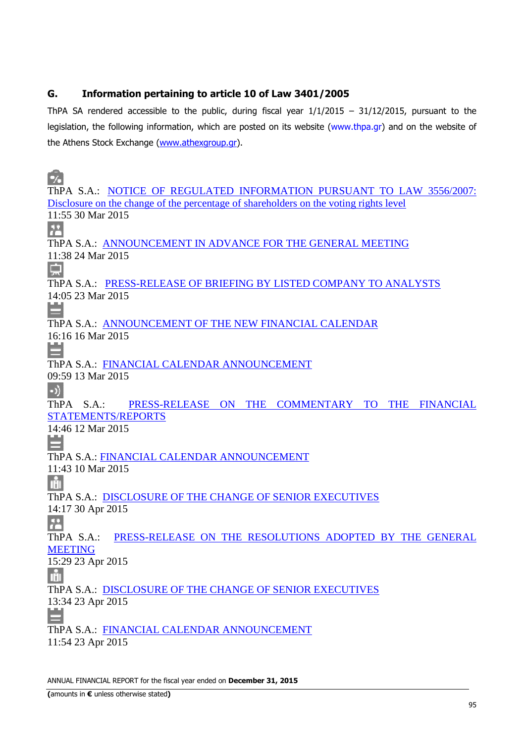# **G. Information pertaining to article 10 of Law 3401/2005**

ThPA SA rendered accessible to the public, during fiscal year  $1/1/2015 - 31/12/2015$ , pursuant to the legislation, the following information, which are posted on its website (www.thpa.gr) and on the website of the Athens Stock Exchange (www.athexgroup.gr).

 $\bullet$ ThPA S.A.: NOTICE OF REGULATED INFORMATION PURSUANT TO LAW 3556/2007: Disclosure on the change of the percentage of shareholders on the voting rights level 11:55 30 Mar 2015 **A** ThPA S.A.: ANNOUNCEMENT IN ADVANCE FOR THE GENERAL MEETING 11:38 24 Mar 2015 ThPA S.A.: PRESS-RELEASE OF BRIEFING BY LISTED COMPANY TO ANALYSTS 14:05 23 Mar 2015 ThPA S.A.: ANNOUNCEMENT OF THE NEW FINANCIAL CALENDAR 16:16 16 Mar 2015 ThPA S.A.: FINANCIAL CALENDAR ANNOUNCEMENT 09:59 13 Mar 2015  $\ket{\cdot}$ ThPA S.A.: PRESS-RELEASE ON THE COMMENTARY TO THE FINANCIAL STATEMENTS/REPORTS 14:46 12 Mar 2015 ThPA S.A.: FINANCIAL CALENDAR ANNOUNCEMENT 11:43 10 Mar 2015 **THE** ThPA S.A.: DISCLOSURE OF THE CHANGE OF SENIOR EXECUTIVES 14:17 30 Apr 2015  $\overline{R^2}$ ThPA S.A.: PRESS-RELEASE ON THE RESOLUTIONS ADOPTED BY THE GENERAL MEETING 15:29 23 Apr 2015 **THE** ThPA S.A.: DISCLOSURE OF THE CHANGE OF SENIOR EXECUTIVES 13:34 23 Apr 2015 ThPA S.A.: FINANCIAL CALENDAR ANNOUNCEMENT 11:54 23 Apr 2015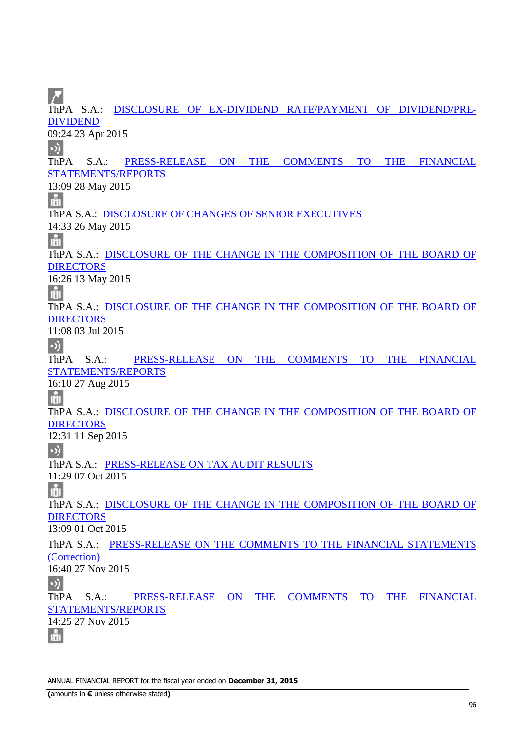ThPA S.A.: DISCLOSURE OF EX-DIVIDEND RATE/PAYMENT OF DIVIDEND/PRE-DIVIDEND 09:24 23 Apr 2015  $\bullet$ ThPA S.A.: PRESS-RELEASE ON THE COMMENTS TO THE FINANCIAL STATEMENTS/REPORTS 13:09 28 May 2015 nin ThPA S.A.: DISCLOSURE OF CHANGES OF SENIOR EXECUTIVES 14:33 26 May 2015 Iň ThPA S.A.: DISCLOSURE OF THE CHANGE IN THE COMPOSITION OF THE BOARD OF **DIRECTORS** 16:26 13 May 2015 nin. ThPA S.A.: DISCLOSURE OF THE CHANGE IN THE COMPOSITION OF THE BOARD OF DIRECTORS 11:08 03 Jul 2015  $\bullet$ ThPA S.A.: PRESS-RELEASE ON THE COMMENTS TO THE FINANCIAL STATEMENTS/REPORTS 16:10 27 Aug 2015 nin ThPA S.A.: DISCLOSURE OF THE CHANGE IN THE COMPOSITION OF THE BOARD OF **DIRECTORS** 12:31 11 Sep 2015  $\bullet$ ) ThPA S.A.: PRESS-RELEASE ON TAX AUDIT RESULTS 11:29 07 Oct 2015 nin ThPA S.A.: DISCLOSURE OF THE CHANGE IN THE COMPOSITION OF THE BOARD OF **DIRECTORS** 13:09 01 Oct 2015 ThPA S.A.: PRESS-RELEASE ON THE COMMENTS TO THE FINANCIAL STATEMENTS (Correction) 16:40 27 Nov 2015  $\bullet$ ) ThPA S.A.: PRESS-RELEASE ON THE COMMENTS TO THE FINANCIAL STATEMENTS/REPORTS 14:25 27 Nov 2015 nin.